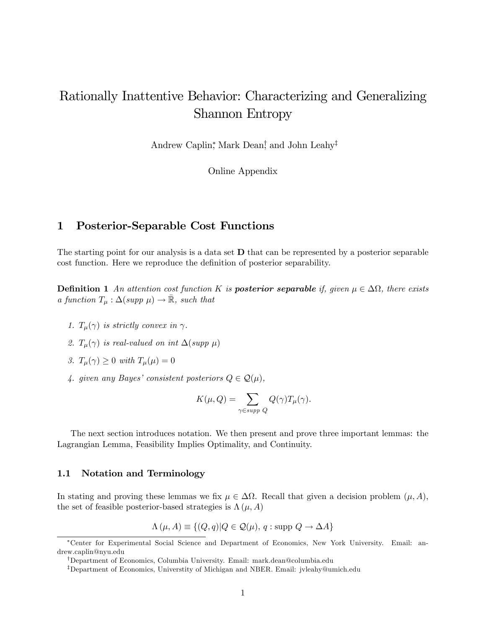# Rationally Inattentive Behavior: Characterizing and Generalizing Shannon Entropy

Andrew Caplin,<sup>\*</sup> Mark Dean,<sup>†</sup> and John Leahy<sup>‡</sup>

Online Appendix

## 1 Posterior-Separable Cost Functions

The starting point for our analysis is a data set D that can be represented by a posterior separable cost function. Here we reproduce the definition of posterior separability.

**Definition 1** An attention cost function K is **posterior separable** if, given  $\mu \in \Delta\Omega$ , there exists a function  $T_{\mu} : \Delta(supp \ \mu) \to \mathbb{R}$ , such that

- 1.  $T_{\mu}(\gamma)$  is strictly convex in  $\gamma$ .
- 2.  $T_{\mu}(\gamma)$  is real-valued on int  $\Delta(supp \mu)$
- 3.  $T_{\mu}(\gamma) \geq 0$  with  $T_{\mu}(\mu) = 0$
- 4. given any Bayes' consistent posteriors  $Q \in \mathcal{Q}(\mu)$ ,

$$
K(\mu, Q) = \sum_{\gamma \in supp \ Q} Q(\gamma) T_{\mu}(\gamma).
$$

The next section introduces notation. We then present and prove three important lemmas: the Lagrangian Lemma, Feasibility Implies Optimality, and Continuity.

#### 1.1 Notation and Terminology

In stating and proving these lemmas we fix  $\mu \in \Delta\Omega$ . Recall that given a decision problem  $(\mu, A)$ , the set of feasible posterior-based strategies is  $\Lambda(\mu, A)$ 

$$
\Lambda(\mu, A) \equiv \{ (Q, q) | Q \in \mathcal{Q}(\mu), q : \text{supp } Q \to \Delta A \}
$$

Center for Experimental Social Science and Department of Economics, New York University. Email: andrew.caplin@nyu.edu

<sup>&</sup>lt;sup>†</sup>Department of Economics, Columbia University. Email: mark.dean@columbia.edu

<sup>&</sup>lt;sup>‡</sup>Department of Economics, Universtity of Michigan and NBER. Email: jvleahy@umich.edu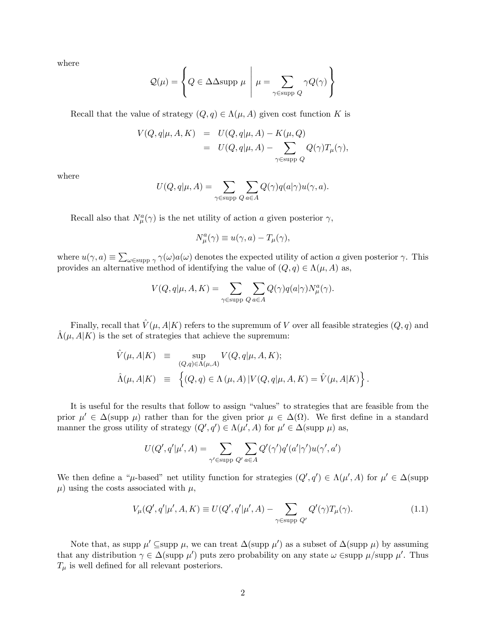where

$$
Q(\mu) = \left\{ Q \in \Delta \Delta \text{supp } \mu \middle| \mu = \sum_{\gamma \in \text{supp } Q} \gamma Q(\gamma) \right\}
$$

Recall that the value of strategy  $(Q, q) \in \Lambda(\mu, A)$  given cost function K is

$$
V(Q, q | \mu, A, K) = U(Q, q | \mu, A) - K(\mu, Q)
$$
  
= 
$$
U(Q, q | \mu, A) - \sum_{\gamma \in \text{supp } Q} Q(\gamma) T_{\mu}(\gamma),
$$

where

$$
U(Q, q | \mu, A) = \sum_{\gamma \in \text{supp } Q} \sum_{a \in A} Q(\gamma) q(a | \gamma) u(\gamma, a).
$$

Recall also that  $N^a_\mu(\gamma)$  is the net utility of action a given posterior  $\gamma$ ,

$$
N^a_\mu(\gamma) \equiv u(\gamma, a) - T_\mu(\gamma),
$$

where  $u(\gamma, a) \equiv \sum_{\omega \in \text{supp } \gamma} \gamma(\omega) a(\omega)$  denotes the expected utility of action a given posterior  $\gamma$ . This provides an alternative method of identifying the value of  $(Q, q) \in \Lambda(\mu, A)$  as,

$$
V(Q, q | \mu, A, K) = \sum_{\gamma \in \text{supp } Q} \sum_{a \in A} Q(\gamma) q(a | \gamma) N^a_\mu(\gamma).
$$

Finally, recall that  $\hat{V}(\mu, A|K)$  refers to the supremum of V over all feasible strategies  $(Q, q)$  and  $\Lambda(\mu, A|K)$  is the set of strategies that achieve the supremum:

$$
\hat{V}(\mu, A|K) \equiv \sup_{(Q,q)\in\Lambda(\mu, A)} V(Q, q|\mu, A, K);
$$
  

$$
\hat{\Lambda}(\mu, A|K) \equiv \left\{ (Q, q) \in \Lambda(\mu, A) | V(Q, q|\mu, A, K) = \hat{V}(\mu, A|K) \right\}.
$$

It is useful for the results that follow to assign "values" to strategies that are feasible from the prior  $\mu' \in \Delta(\text{supp }\mu)$  rather than for the given prior  $\mu \in \Delta(\Omega)$ . We first define in a standard manner the gross utility of strategy  $(Q', q') \in \Lambda(\mu', A)$  for  $\mu' \in \Delta(\text{supp }\mu)$  as,

$$
U(Q',q'|\mu',A) = \sum_{\gamma' \in \text{supp } Q'} \sum_{a \in A} Q'(\gamma')q'(a'|\gamma')u(\gamma',a')
$$

We then define a " $\mu$ -based" net utility function for strategies  $(Q', q') \in \Lambda(\mu', A)$  for  $\mu' \in \Delta$ (supp  $\mu$ ) using the costs associated with  $\mu$ ,

$$
V_{\mu}(Q', q'|\mu', A, K) \equiv U(Q', q'|\mu', A) - \sum_{\gamma \in \text{supp } Q'} Q'(\gamma) T_{\mu}(\gamma).
$$
 (1.1)

Note that, as supp  $\mu' \subseteq \text{supp } \mu$ , we can treat  $\Delta(\text{supp }\mu')$  as a subset of  $\Delta(\text{supp }\mu)$  by assuming that any distribution  $\gamma \in \Delta(\text{supp }\mu')$  puts zero probability on any state  $\omega$   $\in$ supp  $\mu$ /supp  $\mu'$ . Thus  $T_{\mu}$  is well defined for all relevant posteriors.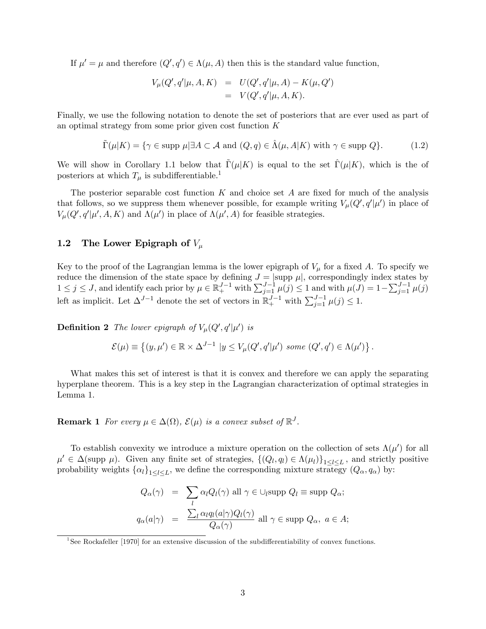If  $\mu' = \mu$  and therefore  $(Q', q') \in \Lambda(\mu, A)$  then this is the standard value function,

$$
V_{\mu}(Q', q'|\mu, A, K) = U(Q', q'|\mu, A) - K(\mu, Q') = V(Q', q'|\mu, A, K).
$$

Finally, we use the following notation to denote the set of posteriors that are ever used as part of an optimal strategy from some prior given cost function K

$$
\tilde{\Gamma}(\mu|K) = \{ \gamma \in \text{supp } \mu | \exists A \subset \mathcal{A} \text{ and } (Q, q) \in \hat{\Lambda}(\mu, A|K) \text{ with } \gamma \in \text{supp } Q \}. \tag{1.2}
$$

We will show in Corollary 1.1 below that  $\Gamma(\mu|K)$  is equal to the set  $\Gamma(\mu|K)$ , which is the of posteriors at which  $T_{\mu}$  is subdifferentiable.<sup>1</sup>

The posterior separable cost function  $K$  and choice set  $A$  are fixed for much of the analysis that follows, so we suppress them whenever possible, for example writing  $V_{\mu}(Q', q'|\mu')$  in place of  $V_{\mu}(Q', q'|\mu', A, K)$  and  $\Lambda(\mu')$  in place of  $\Lambda(\mu', A)$  for feasible strategies.

#### 1.2 The Lower Epigraph of  $V_\mu$

Key to the proof of the Lagrangian lemma is the lower epigraph of  $V_\mu$  for a fixed A. To specify we reduce the dimension of the state space by defining  $J = |\text{supp }\mu|$ , correspondingly index states by  $1 \le j \le J$ , and identify each prior by  $\mu \in \mathbb{R}^{J-1}_+$  with  $\sum_{j=1}^{J-1} \mu(j) \le 1$  and with  $\mu(J) = 1 - \sum_{j=1}^{J-1} \mu(j)$ left as implicit. Let  $\Delta^{J-1}$  denote the set of vectors in  $\mathbb{R}^{J-1}_+$  with  $\sum_{j=1}^{J-1} \mu(j) \leq 1$ .

**Definition 2** The lower epigraph of  $V_{\mu}(Q', q'|\mu')$  is

$$
\mathcal{E}(\mu) \equiv \left\{ (y, \mu') \in \mathbb{R} \times \Delta^{J-1} \mid y \le V_{\mu}(Q', q' | \mu') \text{ some } (Q', q') \in \Lambda(\mu') \right\}.
$$

What makes this set of interest is that it is convex and therefore we can apply the separating hyperplane theorem. This is a key step in the Lagrangian characterization of optimal strategies in Lemma 1.

## **Remark 1** For every  $\mu \in \Delta(\Omega)$ ,  $\mathcal{E}(\mu)$  is a convex subset of  $\mathbb{R}^J$ .

To establish convexity we introduce a mixture operation on the collection of sets  $\Lambda(\mu')$  for all  $\mu' \in \Delta(\text{supp }\mu)$ . Given any finite set of strategies,  $\{(Q_l, q_l) \in \Lambda(\mu_l)\}_{1 \leq l \leq L}$ , and strictly positive probability weights  $\{\alpha_l\}_{1 \leq l \leq L}$ , we define the corresponding mixture strategy  $(Q_\alpha, q_\alpha)$  by:

$$
Q_{\alpha}(\gamma) = \sum_{l} \alpha_{l} Q_{l}(\gamma) \text{ all } \gamma \in \bigcup_{l} \text{supp } Q_{l} \equiv \text{supp } Q_{\alpha};
$$

$$
q_{\alpha}(a|\gamma) = \frac{\sum_{l} \alpha_{l} q_{l}(a|\gamma) Q_{l}(\gamma)}{Q_{\alpha}(\gamma)} \text{ all } \gamma \in \text{supp } Q_{\alpha}, \ a \in A;
$$

<sup>&</sup>lt;sup>1</sup>See Rockafeller [1970] for an extensive discussion of the subdifferentiability of convex functions.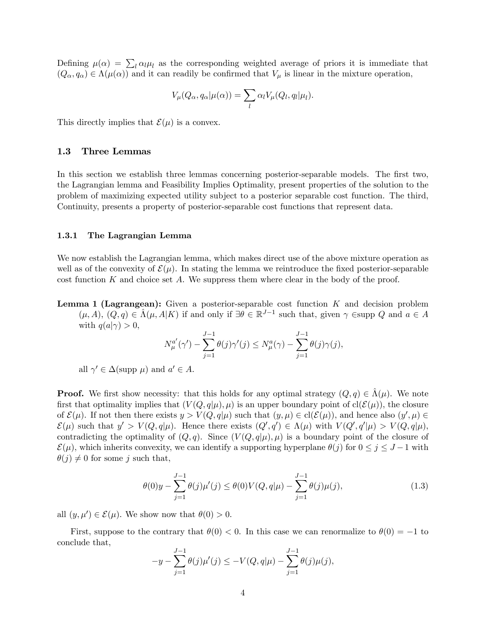Defining  $\mu(\alpha) = \sum_l \alpha_l \mu_l$  as the corresponding weighted average of priors it is immediate that  $(Q_{\alpha}, q_{\alpha}) \in \Lambda(\mu(\alpha))$  and it can readily be confirmed that  $V_{\mu}$  is linear in the mixture operation,

$$
V_{\mu}(Q_{\alpha}, q_{\alpha}|\mu(\alpha)) = \sum_{l} \alpha_{l} V_{\mu}(Q_{l}, q_{l}|\mu_{l}).
$$

This directly implies that  $\mathcal{E}(\mu)$  is a convex.

#### 1.3 Three Lemmas

In this section we establish three lemmas concerning posterior-separable models. The first two, the Lagrangian lemma and Feasibility Implies Optimality, present properties of the solution to the problem of maximizing expected utility subject to a posterior separable cost function. The third, Continuity, presents a property of posterior-separable cost functions that represent data.

#### 1.3.1 The Lagrangian Lemma

We now establish the Lagrangian lemma, which makes direct use of the above mixture operation as well as of the convexity of  $\mathcal{E}(\mu)$ . In stating the lemma we reintroduce the fixed posterior-separable cost function  $K$  and choice set  $A$ . We suppress them where clear in the body of the proof.

**Lemma 1 (Lagrangean):** Given a posterior-separable cost function  $K$  and decision problem  $(\mu, A), (Q, q) \in \hat{\Lambda}(\mu, A | K)$  if and only if  $\exists \theta \in \mathbb{R}^{J-1}$  such that, given  $\gamma$  Esupp Q and  $a \in A$ with  $q(a|\gamma) > 0$ ,

$$
N_{\mu}^{a'}(\gamma') - \sum_{j=1}^{J-1} \theta(j)\gamma'(j) \leq N_{\mu}^{a}(\gamma) - \sum_{j=1}^{J-1} \theta(j)\gamma(j),
$$

all  $\gamma' \in \Delta(\text{supp }\mu)$  and  $a' \in A$ .

**Proof.** We first show necessity: that this holds for any optimal strategy  $(Q, q) \in \Lambda(\mu)$ . We note first that optimality implies that  $(V(Q,q|\mu),\mu)$  is an upper boundary point of cl( $\mathcal{E}(\mu)$ ), the closure of  $\mathcal{E}(\mu)$ . If not then there exists  $y > V(Q, q | \mu)$  such that  $(y, \mu) \in \text{cl}(\mathcal{E}(\mu))$ , and hence also  $(y', \mu) \in$  $\mathcal{E}(\mu)$  such that  $y' > V(Q, q | \mu)$ . Hence there exists  $(Q', q') \in \Lambda(\mu)$  with  $V(Q', q' | \mu) > V(Q, q | \mu)$ , contradicting the optimality of  $(Q, q)$ . Since  $(V(Q, q|\mu), \mu)$  is a boundary point of the closure of  $\mathcal{E}(\mu)$ , which inherits convexity, we can identify a supporting hyperplane  $\theta(j)$  for  $0 \leq j \leq J-1$  with  $\theta(j) \neq 0$  for some j such that,

$$
\theta(0)y - \sum_{j=1}^{J-1} \theta(j)\mu'(j) \le \theta(0)V(Q, q|\mu) - \sum_{j=1}^{J-1} \theta(j)\mu(j),\tag{1.3}
$$

all  $(y, \mu') \in \mathcal{E}(\mu)$ . We show now that  $\theta(0) > 0$ .

First, suppose to the contrary that  $\theta(0) < 0$ . In this case we can renormalize to  $\theta(0) = -1$  to conclude that,

$$
-y - \sum_{j=1}^{J-1} \theta(j)\mu'(j) \le -V(Q, q|\mu) - \sum_{j=1}^{J-1} \theta(j)\mu(j),
$$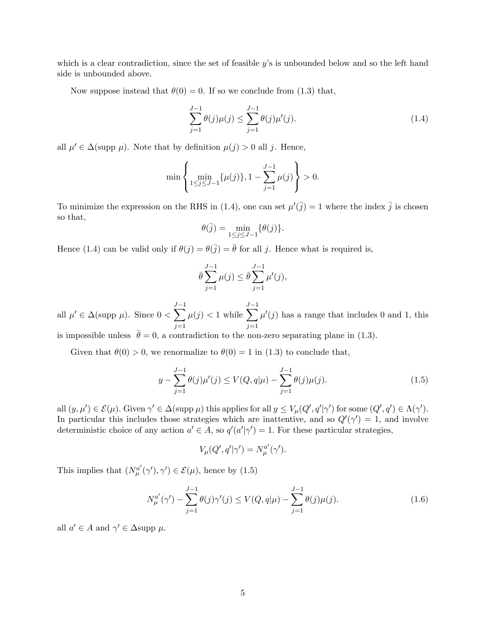which is a clear contradiction, since the set of feasible  $y$ 's is unbounded below and so the left hand side is unbounded above.

Now suppose instead that  $\theta(0) = 0$ . If so we conclude from (1.3) that,

$$
\sum_{j=1}^{J-1} \theta(j)\mu(j) \le \sum_{j=1}^{J-1} \theta(j)\mu'(j).
$$
\n(1.4)

all  $\mu' \in \Delta(\text{supp }\mu)$ . Note that by definition  $\mu(j) > 0$  all j. Hence,

$$
\min\left\{\min_{1\leq j\leq J-1}\{\mu(j)\},1-\sum_{j=1}^{J-1}\mu(j)\right\}>0.
$$

To minimize the expression on the RHS in (1.4), one can set  $\mu'(\bar{j}) = 1$  where the index  $\bar{j}$  is chosen so that,

$$
\theta(\bar{j}) = \min_{1 \le j \le J-1} \{ \theta(j) \}.
$$

Hence (1.4) can be valid only if  $\theta(j) = \theta(j) = \bar{\theta}$  for all j. Hence what is required is,

$$
\bar{\theta} \sum_{j=1}^{J-1} \mu(j) \le \bar{\theta} \sum_{j=1}^{J-1} \mu'(j),
$$

all  $\mu' \in \Delta(\text{supp }\mu)$ . Since  $0 <$  $\overline{\mathcal{N}}^1$  $j=1$  $\mu(j) < 1$  while  $\overline{\mathcal{N}}$  $j=1$  $\mu'(j)$  has a range that includes 0 and 1, this

is impossible unless  $\bar{\theta} = 0$ , a contradiction to the non-zero separating plane in (1.3).

Given that  $\theta(0) > 0$ , we renormalize to  $\theta(0) = 1$  in (1.3) to conclude that,

$$
y - \sum_{j=1}^{J-1} \theta(j)\mu'(j) \le V(Q, q|\mu) - \sum_{j=1}^{J-1} \theta(j)\mu(j).
$$
 (1.5)

all  $(y,\mu') \in \mathcal{E}(\mu)$ . Given  $\gamma' \in \Delta(\text{supp }\mu)$  this applies for all  $y \leq V_{\mu}(Q',q'|\gamma')$  for some  $(Q',q') \in \Lambda(\gamma')$ . In particular this includes those strategies which are inattentive, and so  $Q'(\gamma') = 1$ , and involve deterministic choice of any action  $a' \in A$ , so  $q'(a'|\gamma') = 1$ . For these particular strategies,

$$
V_{\mu}(Q',q'|\gamma')=N_{\mu}^{a'}(\gamma').
$$

This implies that  $(N_{\mu}^{a'}(\gamma'), \gamma') \in \mathcal{E}(\mu)$ , hence by (1.5)

$$
N_{\mu}^{a'}(\gamma') - \sum_{j=1}^{J-1} \theta(j)\gamma'(j) \le V(Q, q|\mu) - \sum_{j=1}^{J-1} \theta(j)\mu(j).
$$
 (1.6)

all  $a' \in A$  and  $\gamma' \in \Delta$ supp  $\mu$ .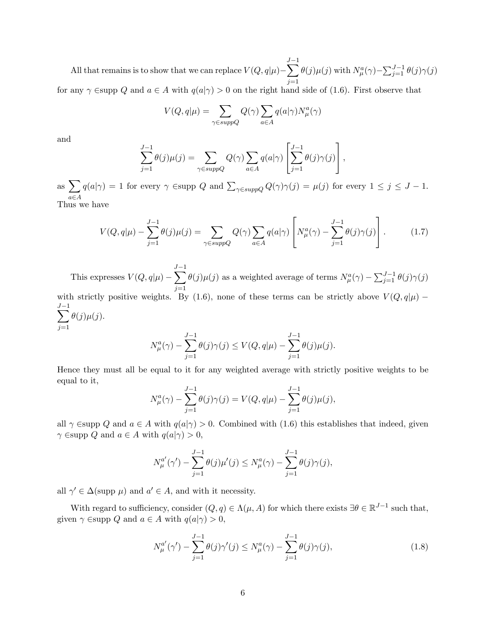All that remains is to show that we can replace  $V(Q,q|\mu)$  –  $\sum$  $j=1$  $\theta(j)\mu(j)$  with  $N_{\mu}^a(\gamma) - \sum_{j=1}^{J-1} \theta(j)\gamma(j)$ for any  $\gamma$  Esupp Q and  $a \in A$  with  $q(a|\gamma) > 0$  on the right hand side of (1.6). First observe that

$$
V(Q, q | \mu) = \sum_{\gamma \in supp Q} Q(\gamma) \sum_{a \in A} q(a | \gamma) N_{\mu}^{a}(\gamma)
$$

and

$$
\sum_{j=1}^{J-1} \theta(j)\mu(j) = \sum_{\gamma \in suppQ} Q(\gamma) \sum_{a \in A} q(a|\gamma) \left[ \sum_{j=1}^{J-1} \theta(j)\gamma(j) \right],
$$

as  $\sum$  $a \in A$  $q(a|\gamma) = 1$  for every  $\gamma$   $\in$ supp Q and  $\sum_{\gamma \in supp Q} Q(\gamma) \gamma(j) = \mu(j)$  for every  $1 \leq j \leq J - 1$ . Thus we have

$$
V(Q,q|\mu) - \sum_{j=1}^{J-1} \theta(j)\mu(j) = \sum_{\gamma \in suppQ} Q(\gamma) \sum_{a \in A} q(a|\gamma) \left[ N^a_\mu(\gamma) - \sum_{j=1}^{J-1} \theta(j)\gamma(j) \right]. \tag{1.7}
$$

This expresses  $V(Q,q|\mu)$  –  $\overline{\mathcal{N}}^1$  $j=1$  $\theta(j)\mu(j)$  as a weighted average of terms  $N^a_\mu(\gamma) - \sum_{j=1}^{J-1} \theta(j)\gamma(j)$ with strictly positive weights. By (1.6), none of these terms can be strictly above  $V(Q, q|\mu)$  –  $\overline{\mathcal{N}}^1$  $j=1$  $\theta(j)\mu(j).$ 

$$
N_{\mu}^{a}(\gamma) - \sum_{j=1}^{J-1} \theta(j)\gamma(j) \le V(Q, q|\mu) - \sum_{j=1}^{J-1} \theta(j)\mu(j).
$$

Hence they must all be equal to it for any weighted average with strictly positive weights to be equal to it,

$$
N_{\mu}^{a}(\gamma) - \sum_{j=1}^{J-1} \theta(j)\gamma(j) = V(Q, q|\mu) - \sum_{j=1}^{J-1} \theta(j)\mu(j),
$$

all  $\gamma$  Esupp Q and  $a \in A$  with  $q(a|\gamma) > 0$ . Combined with (1.6) this establishes that indeed, given  $\gamma \in \text{supp } Q \text{ and } a \in A \text{ with } q(a|\gamma) > 0,$ 

$$
N_{\mu}^{a'}(\gamma') - \sum_{j=1}^{J-1} \theta(j)\mu'(j) \le N_{\mu}^{a}(\gamma) - \sum_{j=1}^{J-1} \theta(j)\gamma(j),
$$

all  $\gamma' \in \Delta(\text{supp }\mu)$  and  $a' \in A$ , and with it necessity.

With regard to sufficiency, consider  $(Q, q) \in \Lambda(\mu, A)$  for which there exists  $\exists \theta \in \mathbb{R}^{J-1}$  such that, given  $\gamma \in \text{supp } Q$  and  $a \in A$  with  $q(a|\gamma) > 0$ ,

$$
N_{\mu}^{a'}(\gamma') - \sum_{j=1}^{J-1} \theta(j)\gamma'(j) \le N_{\mu}^{a}(\gamma) - \sum_{j=1}^{J-1} \theta(j)\gamma(j),
$$
\n(1.8)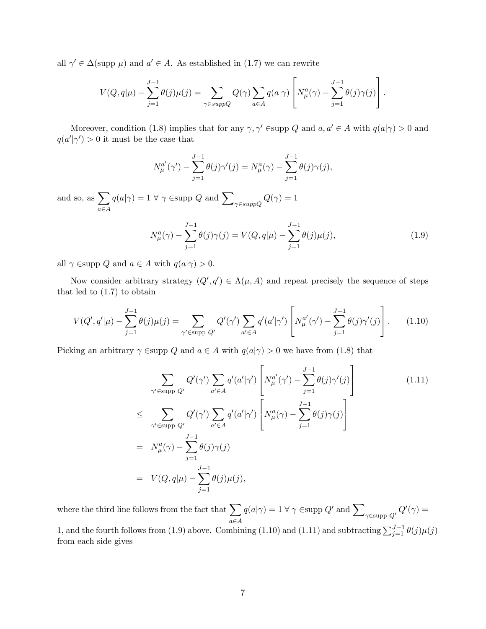all  $\gamma' \in \Delta(\text{supp }\mu)$  and  $a' \in A$ . As established in (1.7) we can rewrite

$$
V(Q,q|\mu) - \sum_{j=1}^{J-1} \theta(j)\mu(j) = \sum_{\gamma \in suppQ} Q(\gamma) \sum_{a \in A} q(a|\gamma) \left[ N_{\mu}^a(\gamma) - \sum_{j=1}^{J-1} \theta(j)\gamma(j) \right].
$$

Moreover, condition (1.8) implies that for any  $\gamma, \gamma' \in \text{supp } Q$  and  $a, a' \in A$  with  $q(a|\gamma) > 0$  and  $q(a'|\gamma') > 0$  it must be the case that

$$
N_{\mu}^{a'}(\gamma') - \sum_{j=1}^{J-1} \theta(j)\gamma'(j) = N_{\mu}^{a}(\gamma) - \sum_{j=1}^{J-1} \theta(j)\gamma(j),
$$

and so, as  $\sum$  $a \in A$  $q(a|\gamma) = 1 \ \forall \ \gamma \in \text{supp } Q \text{ and } \sum_{\gamma \in \text{supp} Q}$  $Q(\gamma)=1$ 

$$
N_{\mu}^{a}(\gamma) - \sum_{j=1}^{J-1} \theta(j)\gamma(j) = V(Q, q|\mu) - \sum_{j=1}^{J-1} \theta(j)\mu(j),
$$
\n(1.9)

all  $\gamma \in \text{supp } Q$  and  $a \in A$  with  $q(a|\gamma) > 0$ .

Now consider arbitrary strategy  $(Q', q') \in \Lambda(\mu, A)$  and repeat precisely the sequence of steps that led to  $(1.7)$  to obtain

$$
V(Q', q'|\mu) - \sum_{j=1}^{J-1} \theta(j)\mu(j) = \sum_{\gamma' \in \text{supp } Q'} Q'(\gamma') \sum_{a' \in A} q'(a'|\gamma') \left[ N_{\mu}^{a'}(\gamma') - \sum_{j=1}^{J-1} \theta(j)\gamma'(j) \right].
$$
 (1.10)

Picking an arbitrary  $\gamma$  Esupp Q and  $a \in A$  with  $q(a|\gamma) > 0$  we have from (1.8) that

$$
\sum_{\gamma' \in \text{supp } Q'} Q'(\gamma') \sum_{a' \in A} q'(a'|\gamma') \left[ N_{\mu}^{a'}(\gamma') - \sum_{j=1}^{J-1} \theta(j)\gamma'(j) \right]
$$
\n
$$
\leq \sum_{\gamma' \in \text{supp } Q'} Q'(\gamma') \sum_{a' \in A} q'(a'|\gamma') \left[ N_{\mu}^{a}(\gamma) - \sum_{j=1}^{J-1} \theta(j)\gamma(j) \right]
$$
\n
$$
= N_{\mu}^{a}(\gamma) - \sum_{j=1}^{J-1} \theta(j)\gamma(j)
$$
\n
$$
= V(Q, q|\mu) - \sum_{j=1}^{J-1} \theta(j)\mu(j), \qquad (1.11)
$$
\n(1.12)

where the third line follows from the fact that  $\sum_{a \in A} q(a|\gamma) = 1 \,\forall \,\gamma \in \text{supp } Q'$  and  $\sum_{\gamma \in \text{supp } Q'} Q'(\gamma) =$  $a \in A$ 

1, and the fourth follows from (1.9) above. Combining (1.10) and (1.11) and subtracting  $\sum_{j=1}^{J-1} \theta(j) \mu(j)$ from each side gives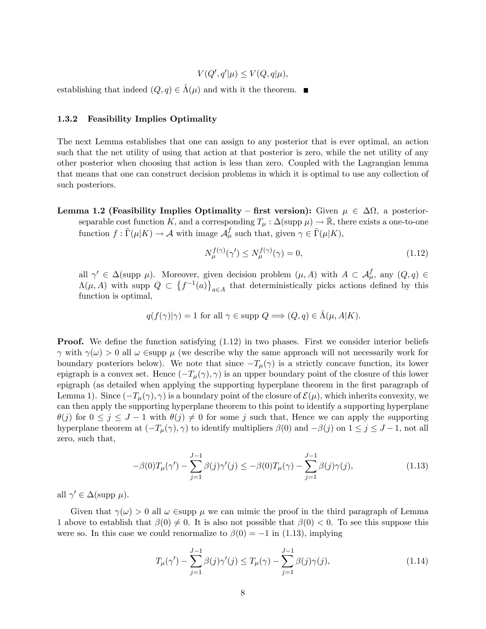$V(Q', q'|\mu) \leq V(Q, q|\mu),$ 

establishing that indeed  $(Q, q) \in \Lambda(\mu)$  and with it the theorem.

#### 1.3.2 Feasibility Implies Optimality

The next Lemma establishes that one can assign to any posterior that is ever optimal, an action such that the net utility of using that action at that posterior is zero, while the net utility of any other posterior when choosing that action is less than zero. Coupled with the Lagrangian lemma that means that one can construct decision problems in which it is optimal to use any collection of such posteriors.

Lemma 1.2 (Feasibility Implies Optimality – first version): Given  $\mu \in \Delta\Omega$ , a posteriorseparable cost function K, and a corresponding  $T_{\mu} : \Delta(\text{supp }\mu) \to \bar{\mathbb{R}}$ , there exists a one-to-one function  $f : \tilde{\Gamma}(\mu|K) \to \mathcal{A}$  with image  $\mathcal{A}_{\mu}^{f}$  such that, given  $\gamma \in \tilde{\Gamma}(\mu|K)$ ,

$$
N_{\mu}^{f(\gamma)}(\gamma') \le N_{\mu}^{f(\gamma)}(\gamma) = 0,
$$
\n(1.12)

all  $\gamma' \in \Delta(\text{supp }\mu)$ . Moreover, given decision problem  $(\mu, A)$  with  $A \subset \mathcal{A}_{\mu}^f$ , any  $(Q, q) \in$  $\Lambda(\mu, A)$  with supp  $Q \subset \{f^{-1}(a)\}\$  $a \in A$  that deterministically picks actions defined by this function is optimal,

$$
q(f(\gamma)|\gamma) = 1 \text{ for all } \gamma \in \text{supp } Q \Longrightarrow (Q, q) \in \hat{\Lambda}(\mu, A|K).
$$

**Proof.** We define the function satisfying  $(1.12)$  in two phases. First we consider interior beliefs  $\gamma$  with  $\gamma(\omega) > 0$  all  $\omega \in \text{supp }\mu$  (we describe why the same approach will not necessarily work for boundary posteriors below). We note that since  $-T_{\mu}(\gamma)$  is a strictly concave function, its lower epigraph is a convex set. Hence  $(-T_{\mu}(\gamma), \gamma)$  is an upper boundary point of the closure of this lower epigraph (as detailed when applying the supporting hyperplane theorem in the first paragraph of Lemma 1). Since  $(-T_{\mu}(\gamma), \gamma)$  is a boundary point of the closure of  $\mathcal{E}(\mu)$ , which inherits convexity, we can then apply the supporting hyperplane theorem to this point to identify a supporting hyperplane  $\theta(j)$  for  $0 \leq j \leq J - 1$  with  $\theta(j) \neq 0$  for some j such that, Hence we can apply the supporting hyperplane theorem at  $(-T_{\mu}(\gamma), \gamma)$  to identify multipliers  $\beta(0)$  and  $-\beta(j)$  on  $1 \leq j \leq J-1$ , not all zero, such that,

$$
-\beta(0)T_{\mu}(\gamma') - \sum_{j=1}^{J-1} \beta(j)\gamma'(j) \le -\beta(0)T_{\mu}(\gamma) - \sum_{j=1}^{J-1} \beta(j)\gamma(j),\tag{1.13}
$$

all  $\gamma' \in \Delta(\text{supp }\mu).$ 

Given that  $\gamma(\omega) > 0$  all  $\omega \in \text{supp } \mu$  we can mimic the proof in the third paragraph of Lemma 1 above to establish that  $\beta(0) \neq 0$ . It is also not possible that  $\beta(0) < 0$ . To see this suppose this were so. In this case we could renormalize to  $\beta(0) = -1$  in (1.13), implying

$$
T_{\mu}(\gamma') - \sum_{j=1}^{J-1} \beta(j)\gamma'(j) \le T_{\mu}(\gamma) - \sum_{j=1}^{J-1} \beta(j)\gamma(j),
$$
\n(1.14)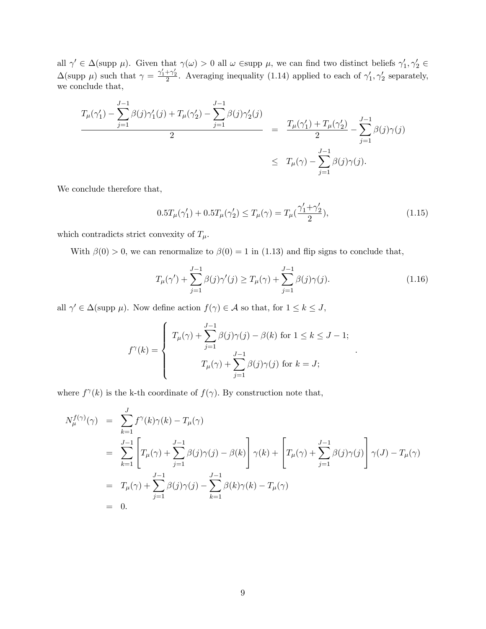all  $\gamma' \in \Delta(\text{supp }\mu)$ . Given that  $\gamma(\omega) > 0$  all  $\omega \in \text{supp }\mu$ , we can find two distinct beliefs  $\gamma'_1, \gamma'_2 \in$  $\Delta(\text{supp }\mu)$  such that  $\gamma = \frac{\gamma'_1 + \gamma'_2}{2}$ . Averaging inequality (1.14) applied to each of  $\gamma'_1, \gamma'_2$  separately, we conclude that,

$$
\frac{T_{\mu}(\gamma'_1) - \sum_{j=1}^{J-1} \beta(j)\gamma'_1(j) + T_{\mu}(\gamma'_2) - \sum_{j=1}^{J-1} \beta(j)\gamma'_2(j)}{2} = \frac{T_{\mu}(\gamma'_1) + T_{\mu}(\gamma'_2)}{2} - \sum_{j=1}^{J-1} \beta(j)\gamma(j)
$$
  

$$
\leq T_{\mu}(\gamma) - \sum_{j=1}^{J-1} \beta(j)\gamma(j).
$$

We conclude therefore that,

$$
0.5T_{\mu}(\gamma'_1) + 0.5T_{\mu}(\gamma'_2) \le T_{\mu}(\gamma) = T_{\mu}(\frac{\gamma'_1 + \gamma'_2}{2}),\tag{1.15}
$$

which contradicts strict convexity of  $T_{\mu}$ .

With  $\beta(0) > 0$ , we can renormalize to  $\beta(0) = 1$  in (1.13) and flip signs to conclude that,

$$
T_{\mu}(\gamma') + \sum_{j=1}^{J-1} \beta(j)\gamma'(j) \ge T_{\mu}(\gamma) + \sum_{j=1}^{J-1} \beta(j)\gamma(j).
$$
 (1.16)

:

all  $\gamma' \in \Delta(\text{supp }\mu)$ . Now define action  $f(\gamma) \in \mathcal{A}$  so that, for  $1 \leq k \leq J$ ,

$$
f^{\gamma}(k) = \begin{cases} T_{\mu}(\gamma) + \sum_{j=1}^{J-1} \beta(j)\gamma(j) - \beta(k) \text{ for } 1 \leq k \leq J-1; \\ T_{\mu}(\gamma) + \sum_{j=1}^{J-1} \beta(j)\gamma(j) \text{ for } k = J; \end{cases}
$$

where  $f^{\gamma}(k)$  is the k-th coordinate of  $f(\gamma)$ . By construction note that,

$$
N_{\mu}^{f(\gamma)}(\gamma) = \sum_{k=1}^{J} f^{\gamma}(k)\gamma(k) - T_{\mu}(\gamma)
$$
  
\n
$$
= \sum_{k=1}^{J-1} \left[ T_{\mu}(\gamma) + \sum_{j=1}^{J-1} \beta(j)\gamma(j) - \beta(k) \right] \gamma(k) + \left[ T_{\mu}(\gamma) + \sum_{j=1}^{J-1} \beta(j)\gamma(j) \right] \gamma(J) - T_{\mu}(\gamma)
$$
  
\n
$$
= T_{\mu}(\gamma) + \sum_{j=1}^{J-1} \beta(j)\gamma(j) - \sum_{k=1}^{J-1} \beta(k)\gamma(k) - T_{\mu}(\gamma)
$$
  
\n
$$
= 0.
$$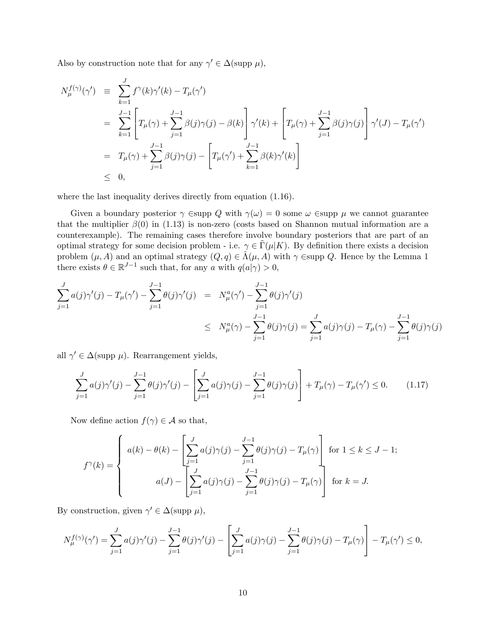Also by construction note that for any  $\gamma' \in \Delta(\text{supp }\mu)$ ,

$$
N_{\mu}^{f(\gamma)}(\gamma') \equiv \sum_{k=1}^{J} f^{\gamma}(k)\gamma'(k) - T_{\mu}(\gamma')
$$
  
\n
$$
= \sum_{k=1}^{J-1} \left[ T_{\mu}(\gamma) + \sum_{j=1}^{J-1} \beta(j)\gamma(j) - \beta(k) \right] \gamma'(k) + \left[ T_{\mu}(\gamma) + \sum_{j=1}^{J-1} \beta(j)\gamma(j) \right] \gamma'(J) - T_{\mu}(\gamma')
$$
  
\n
$$
= T_{\mu}(\gamma) + \sum_{j=1}^{J-1} \beta(j)\gamma(j) - \left[ T_{\mu}(\gamma') + \sum_{k=1}^{J-1} \beta(k)\gamma'(k) \right]
$$
  
\n
$$
\leq 0,
$$

where the last inequality derives directly from equation  $(1.16)$ .

Given a boundary posterior  $\gamma$  Esupp Q with  $\gamma(\omega) = 0$  some  $\omega$  Esupp  $\mu$  we cannot guarantee that the multiplier  $\beta(0)$  in (1.13) is non-zero (costs based on Shannon mutual information are a counterexample). The remaining cases therefore involve boundary posteriors that are part of an optimal strategy for some decision problem - i.e.  $\gamma \in \Gamma(\mu|K)$ . By definition there exists a decision problem  $(\mu, A)$  and an optimal strategy  $(Q, q) \in \hat{\Lambda}(\mu, A)$  with  $\gamma \in \text{supp } Q$ . Hence by the Lemma 1 there exists  $\theta \in \mathbb{R}^{J-1}$  such that, for any a with  $q(a|\gamma) > 0$ ,

$$
\sum_{j=1}^{J} a(j)\gamma'(j) - T_{\mu}(\gamma') - \sum_{j=1}^{J-1} \theta(j)\gamma'(j) = N_{\mu}^{a}(\gamma') - \sum_{j=1}^{J-1} \theta(j)\gamma'(j)
$$
\n
$$
\leq N_{\mu}^{a}(\gamma) - \sum_{j=1}^{J-1} \theta(j)\gamma(j) = \sum_{j=1}^{J} a(j)\gamma(j) - T_{\mu}(\gamma) - \sum_{j=1}^{J-1} \theta(j)\gamma(j)
$$

all  $\gamma' \in \Delta(\text{supp }\mu)$ . Rearrangement yields,

$$
\sum_{j=1}^{J} a(j)\gamma'(j) - \sum_{j=1}^{J-1} \theta(j)\gamma'(j) - \left[\sum_{j=1}^{J} a(j)\gamma(j) - \sum_{j=1}^{J-1} \theta(j)\gamma(j)\right] + T_{\mu}(\gamma) - T_{\mu}(\gamma') \le 0.
$$
 (1.17)

Now define action  $f(\gamma) \in \mathcal{A}$  so that,

$$
f^{\gamma}(k) = \begin{cases} a(k) - \theta(k) - \left[ \sum_{j=1}^{J} a(j)\gamma(j) - \sum_{j=1}^{J-1} \theta(j)\gamma(j) - T_{\mu}(\gamma) \right] & \text{for } 1 \le k \le J-1; \\ a(J) - \left[ \sum_{j=1}^{J} a(j)\gamma(j) - \sum_{j=1}^{J-1} \theta(j)\gamma(j) - T_{\mu}(\gamma) \right] & \text{for } k = J. \end{cases}
$$

By construction, given  $\gamma' \in \Delta(\text{supp }\mu)$ ,

$$
N_{\mu}^{f(\gamma)}(\gamma')=\sum_{j=1}^J a(j)\gamma'(j)-\sum_{j=1}^{J-1}\theta(j)\gamma'(j)-\left[\sum_{j=1}^J a(j)\gamma(j)-\sum_{j=1}^{J-1}\theta(j)\gamma(j)-T_{\mu}(\gamma)\right]-T_{\mu}(\gamma')\leq 0,
$$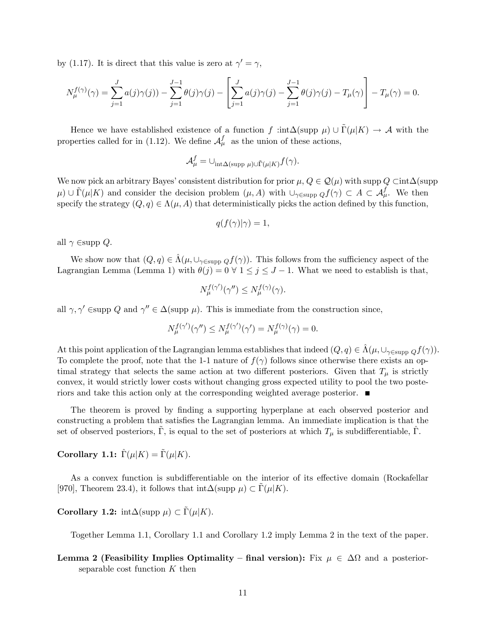by (1.17). It is direct that this value is zero at  $\gamma' = \gamma$ ,

$$
N_{\mu}^{f(\gamma)}(\gamma) = \sum_{j=1}^{J} a(j)\gamma(j)) - \sum_{j=1}^{J-1} \theta(j)\gamma(j) - \left[\sum_{j=1}^{J} a(j)\gamma(j) - \sum_{j=1}^{J-1} \theta(j)\gamma(j) - T_{\mu}(\gamma)\right] - T_{\mu}(\gamma) = 0.
$$

Hence we have established existence of a function f : $int\Delta(\text{supp }\mu) \cup \Gamma(\mu|K) \rightarrow \mathcal{A}$  with the properties called for in (1.12). We define  $\mathcal{A}_{\mu}^{f}$  as the union of these actions,

$$
\mathcal{A}^f_{\mu} = \bigcup_{\text{int}\Delta(\text{supp }\mu) \cup \tilde{\Gamma}(\mu|K)} f(\gamma).
$$

We now pick an arbitrary Bayes' consistent distribution for prior  $\mu$ ,  $Q \in \mathcal{Q}(\mu)$  with supp  $Q \subset \text{int}\Delta$ (supp  $(\mu) \cup \tilde{\Gamma}(\mu|K)$  and consider the decision problem  $(\mu, A)$  with  $\cup_{\gamma \in \text{supp }Q} f(\gamma) \subset A \subset \mathcal{A}_{\mu}^f$ . We then specify the strategy  $(Q, q) \in \Lambda(\mu, A)$  that deterministically picks the action defined by this function,

$$
q(f(\gamma)|\gamma) = 1,
$$

all  $\gamma$  Esupp Q.

We show now that  $(Q, q) \in \hat{\Lambda}(\mu, \cup_{\gamma \in \text{supp } Q} f(\gamma))$ . This follows from the sufficiency aspect of the Lagrangian Lemma (Lemma 1) with  $\theta(j) = 0 \forall 1 \leq j \leq J - 1$ . What we need to establish is that,

$$
N_{\mu}^{f(\gamma')}(\gamma'') \le N_{\mu}^{f(\gamma)}(\gamma).
$$

all  $\gamma, \gamma'$  Esupp Q and  $\gamma'' \in \Delta(\text{supp }\mu)$ . This is immediate from the construction since,

$$
N_{\mu}^{f(\gamma')}(\gamma'') \le N_{\mu}^{f(\gamma')}(\gamma') = N_{\mu}^{f(\gamma)}(\gamma) = 0.
$$

At this point application of the Lagrangian lemma establishes that indeed  $(Q, q) \in \Lambda(\mu, \cup_{\gamma \in \text{supp } Q} f(\gamma)).$ To complete the proof, note that the 1-1 nature of  $f(\gamma)$  follows since otherwise there exists an optimal strategy that selects the same action at two different posteriors. Given that  $T_{\mu}$  is strictly convex, it would strictly lower costs without changing gross expected utility to pool the two posteriors and take this action only at the corresponding weighted average posterior.

The theorem is proved by finding a supporting hyperplane at each observed posterior and constructing a problem that satisfies the Lagrangian lemma. An immediate implication is that the set of observed posteriors,  $\Gamma$ , is equal to the set of posteriors at which  $T_{\mu}$  is subdifferentiable,  $\Gamma$ .

Corollary 1.1:  $\hat{\Gamma}(\mu|K) = \tilde{\Gamma}(\mu|K)$ .

As a convex function is subdifferentiable on the interior of its effective domain (Rockafellar [970], Theorem 23.4), it follows that  $\text{int}\Delta(\text{supp }\mu) \subset \Gamma(\mu|K)$ .

**Corollary 1.2:**  $int\Delta(\text{supp }\mu) \subset \tilde{\Gamma}(\mu|K)$ .

Together Lemma 1.1, Corollary 1.1 and Corollary 1.2 imply Lemma 2 in the text of the paper.

Lemma 2 (Feasibility Implies Optimality – final version): Fix  $\mu \in \Delta\Omega$  and a posteriorseparable cost function  $K$  then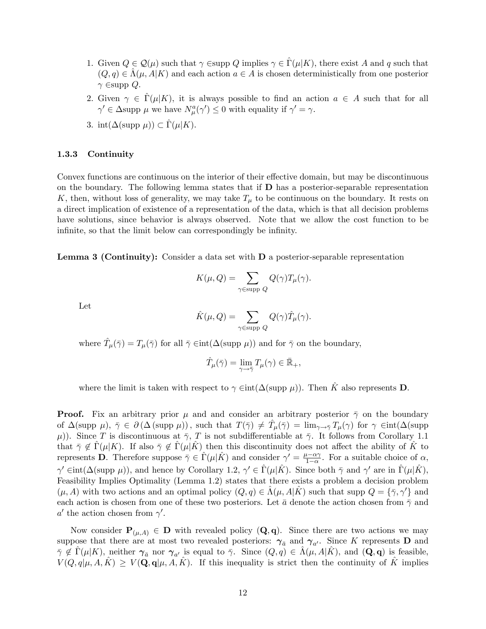- 1. Given  $Q \in \mathcal{Q}(\mu)$  such that  $\gamma \in \text{supp } Q$  implies  $\gamma \in \Gamma(\mu | K)$ , there exist A and q such that  $(Q, q) \in \Lambda(\mu, A | K)$  and each action  $a \in A$  is chosen deterministically from one posterior  $\gamma$   $\in$ supp  $Q$ .
- 2. Given  $\gamma \in \Gamma(\mu|K)$ , it is always possible to find an action  $a \in A$  such that for all  $\gamma' \in \Delta$ supp  $\mu$  we have  $N^a_\mu(\gamma') \leq 0$  with equality if  $\gamma' = \gamma$ .
- 3. int $(\Delta(\text{supp }\mu)) \subset \hat{\Gamma}(\mu|K).$

#### 1.3.3 Continuity

Convex functions are continuous on the interior of their effective domain, but may be discontinuous on the boundary. The following lemma states that if  **has a posterior-separable representation** K, then, without loss of generality, we may take  $T_{\mu}$  to be continuous on the boundary. It rests on a direct implication of existence of a representation of the data, which is that all decision problems have solutions, since behavior is always observed. Note that we allow the cost function to be infinite, so that the limit below can correspondingly be infinity.

Lemma 3 (Continuity): Consider a data set with D a posterior-separable representation

$$
K(\mu, Q) = \sum_{\gamma \in \text{supp } Q} Q(\gamma) T_{\mu}(\gamma).
$$

Let

$$
\hat{K}(\mu, Q) = \sum_{\gamma \in \text{supp } Q} Q(\gamma) \hat{T}_{\mu}(\gamma).
$$

where  $\hat{T}_{\mu}(\bar{\gamma}) = T_{\mu}(\bar{\gamma})$  for all  $\bar{\gamma} \in \text{int}(\Delta(\text{supp }\mu))$  and for  $\bar{\gamma}$  on the boundary,

$$
\hat{T}_{\mu}(\bar{\gamma}) = \lim_{\gamma \to \bar{\gamma}} T_{\mu}(\gamma) \in \bar{\mathbb{R}}_{+},
$$

where the limit is taken with respect to  $\gamma \in \text{int}(\Delta(\text{supp }\mu))$ . Then K also represents **D**.

**Proof.** Fix an arbitrary prior  $\mu$  and and consider an arbitrary posterior  $\bar{\gamma}$  on the boundary of  $\Delta(\text{supp }\mu), \bar{\gamma} \in \partial(\Delta(\text{supp }\mu)),$  such that  $T(\bar{\gamma}) \neq \hat{T}_{\mu}(\bar{\gamma}) = \lim_{\gamma \to \bar{\gamma}} T_{\mu}(\gamma)$  for  $\gamma \in \text{int}(\Delta(\text{supp }\mu))$  $(\mu)$ ). Since T is discontinuous at  $\bar{\gamma}$ , T is not subdifferentiable at  $\bar{\gamma}$ . It follows from Corollary 1.1 that  $\overline{\gamma} \notin \Gamma(\mu | K)$ . If also  $\overline{\gamma} \notin \Gamma(\mu | K)$  then this discontinuity does not affect the ability of K to represents **D**. Therefore suppose  $\bar{\gamma} \in \hat{\Gamma}(\mu | \hat{K})$  and consider  $\gamma' = \frac{\mu - \alpha \gamma}{1 - \alpha}$  $\frac{i-\alpha\gamma}{1-\alpha}$ . For a suitable choice of  $\alpha$ ,  $\gamma' \in \text{int}(\Delta(\text{supp }\mu))$ , and hence by Corollary 1.2,  $\gamma' \in \hat{\Gamma}(\mu | \hat{K})$ . Since both  $\bar{\gamma}$  and  $\gamma'$  are in  $\hat{\Gamma}(\mu | \hat{K})$ , Feasibility Implies Optimality (Lemma 1.2) states that there exists a problem a decision problem  $(\mu, A)$  with two actions and an optimal policy  $(Q, q) \in \hat{\Lambda}(\mu, A | \hat{K})$  such that supp  $Q = {\overline{\gamma}, \gamma'}$  and each action is chosen from one of these two posteriors. Let  $\bar{a}$  denote the action chosen from  $\bar{\gamma}$  and  $a'$  the action chosen from  $\gamma'$ .

Now consider  $P_{(\mu,A)} \in D$  with revealed policy  $(Q,q)$ . Since there are two actions we may suppose that there are at most two revealed posteriors:  $\gamma_{\bar{a}}$  and  $\gamma_{a'}$ . Since K represents **D** and  $\overline{\gamma} \notin \widehat{\Gamma}(\mu | K)$ , neither  $\gamma_{\overline{a}}$  nor  $\gamma_{a'}$  is equal to  $\overline{\gamma}$ . Since  $(Q, q) \in \widehat{\Lambda}(\mu, A | \hat{K})$ , and  $(Q, q)$  is feasible,  $V(Q,q|\mu, A,\tilde{K}) \geq V(\mathbf{Q}, \mathbf{q}|\mu, A,\tilde{K})$ . If this inequality is strict then the continuity of  $\tilde{K}$  implies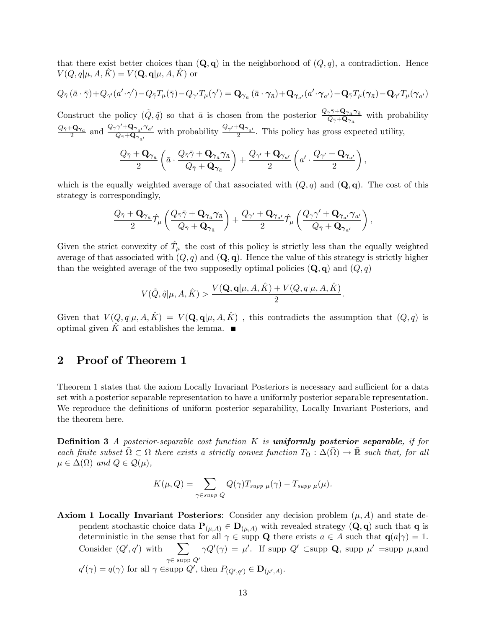that there exist better choices than  $(Q, q)$  in the neighborhood of  $(Q, q)$ , a contradiction. Hence  $V(Q, q | \mu, A, K) = V(\mathbf{Q}, \mathbf{q} | \mu, A, K)$  or

$$
Q_{\bar{\gamma}}(\bar{a}\cdot\bar{\gamma}) + Q_{\gamma'}(a'\cdot\gamma') - Q_{\bar{\gamma}}T_{\mu}(\bar{\gamma}) - Q_{\gamma'}T_{\mu}(\gamma') = \mathbf{Q}_{\pmb{\gamma}_{\bar{a}}}(\bar{a}\cdot\pmb{\gamma}_{\bar{a}}) + \mathbf{Q}_{\pmb{\gamma}_{a'}}(a'\cdot\pmb{\gamma}_{a'}) - \mathbf{Q}_{\bar{\gamma}}T_{\mu}(\pmb{\gamma}_{\bar{a}}) - \mathbf{Q}_{\gamma'}T_{\mu}(\pmb{\gamma}_{a'})
$$

Construct the policy  $(\tilde{Q}, \tilde{q})$  so that  $\bar{a}$  is chosen from the posterior  $\frac{Q_{\bar{\gamma}}\bar{\gamma}+Q_{\gamma_{\bar{a}}}\gamma_{\bar{a}}}{Q_{\bar{\gamma}}+Q_{\gamma_{\bar{a}}}}$  $\frac{\partial^{\gamma}\gamma + \mathbf{Q}\gamma_{\bar{a}}\gamma_{\bar{a}}}{\partial \gamma + \mathbf{Q}\gamma_{\bar{a}}}$  with probability  $\frac{Q_{\bar{\gamma}}+{\bf Q}_{\boldsymbol{\gamma}}_{\bar{a}}}{2}$  and  $\frac{Q_{\gamma}\gamma'+{\bf Q}_{\boldsymbol{\gamma}}_{a'}\boldsymbol{\gamma}_{a'}}{Q_{\bar{\gamma}}+{\bf Q}_{\boldsymbol{\gamma}}_{a'}}$  $\frac{\gamma' + \mathbf{Q}_{\gamma_{a'}} \gamma_{a'}}{\mathcal{Q}_{\bar{\gamma}} + \mathbf{Q}_{\gamma_{a'}}}$  with probability  $\frac{\mathcal{Q}_{\gamma'} + \mathbf{Q}_{\gamma_{a'}}}{2}$ . This policy has gross expected utility,

$$
\frac{Q_{\bar{\gamma}} + \mathbf{Q}_{\pmb{\gamma}_{\bar{a}}}}{2} \left( \bar{a} \cdot \frac{Q_{\bar{\gamma}} \bar{\gamma} + \mathbf{Q}_{\pmb{\gamma}_{\bar{a}} \pmb{\gamma}_{\bar{a}}}}{Q_{\bar{\gamma}} + \mathbf{Q}_{\pmb{\gamma}_{\bar{a}}}} \right) + \frac{Q_{\gamma'} + \mathbf{Q}_{\pmb{\gamma}_{a'}}}{2} \left( a' \cdot \frac{Q_{\gamma'} + \mathbf{Q}_{\pmb{\gamma}_{a'}}}{2} \right),
$$

which is the equally weighted average of that associated with  $(Q, q)$  and  $(Q, q)$ . The cost of this strategy is correspondingly,

$$
\frac{Q_{\bar{\gamma}}+\mathbf{Q}_{\pmb{\gamma}_{\bar{a}}}\hat{T}_{\mu}\left(\frac{Q_{\bar{\gamma}}\bar{\gamma}+\mathbf{Q}_{\pmb{\gamma}_{\bar{a}}}\pmb{\gamma}_{\bar{a}}}{Q_{\bar{\gamma}}+\mathbf{Q}_{\pmb{\gamma}_{\bar{a}}}}\right)+\frac{Q_{\gamma'}+\mathbf{Q}_{\pmb{\gamma}_{a'}}}{2}\hat{T}_{\mu}\left(\frac{Q_{\gamma}\gamma'+\mathbf{Q}_{\pmb{\gamma}_{a'}}\pmb{\gamma}_{a'}}{Q_{\bar{\gamma}}+\mathbf{Q}_{\pmb{\gamma}_{a'}}}\right),
$$

Given the strict convexity of  $\hat{T}_{\mu}$  the cost of this policy is strictly less than the equally weighted average of that associated with  $(Q, q)$  and  $(Q, q)$ . Hence the value of this strategy is strictly higher than the weighted average of the two supposedly optimal policies  $(Q, q)$  and  $(Q, q)$ 

$$
V(\tilde{Q}, \tilde{q} | \mu, A, \hat{K}) > \frac{V(\mathbf{Q}, \mathbf{q} | \mu, A, \hat{K}) + V(Q, q | \mu, A, \hat{K})}{2}.
$$

Given that  $V(Q, q|\mu, A, K) = V(Q, q|\mu, A, K)$ , this contradicts the assumption that  $(Q, q)$  is optimal given K and establishes the lemma.  $\blacksquare$ 

## 2 Proof of Theorem 1

Theorem 1 states that the axiom Locally Invariant Posteriors is necessary and sufficient for a data set with a posterior separable representation to have a uniformly posterior separable representation. We reproduce the definitions of uniform posterior separability, Locally Invariant Posteriors, and the theorem here.

**Definition 3** A posterior-separable cost function K is **uniformly posterior separable**, if for each finite subset  $\overline{\Omega} \subset \Omega$  there exists a strictly convex function  $T_{\overline{\Omega}} : \Delta(\overline{\Omega}) \to \overline{\mathbb{R}}$  such that, for all  $\mu \in \Delta(\Omega)$  and  $Q \in \mathcal{Q}(\mu)$ ,

$$
K(\mu, Q) = \sum_{\gamma \in supp \ Q} Q(\gamma) T_{supp \ \mu}(\gamma) - T_{supp \ \mu}(\mu).
$$

**Axiom 1 Locally Invariant Posteriors:** Consider any decision problem  $(\mu, A)$  and state dependent stochastic choice data  $P_{(\mu,A)} \in D_{(\mu,A)}$  with revealed strategy  $(Q, q)$  such that q is deterministic in the sense that for all  $\gamma \in \text{supp } Q$  there exists  $a \in A$  such that  $q(a|\gamma) = 1$ . Consider  $(Q', q')$  with  $\sum$  $\gamma \in \text{supp } Q'$  $\gamma Q'(\gamma) = \mu'$ . If supp  $Q'$  Csupp  $\mathbf{Q}$ , supp  $\mu'$  =supp  $\mu$ , and  $q'(\gamma) = q(\gamma)$  for all  $\gamma \in \text{supp } Q'$ , then  $P_{(Q',q')} \in \mathbf{D}_{(\mu',A)}$ .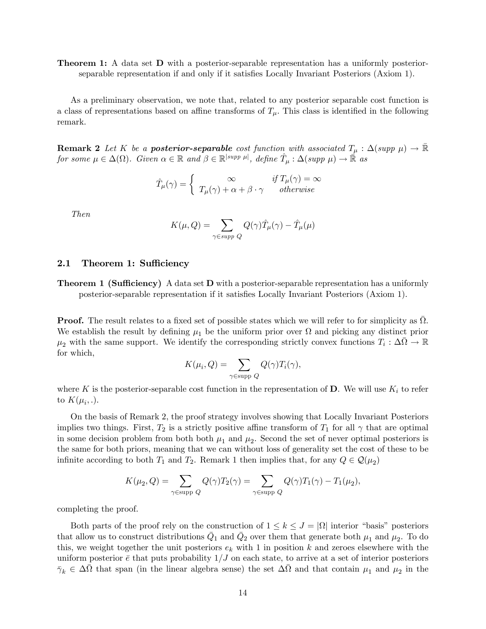**Theorem 1:** A data set **D** with a posterior-separable representation has a uniformly posteriorseparable representation if and only if it satisfies Locally Invariant Posteriors (Axiom 1).

As a preliminary observation, we note that, related to any posterior separable cost function is a class of representations based on affine transforms of  $T_{\mu}$ . This class is identified in the following remark.

**Remark 2** Let K be a **posterior-separable** cost function with associated  $T_{\mu} : \Delta(supp \mu) \to \mathbb{R}$ for some  $\mu \in \Delta(\Omega)$ . Given  $\alpha \in \mathbb{R}$  and  $\beta \in \mathbb{R}^{|supp \mu|}$ , define  $\hat{T}_{\mu} : \Delta(supp \mu) \to \mathbb{R}$  as

$$
\hat{T}_{\mu}(\gamma) = \begin{cases}\n\infty & \text{if } T_{\mu}(\gamma) = \infty \\
T_{\mu}(\gamma) + \alpha + \beta \cdot \gamma & otherwise\n\end{cases}
$$

Then

$$
K(\mu, Q) = \sum_{\gamma \in supp \ Q} Q(\gamma) \hat{T}_{\mu}(\gamma) - \hat{T}_{\mu}(\mu)
$$

#### 2.1 Theorem 1: Sufficiency

**Theorem 1 (Sufficiency)** A data set **D** with a posterior-separable representation has a uniformly posterior-separable representation if it satisfies Locally Invariant Posteriors (Axiom 1).

**Proof.** The result relates to a fixed set of possible states which we will refer to for simplicity as  $\overline{\Omega}$ . We establish the result by defining  $\mu_1$  be the uniform prior over  $\Omega$  and picking any distinct prior  $\mu_2$  with the same support. We identify the corresponding strictly convex functions  $T_i : \Delta \bar{\Omega} \to \mathbb{R}$ for which,

$$
K(\mu_i, Q) = \sum_{\gamma \in \text{supp } Q} Q(\gamma) T_i(\gamma),
$$

where K is the posterior-separable cost function in the representation of D. We will use  $K_i$  to refer to  $K(\mu_i, .).$ 

On the basis of Remark 2, the proof strategy involves showing that Locally Invariant Posteriors implies two things. First,  $T_2$  is a strictly positive affine transform of  $T_1$  for all  $\gamma$  that are optimal in some decision problem from both both  $\mu_1$  and  $\mu_2$ . Second the set of never optimal posteriors is the same for both priors, meaning that we can without loss of generality set the cost of these to be infinite according to both  $T_1$  and  $T_2$ . Remark 1 then implies that, for any  $Q \in \mathcal{Q}(\mu_2)$ 

$$
K(\mu_2, Q) = \sum_{\gamma \in \text{supp } Q} Q(\gamma) T_2(\gamma) = \sum_{\gamma \in \text{supp } Q} Q(\gamma) T_1(\gamma) - T_1(\mu_2),
$$

completing the proof.

Both parts of the proof rely on the construction of  $1 \leq k \leq J = |\Omega|$  interior "basis" posteriors that allow us to construct distributions  $\bar{Q}_1$  and  $\bar{Q}_2$  over them that generate both  $\mu_1$  and  $\mu_2$ . To do this, we weight together the unit posteriors  $e_k$  with 1 in position k and zeroes elsewhere with the uniform posterior  $\bar{e}$  that puts probability  $1/J$  on each state, to arrive at a set of interior posteriors  $\bar{\gamma}_k \in \Delta \bar{\Omega}$  that span (in the linear algebra sense) the set  $\Delta \bar{\Omega}$  and that contain  $\mu_1$  and  $\mu_2$  in the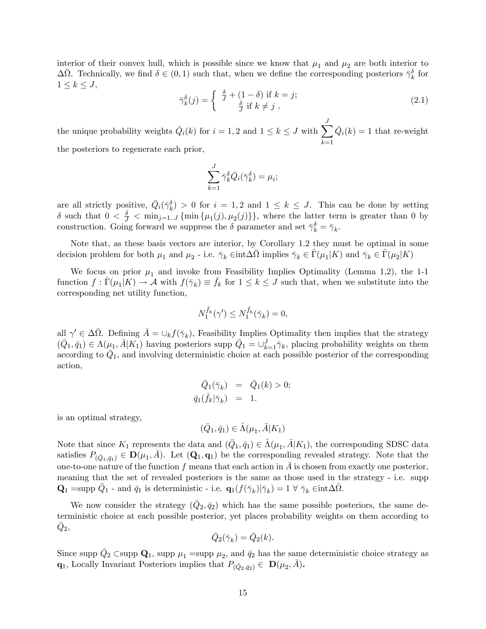interior of their convex hull, which is possible since we know that  $\mu_1$  and  $\mu_2$  are both interior to  $\Delta \bar{\Omega}$ . Technically, we find  $\delta \in (0,1)$  such that, when we define the corresponding posteriors  $\bar{\gamma}_k^{\delta}$  for  $1 \leq k \leq J$ ,

$$
\bar{\gamma}_k^{\delta}(j) = \begin{cases} \frac{\delta}{J} + (1 - \delta) \text{ if } k = j; \\ \frac{\delta}{J} \text{ if } k \neq j \end{cases}
$$
 (2.1)

the unique probability weights  $\overline{Q}_i(k)$  for  $i = 1, 2$  and  $1 \leq k \leq J$  with  $\sum_{i=1}^{J}$  $_{k=1}$  $\overline{Q}_i(k) = 1$  that re-weight the posteriors to regenerate each prior,

$$
\sum_{k=1}^J \bar{\gamma}_k^{\delta} \bar{Q}_i(\bar{\gamma}_k^{\delta}) = \mu_i;
$$

are all strictly positive,  $\overline{Q}_i(\overline{\gamma}_k^{\delta}) > 0$  for  $i = 1, 2$  and  $1 \leq k \leq J$ . This can be done by setting  $\delta$  such that  $0 < \frac{\delta}{J} < \min_{j=1...J} {\min \{\mu_1(j), \mu_2(j)\}}$ , where the latter term is greater than 0 by construction. Going forward we suppress the  $\delta$  parameter and set  $\bar{\gamma}_k^{\delta} = \bar{\gamma}_k$ .

Note that, as these basis vectors are interior, by Corollary 1.2 they must be optimal in some decision problem for both  $\mu_1$  and  $\mu_2$  - i.e.  $\bar{\gamma}_k \in \text{int} \Delta \bar{\Omega}$  implies  $\bar{\gamma}_k \in \hat{\Gamma}(\mu_1 | K)$  and  $\bar{\gamma}_k \in \hat{\Gamma}(\mu_2 | K)$ 

We focus on prior  $\mu_1$  and invoke from Feasibility Implies Optimality (Lemma 1,2), the 1-1 function  $f: \hat{\Gamma}(\mu_1 | K) \to \mathcal{A}$  with  $f(\bar{\gamma}_k) \equiv \bar{f}_k$  for  $1 \leq k \leq J$  such that, when we substitute into the corresponding net utility function,

$$
N_1^{\bar{f}_k}(\gamma') \le N_1^{\bar{f}_k}(\bar{\gamma}_k) = 0,
$$

all  $\gamma' \in \Delta \overline{\Omega}$ . Defining  $\overline{A} = \cup_k f(\overline{\gamma}_k)$ , Feasibility Implies Optimality then implies that the strategy  $(\bar{Q}_1, \bar{q}_1) \in \Lambda(\mu_1, \bar{A}|K_1)$  having posteriors supp  $\bar{Q}_1 = \bigcup_{k=1}^J \bar{\gamma}_k$ , placing probability weights on them according to  $\overline{Q}_1$ , and involving deterministic choice at each possible posterior of the corresponding action,

$$
\begin{array}{rcl}\n\bar{Q}_1(\bar{\gamma}_k) &=& \bar{Q}_1(k) > 0; \\
\bar{q}_1(\bar{f}_k|\bar{\gamma}_k) &=& 1.\n\end{array}
$$

is an optimal strategy,

$$
(\bar{Q}_1, \bar{q}_1) \in \hat{\Lambda}(\mu_1, \bar{A}|K_1)
$$

Note that since  $K_1$  represents the data and  $(\bar{Q}_1, \bar{q}_1) \in \hat{\Lambda}(\mu_1, \bar{A}|K_1)$ , the corresponding SDSC data satisfies  $P_{(\bar{Q}_1,\bar{q}_1)} \in \mathbf{D}(\mu_1,\bar{A})$ . Let  $(\mathbf{Q}_1,\mathbf{q}_1)$  be the corresponding revealed strategy. Note that the one-to-one nature of the function f means that each action in  $\overline{A}$  is chosen from exactly one posterior, meaning that the set of revealed posteriors is the same as those used in the strategy - i.e. supp  $\mathbf{Q}_1 = \text{supp } \bar{Q}_1$  - and  $\bar{q}_1$  is deterministic - i.e.  $\mathbf{q}_1(f(\bar{\gamma}_k)|\bar{\gamma}_k) = 1 \ \forall \ \bar{\gamma}_k \in \text{int} \Delta \bar{\Omega}$ .

We now consider the strategy  $(\bar{Q}_2, \bar{q}_2)$  which has the same possible posteriors, the same deterministic choice at each possible posterior, yet places probability weights on them according to  $\bar{Q}_2,$ 

$$
\overline{Q}_2(\overline{\gamma}_k) = \overline{Q}_2(k).
$$

Since supp  $\bar{Q}_2$  Csupp  $\mathbf{Q}_1$ , supp  $\mu_1$  =supp  $\mu_2$ , and  $\bar{q}_2$  has the same deterministic choice strategy as **q**<sub>1</sub>, Locally Invariant Posteriors implies that  $P_{(\bar{Q}_2, \bar{q}_2)} \in \mathbf{D}(\mu_2, \bar{A}).$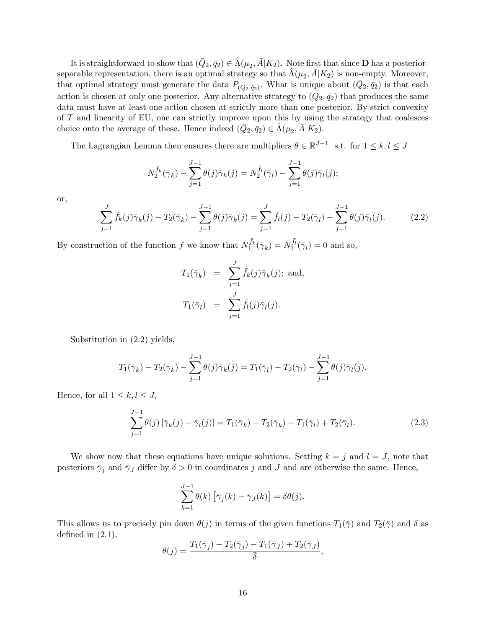It is straightforward to show that  $(Q_2, \bar{q}_2) \in \hat{\Lambda}(\mu_2, \bar{A}|K_2)$ . Note first that since **D** has a posteriorseparable representation, there is an optimal strategy so that  $\hat{\Lambda} (\mu_2, \bar{A} | K_2)$  is non-empty. Moreover, that optimal strategy must generate the data  $P_{(\bar{Q}_2,\bar{q}_2)}$ . What is unique about  $(\bar{Q}_2,\bar{q}_2)$  is that each action is chosen at only one posterior. Any alternative strategy to  $(\bar{Q}_2, \bar{q}_2)$  that produces the same data must have at least one action chosen at strictly more than one posterior. By strict convexity of T and linearity of EU, one can strictly improve upon this by using the strategy that coalesces choice onto the average of these. Hence indeed  $(\bar{Q}_2, \bar{q}_2) \in \hat{\Lambda}(\mu_2, \bar{A}|K_2)$ .

The Lagrangian Lemma then ensures there are multipliers  $\theta \in \mathbb{R}^{J-1}$  s.t. for  $1 \leq k, l \leq J$ 

$$
N_2^{\bar{f}_k}(\bar{\gamma}_k) - \sum_{j=1}^{J-1} \theta(j)\bar{\gamma}_k(j) = N_2^{\bar{f}_l}(\bar{\gamma}_l) - \sum_{j=1}^{J-1} \theta(j)\bar{\gamma}_l(j);
$$

or,

$$
\sum_{j=1}^{J} \bar{f}_k(j)\bar{\gamma}_k(j) - T_2(\bar{\gamma}_k) - \sum_{j=1}^{J-1} \theta(j)\bar{\gamma}_k(j) = \sum_{j=1}^{J} \bar{f}_l(j) - T_2(\bar{\gamma}_l) - \sum_{j=1}^{J-1} \theta(j)\bar{\gamma}_l(j).
$$
 (2.2)

By construction of the function f we know that  $N_1^{\bar{f}_k}(\bar{\gamma}_k) = N_1^{\bar{f}_l}(\bar{\gamma}_l) = 0$  and so,

$$
T_1(\bar{\gamma}_k) = \sum_{j=1}^J \bar{f}_k(j)\bar{\gamma}_k(j); \text{ and,}
$$
  

$$
T_1(\bar{\gamma}_l) = \sum_{j=1}^J \bar{f}_l(j)\bar{\gamma}_l(j).
$$

Substitution in (2.2) yields,

$$
T_1(\bar{\gamma}_k) - T_2(\bar{\gamma}_k) - \sum_{j=1}^{J-1} \theta(j)\bar{\gamma}_k(j) = T_1(\bar{\gamma}_l) - T_2(\bar{\gamma}_l) - \sum_{j=1}^{J-1} \theta(j)\bar{\gamma}_l(j).
$$

Hence, for all  $1 \leq k, l \leq J$ ,

$$
\sum_{j=1}^{J-1} \theta(j) \left[ \bar{\gamma}_k(j) - \bar{\gamma}_l(j) \right] = T_1(\bar{\gamma}_k) - T_2(\bar{\gamma}_k) - T_1(\bar{\gamma}_l) + T_2(\bar{\gamma}_l). \tag{2.3}
$$

We show now that these equations have unique solutions. Setting  $k = j$  and  $l = J$ , note that posteriors  $\bar{\gamma}_j$  and  $\bar{\gamma}_J$  differ by  $\delta > 0$  in coordinates j and J and are otherwise the same. Hence,

$$
\sum_{k=1}^{J-1} \theta(k) \left[ \bar{\gamma}_j(k) - \bar{\gamma}_J(k) \right] = \delta \theta(j).
$$

This allows us to precisely pin down  $\theta(j)$  in terms of the given functions  $T_1(\bar{\gamma})$  and  $T_2(\bar{\gamma})$  and  $\delta$  as defined in  $(2.1)$ ,

$$
\theta(j) = \frac{T_1(\bar{\gamma}_j) - T_2(\bar{\gamma}_j) - T_1(\bar{\gamma}_J) + T_2(\bar{\gamma}_J)}{\bar{\delta}},
$$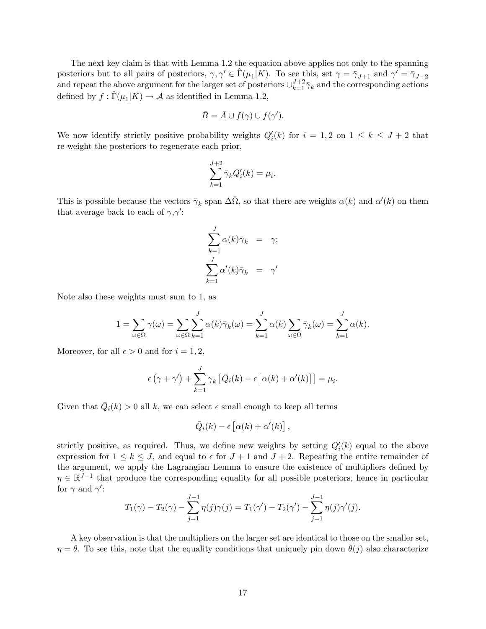The next key claim is that with Lemma 1.2 the equation above applies not only to the spanning posteriors but to all pairs of posteriors,  $\gamma, \gamma' \in \hat{\Gamma}(\mu_1 | K)$ . To see this, set  $\gamma = \bar{\gamma}_{J+1}$  and  $\gamma' = \bar{\gamma}_{J+2}$ and repeat the above argument for the larger set of posteriors  $\cup_{k=1}^{J+2} \bar{\gamma}_k$  and the corresponding actions defined by  $f : \widehat{\Gamma}(\mu_1 | K) \to \mathcal{A}$  as identified in Lemma 1.2,

$$
\bar{B} = \bar{A} \cup f(\gamma) \cup f(\gamma').
$$

We now identify strictly positive probability weights  $Q_i'(k)$  for  $i = 1, 2$  on  $1 \leq k \leq J + 2$  that re-weight the posteriors to regenerate each prior,

$$
\sum_{k=1}^{J+2} \bar{\gamma}_k Q_i'(k) = \mu_i.
$$

This is possible because the vectors  $\bar{\gamma}_k$  span  $\Delta\bar{\Omega}$ , so that there are weights  $\alpha(k)$  and  $\alpha'(k)$  on them that average back to each of  $\gamma$ ,  $\gamma'$ :

$$
\sum_{k=1}^{J} \alpha(k)\bar{\gamma}_k = \gamma;
$$
  

$$
\sum_{k=1}^{J} \alpha'(k)\bar{\gamma}_k = \gamma'
$$

Note also these weights must sum to 1, as

$$
1 = \sum_{\omega \in \Omega} \gamma(\omega) = \sum_{\omega \in \Omega} \sum_{k=1}^{J} \alpha(k) \bar{\gamma}_k(\omega) = \sum_{k=1}^{J} \alpha(k) \sum_{\omega \in \Omega} \bar{\gamma}_k(\omega) = \sum_{k=1}^{J} \alpha(k).
$$

Moreover, for all  $\epsilon > 0$  and for  $i = 1, 2$ ,

$$
\epsilon(\gamma + \gamma') + \sum_{k=1}^{J} \gamma_k \left[ \bar{Q}_i(k) - \epsilon \left[ \alpha(k) + \alpha'(k) \right] \right] = \mu_i.
$$

Given that  $\overline{Q}_i(k) > 0$  all k, we can select  $\epsilon$  small enough to keep all terms

$$
\bar{Q}_i(k) - \epsilon \left[ \alpha(k) + \alpha'(k) \right],
$$

strictly positive, as required. Thus, we define new weights by setting  $Q_i'(k)$  equal to the above expression for  $1 \le k \le J$ , and equal to  $\epsilon$  for  $J + 1$  and  $J + 2$ . Repeating the entire remainder of the argument, we apply the Lagrangian Lemma to ensure the existence of multipliers defined by  $\eta \in \mathbb{R}^{J-1}$  that produce the corresponding equality for all possible posteriors, hence in particular for  $\gamma$  and  $\gamma'$ :

$$
T_1(\gamma) - T_2(\gamma) - \sum_{j=1}^{J-1} \eta(j)\gamma(j) = T_1(\gamma') - T_2(\gamma') - \sum_{j=1}^{J-1} \eta(j)\gamma'(j).
$$

A key observation is that the multipliers on the larger set are identical to those on the smaller set,  $\eta = \theta$ . To see this, note that the equality conditions that uniquely pin down  $\theta(j)$  also characterize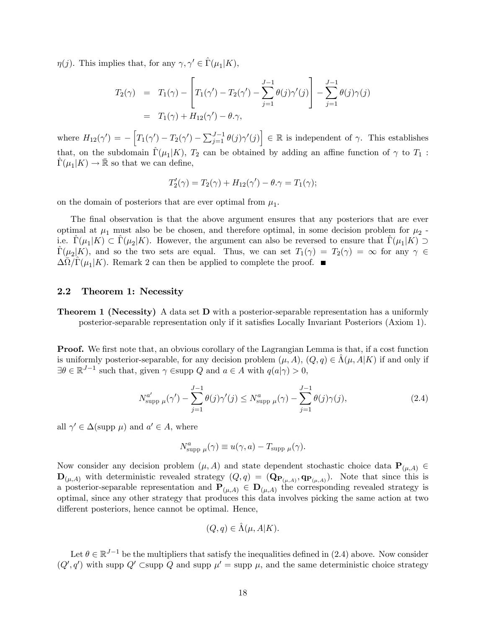$\eta(j)$ . This implies that, for any  $\gamma, \gamma' \in \hat{\Gamma}(\mu_1 | K)$ ,

$$
T_2(\gamma) = T_1(\gamma) - \left[ T_1(\gamma') - T_2(\gamma') - \sum_{j=1}^{J-1} \theta(j) \gamma'(j) \right] - \sum_{j=1}^{J-1} \theta(j) \gamma(j)
$$
  
=  $T_1(\gamma) + H_{12}(\gamma') - \theta \cdot \gamma$ ,

where  $H_{12}(\gamma') = -\left[T_1(\gamma') - T_2(\gamma') - \sum_{j=1}^{J-1} \theta(j)\gamma'(j)\right] \in \mathbb{R}$  is independent of  $\gamma$ . This establishes that, on the subdomain  $\hat{\Gamma} (\mu_1 | K)$ ,  $T_2$  can be obtained by adding an affine function of  $\gamma$  to  $T_1$ :  $\widehat{\Gamma}(\mu_1 | K) \to \overline{\mathbb{R}}$  so that we can define,

$$
T_2'(\gamma) = T_2(\gamma) + H_{12}(\gamma') - \theta.\gamma = T_1(\gamma);
$$

on the domain of posteriors that are ever optimal from  $\mu_1$ .

The final observation is that the above argument ensures that any posteriors that are ever optimal at  $\mu_1$  must also be be chosen, and therefore optimal, in some decision problem for  $\mu_2$ . i.e.  $\hat{\Gamma}(\mu_1|K) \subset \hat{\Gamma}(\mu_2|K)$ . However, the argument can also be reversed to ensure that  $\hat{\Gamma}(\mu_1|K) \supset$  $\hat{\Gamma}(\mu_2|K)$ , and so the two sets are equal. Thus, we can set  $T_1(\gamma) = T_2(\gamma) = \infty$  for any  $\gamma \in$  $\Delta \overline{\Omega}/\widehat{\Gamma}(\mu_1 | K)$ . Remark 2 can then be applied to complete the proof.

#### 2.2 Theorem 1: Necessity

**Theorem 1 (Necessity)** A data set **D** with a posterior-separable representation has a uniformly posterior-separable representation only if it satisfies Locally Invariant Posteriors (Axiom 1).

**Proof.** We first note that, an obvious corollary of the Lagrangian Lemma is that, if a cost function is uniformly posterior-separable, for any decision problem  $(\mu, A), (Q, q) \in \Lambda(\mu, A|K)$  if and only if  $\exists \theta \in \mathbb{R}^{J-1}$  such that, given  $\gamma$   $\in$  supp Q and  $a \in A$  with  $q(a|\gamma) > 0$ ,

$$
N_{\text{supp }\mu}^{a'}(\gamma') - \sum_{j=1}^{J-1} \theta(j)\gamma'(j) \le N_{\text{supp }\mu}^{a}(\gamma) - \sum_{j=1}^{J-1} \theta(j)\gamma(j), \tag{2.4}
$$

all  $\gamma' \in \Delta(\text{supp }\mu)$  and  $a' \in A$ , where

$$
N_{\text{supp }\mu}^{a}(\gamma) \equiv u(\gamma,a)-T_{\text{supp }\mu}(\gamma).
$$

Now consider any decision problem  $(\mu, A)$  and state dependent stochastic choice data  $\mathbf{P}_{(\mu,A)} \in$  $\mathbf{D}_{(\mu,A)}$  with deterministic revealed strategy  $(Q,q) = (\mathbf{Q}_{\mathbf{P}_{(\mu,A)}}, \mathbf{q}_{\mathbf{P}_{(\mu,A)}})$ . Note that since this is a posterior-separable representation and  $\mathbf{P}_{(\mu,A)} \in \mathbf{D}_{(\mu,A)}$  the corresponding revealed strategy is optimal, since any other strategy that produces this data involves picking the same action at two different posteriors, hence cannot be optimal. Hence,

$$
(Q, q) \in \hat{\Lambda}(\mu, A|K).
$$

Let  $\theta \in \mathbb{R}^{J-1}$  be the multipliers that satisfy the inequalities defined in (2.4) above. Now consider  $(Q', q')$  with supp  $Q'$  Csupp  $Q$  and supp  $\mu' = \text{supp } \mu$ , and the same deterministic choice strategy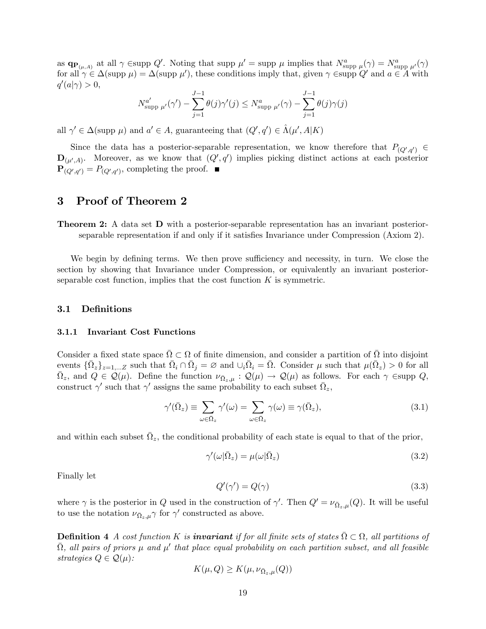as  $\mathbf{q}_{\mathbf{P}(\mu,A)}$  at all  $\gamma \in \text{supp } Q'$ . Noting that supp  $\mu' = \text{supp } \mu$  implies that  $N^a_{\text{supp } \mu}(\gamma) = N^a_{\text{supp } \mu'}(\gamma)$ for all  $\gamma \in \Delta(\text{supp }\mu) = \Delta(\text{supp }\mu')$ , these conditions imply that, given  $\gamma \in \text{supp }Q'$  and  $a \in A$  with  $q'(a|\gamma) > 0,$ 

$$
N_{\text{supp }\mu'}^{a'}(\gamma') - \sum_{j=1}^{J-1} \theta(j)\gamma'(j) \le N_{\text{supp }\mu'}^{a}(\gamma) - \sum_{j=1}^{J-1} \theta(j)\gamma(j)
$$

all  $\gamma' \in \Delta(\text{supp }\mu)$  and  $a' \in A$ , guaranteeing that  $(Q', q') \in \hat{\Lambda}(\mu', A|K)$ 

Since the data has a posterior-separable representation, we know therefore that  $P_{(Q',q')}$   $\in$  $\mathbf{D}_{(\mu',A)}$ . Moreover, as we know that  $(Q',q')$  implies picking distinct actions at each posterior  $\mathbf{P}_{(Q',q')} = P_{(Q',q')}$ , completing the proof.

### 3 Proof of Theorem 2

Theorem 2: A data set D with a posterior-separable representation has an invariant posteriorseparable representation if and only if it satisfies Invariance under Compression (Axiom 2).

We begin by defining terms. We then prove sufficiency and necessity, in turn. We close the section by showing that Invariance under Compression, or equivalently an invariant posteriorseparable cost function, implies that the cost function  $K$  is symmetric.

#### 3.1 DeÖnitions

#### 3.1.1 Invariant Cost Functions

Consider a fixed state space  $\overline{\Omega} \subset \Omega$  of finite dimension, and consider a partition of  $\overline{\Omega}$  into disjoint events  $\{\bar{\Omega}_z\}_{z=1,\dots,Z}$  such that  $\bar{\Omega}_i \cap \bar{\Omega}_j = \varnothing$  and  $\cup_i \bar{\Omega}_i = \bar{\Omega}$ . Consider  $\mu$  such that  $\mu(\bar{\Omega}_z) > 0$  for all  $\overline{\Omega}_z$ , and  $Q \in \mathcal{Q}(\mu)$ . Define the function  $\nu_{\overline{\Omega}_z,\mu}: \mathcal{Q}(\mu) \to \mathcal{Q}(\mu)$  as follows. For each  $\gamma$  Esupp  $Q$ , construct  $\gamma'$  such that  $\gamma'$  assigns the same probability to each subset  $\overline{\Omega}_z$ ,

$$
\gamma'(\bar{\Omega}_z) \equiv \sum_{\omega \in \bar{\Omega}_z} \gamma'(\omega) = \sum_{\omega \in \bar{\Omega}_z} \gamma(\omega) \equiv \gamma(\bar{\Omega}_z),\tag{3.1}
$$

and within each subset  $\bar{\Omega}_z$ , the conditional probability of each state is equal to that of the prior,

$$
\gamma'(\omega|\bar{\Omega}_z) = \mu(\omega|\bar{\Omega}_z) \tag{3.2}
$$

Finally let

$$
Q'(\gamma') = Q(\gamma) \tag{3.3}
$$

where  $\gamma$  is the posterior in Q used in the construction of  $\gamma'$ . Then  $Q' = \nu_{\bar{\Omega}_z,\mu}(Q)$ . It will be useful to use the notation  $\nu_{\bar{\Omega}_z,\mu} \gamma$  for  $\gamma'$  constructed as above.

**Definition 4** A cost function K is **invariant** if for all finite sets of states  $\overline{\Omega} \subset \Omega$ , all partitions of  $\bar{\Omega}$ , all pairs of priors  $\mu$  and  $\mu'$  that place equal probability on each partition subset, and all feasible strategies  $Q \in \mathcal{Q}(\mu)$ :

$$
K(\mu, Q) \ge K(\mu, \nu_{\bar{\Omega}_z, \mu}(Q))
$$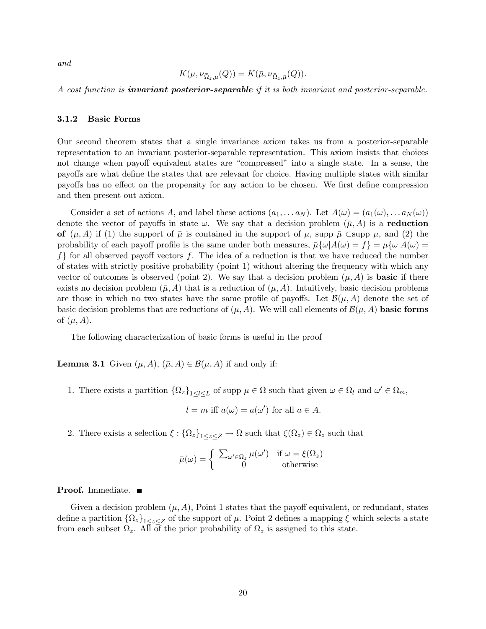and

$$
K(\mu, \nu_{\bar{\Omega}_z, \mu}(Q)) = K(\bar{\mu}, \nu_{\bar{\Omega}_z, \bar{\mu}}(Q)).
$$

A cost function is **invariant posterior-separable** if it is both invariant and posterior-separable.

#### 3.1.2 Basic Forms

Our second theorem states that a single invariance axiom takes us from a posterior-separable representation to an invariant posterior-separable representation. This axiom insists that choices not change when payoff equivalent states are "compressed" into a single state. In a sense, the payoffs are what define the states that are relevant for choice. Having multiple states with similar payoffs has no effect on the propensity for any action to be chosen. We first define compression and then present out axiom.

Consider a set of actions A, and label these actions  $(a_1, \ldots a_N)$ . Let  $A(\omega) = (a_1(\omega), \ldots a_N(\omega))$ denote the vector of payoffs in state  $\omega$ . We say that a decision problem  $(\bar{\mu}, A)$  is a **reduction** of  $(\mu, A)$  if (1) the support of  $\bar{\mu}$  is contained in the support of  $\mu$ , supp  $\bar{\mu}$   $\subset$  supp  $\mu$ , and (2) the probability of each payoff profile is the same under both measures,  $\bar{\mu}\{\omega|A(\omega) = f\} = \mu\{\omega|A(\omega) = f\}$  $f$  for all observed payoff vectors f. The idea of a reduction is that we have reduced the number of states with strictly positive probability (point 1) without altering the frequency with which any vector of outcomes is observed (point 2). We say that a decision problem  $(\mu, A)$  is **basic** if there exists no decision problem  $(\bar{\mu}, A)$  that is a reduction of  $(\mu, A)$ . Intuitively, basic decision problems are those in which no two states have the same profile of payoffs. Let  $\mathcal{B}(\mu, A)$  denote the set of basic decision problems that are reductions of  $(\mu, A)$ . We will call elements of  $\mathcal{B}(\mu, A)$  basic forms of  $(\mu, A)$ .

The following characterization of basic forms is useful in the proof

**Lemma 3.1** Given  $(\mu, A), (\bar{\mu}, A) \in \mathcal{B}(\mu, A)$  if and only if:

1. There exists a partition  $\{\Omega_z\}_{1\leq l\leq L}$  of supp  $\mu \in \Omega$  such that given  $\omega \in \Omega_l$  and  $\omega' \in \Omega_m$ ,

$$
l = m
$$
 iff  $a(\omega) = a(\omega')$  for all  $a \in A$ .

2. There exists a selection  $\xi: {\{\Omega_z\}}_{1\leq z\leq Z} \to \Omega$  such that  $\xi(\Omega_z) \in \Omega_z$  such that

$$
\bar{\mu}(\omega) = \begin{cases} \sum_{\omega' \in \Omega_z} \mu(\omega') & \text{if } \omega = \xi(\Omega_z) \\ 0 & \text{otherwise} \end{cases}
$$

#### Proof. Immediate. ■

Given a decision problem  $(\mu, A)$ , Point 1 states that the payoff equivalent, or redundant, states define a partition  $\{\Omega_z\}_{1 \leq z \leq Z}$  of the support of  $\mu$ . Point 2 defines a mapping  $\xi$  which selects a state from each subset  $\Omega_z$ . All of the prior probability of  $\Omega_z$  is assigned to this state.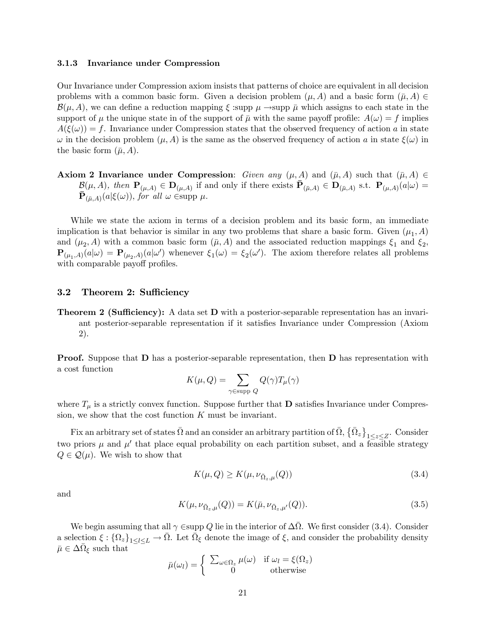#### 3.1.3 Invariance under Compression

Our Invariance under Compression axiom insists that patterns of choice are equivalent in all decision problems with a common basic form. Given a decision problem  $(\mu, A)$  and a basic form  $(\bar{\mu}, A) \in$  $\mathcal{B}(\mu, A)$ , we can define a reduction mapping  $\xi$  supp  $\mu \rightarrow$ supp  $\bar{\mu}$  which assigns to each state in the support of  $\mu$  the unique state in of the support of  $\bar{\mu}$  with the same payoff profile:  $A(\omega) = f$  implies  $A(\xi(\omega)) = f$ . Invariance under Compression states that the observed frequency of action a in state  $\omega$  in the decision problem  $(\mu, A)$  is the same as the observed frequency of action a in state  $\xi(\omega)$  in the basic form  $(\bar{\mu}, A)$ .

**Axiom 2 Invariance under Compression:** Given any  $(\mu, A)$  and  $(\bar{\mu}, A)$  such that  $(\bar{\mu}, A) \in$  $\mathcal{B}(\mu, A)$ , then  $\mathbf{P}_{(\mu, A)} \in \mathbf{D}_{(\mu, A)}$  if and only if there exists  $\overline{\mathbf{P}}_{(\overline{\mu}, A)} \in \mathbf{D}_{(\overline{\mu}, A)}$  s.t.  $\mathbf{P}_{(\mu, A)}(a|\omega) =$  $\bar{\mathbf{P}}_{(\bar{\mu},A)}(a|\xi(\omega)),$  for all  $\omega \in \text{supp }\mu$ .

While we state the axiom in terms of a decision problem and its basic form, an immediate implication is that behavior is similar in any two problems that share a basic form. Given  $(\mu_1, A)$ and  $(\mu_2, A)$  with a common basic form  $(\bar{\mu}, A)$  and the associated reduction mappings  $\xi_1$  and  $\xi_2$ ,  $\mathbf{P}_{(\mu_1,A)}(a|\omega) = \mathbf{P}_{(\mu_2,A)}(a|\omega')$  whenever  $\xi_1(\omega) = \xi_2(\omega')$ . The axiom therefore relates all problems with comparable payoff profiles.

### 3.2 Theorem 2: Sufficiency

**Theorem 2 (Sufficiency):** A data set  $\bf{D}$  with a posterior-separable representation has an invariant posterior-separable representation if it satisfies Invariance under Compression (Axiom 2).

**Proof.** Suppose that **D** has a posterior-separable representation, then **D** has representation with a cost function

$$
K(\mu, Q) = \sum_{\gamma \in \text{supp } Q} Q(\gamma) T_{\mu}(\gamma)
$$

where  $T_{\mu}$  is a strictly convex function. Suppose further that **D** satisfies Invariance under Compression, we show that the cost function  $K$  must be invariant.

Fix an arbitrary set of states  $\bar{\Omega}$  and an consider an arbitrary partition of  $\bar{\Omega}, \{\bar{\Omega}_z\}$  $\sum_{1 \leq z \leq Z}$ . Consider two priors  $\mu$  and  $\mu'$  that place equal probability on each partition subset, and a feasible strategy  $Q \in \mathcal{Q}(\mu)$ . We wish to show that

$$
K(\mu, Q) \ge K(\mu, \nu_{\bar{\Omega}_z, \mu}(Q))
$$
\n(3.4)

and

$$
K(\mu, \nu_{\bar{\Omega}_z, \mu}(Q)) = K(\bar{\mu}, \nu_{\bar{\Omega}_z, \mu'}(Q)).
$$
\n(3.5)

We begin assuming that all  $\gamma \in \text{supp } Q$  lie in the interior of  $\Delta \overline{\Omega}$ . We first consider (3.4). Consider a selection  $\xi: \{\Omega_z\}_{1\leq l\leq L} \to \overline{\Omega}$ . Let  $\overline{\Omega}_{\xi}$  denote the image of  $\xi$ , and consider the probability density  $\bar{\mu} \in \Delta \bar{\Omega}_{\xi}$  such that

$$
\bar{\mu}(\omega_l) = \begin{cases} \sum_{\omega \in \Omega_z} \mu(\omega) & \text{if } \omega_l = \xi(\Omega_z) \\ 0 & \text{otherwise} \end{cases}
$$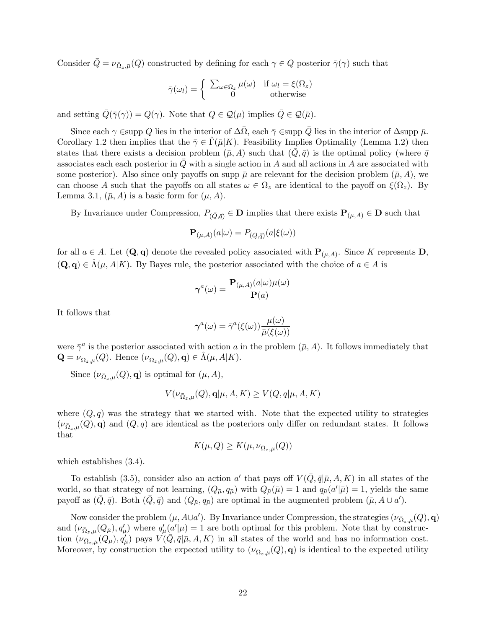Consider  $\bar{Q} = \nu_{\bar{\Omega}_z,\bar{\mu}}(Q)$  constructed by defining for each  $\gamma \in Q$  posterior  $\bar{\gamma}(\gamma)$  such that

$$
\bar{\gamma}(\omega_l) = \begin{cases} \sum_{\omega \in \Omega_z} \mu(\omega) & \text{if } \omega_l = \xi(\Omega_z) \\ 0 & \text{otherwise} \end{cases}
$$

and setting  $\overline{Q}(\overline{\gamma}(\gamma)) = Q(\gamma)$ . Note that  $Q \in \mathcal{Q}(\mu)$  implies  $\overline{Q} \in \mathcal{Q}(\overline{\mu})$ .

Since each  $\gamma$  Esupp Q lies in the interior of  $\Delta \bar{\Omega}$ , each  $\bar{\gamma}$  Esupp  $\bar{Q}$  lies in the interior of  $\Delta$ supp  $\bar{\mu}$ . Corollary 1.2 then implies that the  $\bar{\gamma} \in \Gamma(\bar{\mu}|K)$ . Feasibility Implies Optimality (Lemma 1.2) then states that there exists a decision problem  $(\bar{\mu}, A)$  such that  $(\bar{Q}, \bar{q})$  is the optimal policy (where  $\bar{q}$ associates each each posterior in  $Q$  with a single action in  $A$  and all actions in  $A$  are associated with some posterior). Also since only payoffs on supp  $\bar{\mu}$  are relevant for the decision problem  $(\bar{\mu}, A)$ , we can choose A such that the payoffs on all states  $\omega \in \Omega_z$  are identical to the payoff on  $\xi(\Omega_z)$ . By Lemma 3.1,  $(\bar{\mu}, A)$  is a basic form for  $(\mu, A)$ .

By Invariance under Compression,  $P_{(\bar{Q}, \bar{q})} \in \mathbf{D}$  implies that there exists  $\mathbf{P}_{(\mu, A)} \in \mathbf{D}$  such that

$$
\mathbf{P}_{(\mu,A)}(a|\omega) = P_{(\bar{Q},\bar{q})}(a|\xi(\omega))
$$

for all  $a \in A$ . Let  $(Q, q)$  denote the revealed policy associated with  $P_{(\mu,A)}$ . Since K represents D,  $(Q, q) \in \Lambda(\mu, A | K)$ . By Bayes rule, the posterior associated with the choice of  $a \in A$  is

$$
\boldsymbol{\gamma}^{a}(\omega)=\frac{\mathbf{P}_{(\mu,A)}(a|\omega)\mu(\omega)}{\mathbf{P}(a)}
$$

It follows that

$$
\boldsymbol{\gamma}^{a}(\omega)=\bar{\gamma}^{a}(\xi(\omega))\frac{\mu(\omega)}{\bar{\mu}(\xi(\omega))}
$$

were  $\bar{\gamma}^a$  is the posterior associated with action a in the problem  $(\bar{\mu}, A)$ . It follows immediately that  $\mathbf{Q} = \nu_{\bar{\Omega}_z,\mu}(Q)$ . Hence  $(\nu_{\bar{\Omega}_z,\mu}(Q), \mathbf{q}) \in \hat{\Lambda}(\mu, A|K)$ .

Since  $(\nu_{\bar{\Omega}_z,\mu}(Q), \mathbf{q})$  is optimal for  $(\mu, A)$ ,

$$
V(\nu_{\bar{\Omega}_z,\mu}(Q),\mathbf{q}|\mu,A,K)\geq V(Q,q|\mu,A,K)
$$

where  $(Q, q)$  was the strategy that we started with. Note that the expected utility to strategies  $(\nu_{\bar{\Omega}_z,\mu}(Q),\mathbf{q})$  and  $(Q,q)$  are identical as the posteriors only differ on redundant states. It follows that

$$
K(\mu, Q) \ge K(\mu, \nu_{\bar{\Omega}_z, \mu}(Q))
$$

which establishes  $(3.4)$ .

To establish (3.5), consider also an action a' that pays off  $V(Q, \bar{q} | \bar{\mu}, A, K)$  in all states of the world, so that strategy of not learning,  $(Q_{\bar{\mu}}, q_{\bar{\mu}})$  with  $Q_{\bar{\mu}}(\bar{\mu}) = 1$  and  $q_{\bar{\mu}}(a'|\bar{\mu}) = 1$ , yields the same payoff as  $(\bar{Q}, \bar{q})$ . Both  $(\bar{Q}, \bar{q})$  and  $(Q_{\bar{\mu}}, q_{\bar{\mu}})$  are optimal in the augmented problem  $(\bar{\mu}, A \cup a')$ .

Now consider the problem  $(\mu, A \cup a')$ . By Invariance under Compression, the strategies  $(\nu_{\bar{\Omega}_z,\mu}(Q), \mathbf{q})$ and  $(\nu_{\bar{\Omega}_z,\mu}(Q_{\bar{\mu}}), q_{\bar{\mu}})$  where  $q_{\bar{\mu}}'(a'|\mu) = 1$  are both optimal for this problem. Note that by construction  $(\nu_{\bar{\Omega}_z,\mu}(Q_{\bar{\mu}}), \dot{q}_{\bar{\mu}}')$  pays  $V(\bar{Q}, \bar{q}|\bar{\mu}, A, K)$  in all states of the world and has no information cost. Moreover, by construction the expected utility to  $(\nu_{\bar{\Omega}_z,\mu}(Q), \mathbf{q})$  is identical to the expected utility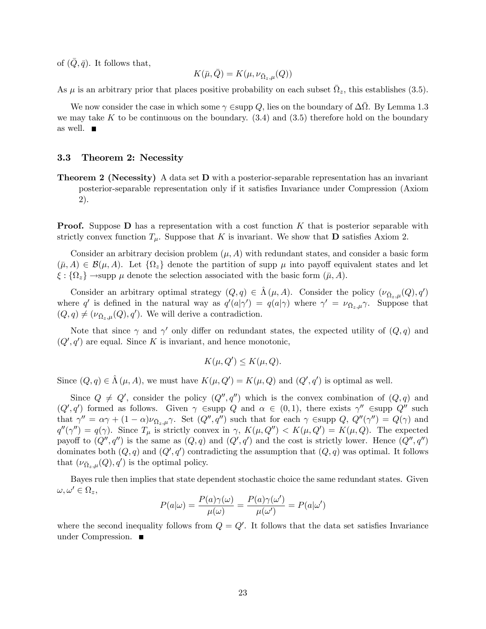of  $(Q, \bar{q})$ . It follows that,

$$
K(\bar{\mu},\bar{Q})=K(\mu,\nu_{\bar{\Omega}_z,\mu}(Q))
$$

As  $\mu$  is an arbitrary prior that places positive probability on each subset  $\bar{\Omega}_z$ , this establishes (3.5).

We now consider the case in which some  $\gamma$   $\in$ supp Q, lies on the boundary of  $\Delta\bar{\Omega}$ . By Lemma 1.3 we may take K to be continuous on the boundary.  $(3.4)$  and  $(3.5)$  therefore hold on the boundary as well.

#### 3.3 Theorem 2: Necessity

**Theorem 2 (Necessity)** A data set **D** with a posterior-separable representation has an invariant posterior-separable representation only if it satisfies Invariance under Compression (Axiom 2).

**Proof.** Suppose  $D$  has a representation with a cost function K that is posterior separable with strictly convex function  $T_{\mu}$ . Suppose that K is invariant. We show that **D** satisfies Axiom 2.

Consider an arbitrary decision problem  $(\mu, A)$  with redundant states, and consider a basic form  $(\bar{\mu}, A) \in \mathcal{B}(\mu, A)$ . Let  $\{\Omega_z\}$  denote the partition of supp  $\mu$  into payoff equivalent states and let  $\xi: \{\Omega_z\} \longrightarrow \text{supp } \mu \text{ denote the selection associated with the basic form } (\bar{\mu}, A).$ 

Consider an arbitrary optimal strategy  $(Q, q) \in \hat{\Lambda} (\mu, A)$ . Consider the policy  $(\nu_{\bar{\Omega}_z,\mu}(Q), q')$ where q' is defined in the natural way as  $q'(a|\gamma') = q(a|\gamma)$  where  $\gamma' = \nu_{\bar{\Omega}_z,\mu}\gamma$ . Suppose that  $(Q, q) \neq (\nu_{\bar{\Omega}_z,\mu}(Q), q')$ . We will derive a contradiction.

Note that since  $\gamma$  and  $\gamma'$  only differ on redundant states, the expected utility of  $(Q, q)$  and  $(Q', q')$  are equal. Since K is invariant, and hence monotonic,

$$
K(\mu, Q') \le K(\mu, Q).
$$

Since  $(Q, q) \in \hat{\Lambda} (\mu, A)$ , we must have  $K(\mu, Q') = K(\mu, Q)$  and  $(Q', q')$  is optimal as well.

Since  $Q \neq Q'$ , consider the policy  $(Q'', q'')$  which is the convex combination of  $(Q, q)$  and  $(Q', q')$  formed as follows. Given  $\gamma \in \text{supp } Q$  and  $\alpha \in (0, 1)$ , there exists  $\gamma'' \in \text{supp } Q''$  such that  $\gamma'' = \alpha \gamma + (1 - \alpha) \nu_{\bar{\Omega}_z,\mu} \gamma$ . Set  $(Q'', q'')$  such that for each  $\gamma$   $\in$ supp  $Q, Q''(\gamma'') = Q(\gamma)$  and  $q''(\gamma'') = q(\gamma)$ . Since  $T_{\mu}$  is strictly convex in  $\gamma$ ,  $K(\mu, Q'') < K(\mu, Q') = K(\mu, Q)$ . The expected payoff to  $(Q'', q'')$  is the same as  $(Q, q)$  and  $(Q', q')$  and the cost is strictly lower. Hence  $(Q'', q'')$ dominates both  $(Q, q)$  and  $(Q', q')$  contradicting the assumption that  $(Q, q)$  was optimal. It follows that  $(\nu_{\bar{\Omega}_z,\mu}(Q), q')$  is the optimal policy.

Bayes rule then implies that state dependent stochastic choice the same redundant states. Given  $\omega, \omega' \in \Omega_z,$ 

$$
P(a|\omega) = \frac{P(a)\gamma(\omega)}{\mu(\omega)} = \frac{P(a)\gamma(\omega')}{\mu(\omega')} = P(a|\omega')
$$

where the second inequality follows from  $Q = Q'$ . It follows that the data set satisfies Invariance under Compression.  $\blacksquare$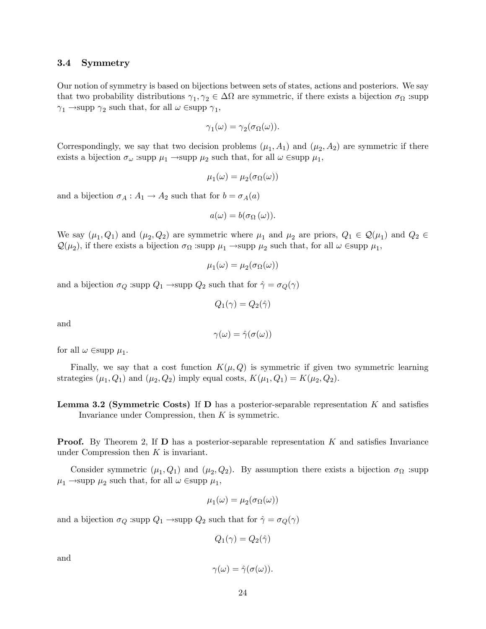#### 3.4 Symmetry

Our notion of symmetry is based on bijections between sets of states, actions and posteriors. We say that two probability distributions  $\gamma_1, \gamma_2 \in \Delta\Omega$  are symmetric, if there exists a bijection  $\sigma_{\Omega}$  :supp  $\gamma_1 \rightarrow$ supp  $\gamma_2$  such that, for all  $\omega \in$ supp  $\gamma_1$ ,

$$
\gamma_1(\omega) = \gamma_2(\sigma_{\Omega}(\omega)).
$$

Correspondingly, we say that two decision problems  $(\mu_1, A_1)$  and  $(\mu_2, A_2)$  are symmetric if there exists a bijection  $\sigma_{\omega}$  :supp  $\mu_1 \rightarrow$ supp  $\mu_2$  such that, for all  $\omega$   $\in$ supp  $\mu_1$ ,

$$
\mu_1(\omega)=\mu_2(\sigma_\Omega(\omega))
$$

and a bijection  $\sigma_A : A_1 \to A_2$  such that for  $b = \sigma_A(a)$ 

$$
a(\omega) = b(\sigma_{\Omega}(\omega)).
$$

We say  $(\mu_1, Q_1)$  and  $(\mu_2, Q_2)$  are symmetric where  $\mu_1$  and  $\mu_2$  are priors,  $Q_1 \in \mathcal{Q}(\mu_1)$  and  $Q_2 \in$  $\mathcal{Q}(\mu_2)$ , if there exists a bijection  $\sigma_{\Omega}$  :supp  $\mu_1 \to \text{supp } \mu_2$  such that, for all  $\omega \in \text{supp } \mu_1$ ,

$$
\mu_1(\omega) = \mu_2(\sigma_{\Omega}(\omega))
$$

and a bijection  $\sigma_Q$  :supp  $Q_1 \rightarrow$ supp  $Q_2$  such that for  $\hat{\gamma} = \sigma_Q(\gamma)$ 

$$
Q_1(\gamma)=Q_2(\hat{\gamma})
$$

and

$$
\gamma(\omega)=\hat{\gamma}(\sigma(\omega))
$$

for all  $\omega \in \text{supp } \mu_1$ .

Finally, we say that a cost function  $K(\mu, Q)$  is symmetric if given two symmetric learning strategies  $(\mu_1, Q_1)$  and  $(\mu_2, Q_2)$  imply equal costs,  $K(\mu_1, Q_1) = K(\mu_2, Q_2)$ .

**Lemma 3.2 (Symmetric Costs)** If **D** has a posterior-separable representation  $K$  and satisfies Invariance under Compression, then  $K$  is symmetric.

**Proof.** By Theorem 2, If  $\bf{D}$  has a posterior-separable representation K and satisfies Invariance under Compression then  $K$  is invariant.

Consider symmetric  $(\mu_1, Q_1)$  and  $(\mu_2, Q_2)$ . By assumption there exists a bijection  $\sigma_{\Omega}$  :supp  $\mu_1 \rightarrow$ supp  $\mu_2$  such that, for all  $\omega \in$ supp  $\mu_1$ ,

$$
\mu_1(\omega) = \mu_2(\sigma_{\Omega}(\omega))
$$

and a bijection  $\sigma_Q$  :supp  $Q_1 \rightarrow$ supp  $Q_2$  such that for  $\hat{\gamma} = \sigma_Q(\gamma)$ 

$$
Q_1(\gamma)=Q_2(\hat{\gamma})
$$

and

$$
\gamma(\omega)=\hat{\gamma}(\sigma(\omega)).
$$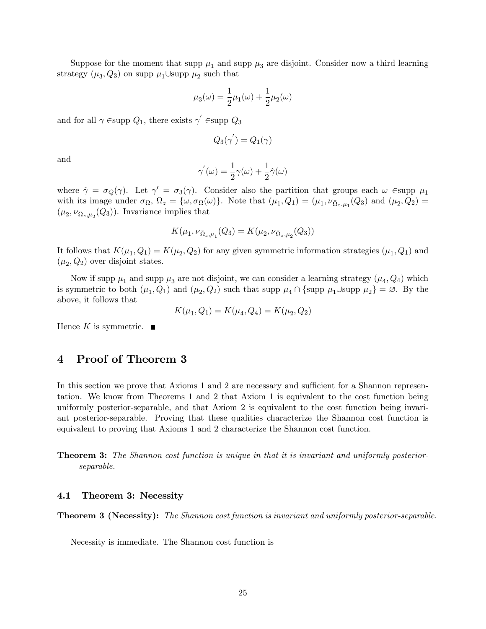Suppose for the moment that supp  $\mu_1$  and supp  $\mu_3$  are disjoint. Consider now a third learning strategy  $(\mu_3, Q_3)$  on supp  $\mu_1 \cup$ supp  $\mu_2$  such that

$$
\mu_3(\omega) = \frac{1}{2}\mu_1(\omega) + \frac{1}{2}\mu_2(\omega)
$$

and for all  $\gamma \in \text{supp } Q_1$ , there exists  $\gamma' \in \text{supp } Q_3$ 

$$
Q_3(\gamma^{'})=Q_1(\gamma)
$$

and

$$
\gamma^{'}(\omega)=\frac{1}{2}\gamma(\omega)+\frac{1}{2}\hat{\gamma}(\omega)
$$

where  $\hat{\gamma} = \sigma_Q(\gamma)$ . Let  $\gamma' = \sigma_3(\gamma)$ . Consider also the partition that groups each  $\omega$  Esupp  $\mu_1$ with its image under  $\sigma_{\Omega}$ ,  $\Omega_z = {\omega, \sigma_{\Omega}(\omega)}$ . Note that  $(\mu_1, Q_1) = (\mu_1, \nu_{\overline{\Omega}_z, \mu_1}(Q_3))$  and  $(\mu_2, Q_2) =$  $(\mu_2, \nu_{\bar{\Omega}_z, \mu_2}(Q_3))$ . Invariance implies that

$$
K(\mu_1, \nu_{\bar{\Omega}_z, \mu_1}(Q_3) = K(\mu_2, \nu_{\bar{\Omega}_z, \mu_2}(Q_3))
$$

It follows that  $K(\mu_1, Q_1) = K(\mu_2, Q_2)$  for any given symmetric information strategies  $(\mu_1, Q_1)$  and  $(\mu_2, Q_2)$  over disjoint states.

Now if supp  $\mu_1$  and supp  $\mu_3$  are not disjoint, we can consider a learning strategy  $(\mu_4, Q_4)$  which is symmetric to both  $(\mu_1, Q_1)$  and  $(\mu_2, Q_2)$  such that supp  $\mu_4 \cap \{\text{supp } \mu_1 \cup \text{supp } \mu_2\} = \emptyset$ . By the above, it follows that

$$
K(\mu_1, Q_1) = K(\mu_4, Q_4) = K(\mu_2, Q_2)
$$

Hence K is symmetric.  $\blacksquare$ 

## 4 Proof of Theorem 3

In this section we prove that Axioms 1 and 2 are necessary and sufficient for a Shannon representation. We know from Theorems 1 and 2 that Axiom 1 is equivalent to the cost function being uniformly posterior-separable, and that Axiom 2 is equivalent to the cost function being invariant posterior-separable. Proving that these qualities characterize the Shannon cost function is equivalent to proving that Axioms 1 and 2 characterize the Shannon cost function.

**Theorem 3:** The Shannon cost function is unique in that it is invariant and uniformly posteriorseparable.

#### 4.1 Theorem 3: Necessity

**Theorem 3 (Necessity):** The Shannon cost function is invariant and uniformly posterior-separable.

Necessity is immediate. The Shannon cost function is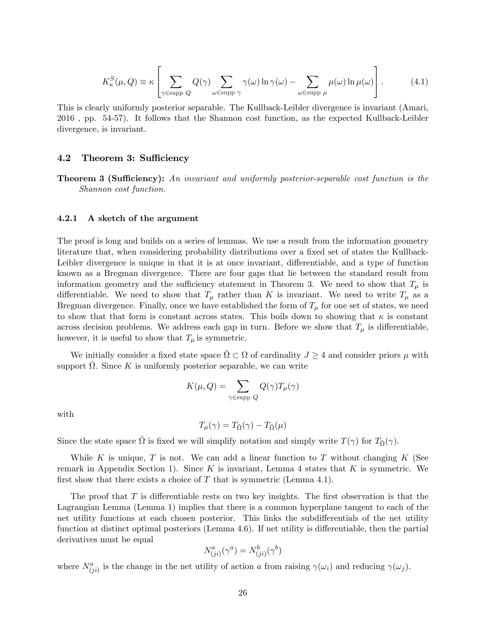$$
K_{\kappa}^{S}(\mu, Q) \equiv \kappa \left[ \sum_{\gamma \in \text{supp } Q} Q(\gamma) \sum_{\omega \in \text{supp } \gamma} \gamma(\omega) \ln \gamma(\omega) - \sum_{\omega \in \text{supp } \mu} \mu(\omega) \ln \mu(\omega) \right].
$$
 (4.1)

This is clearly uniformly posterior separable. The Kullback-Leibler divergence is invariant (Amari, 2016 , pp. 54-57). It follows that the Shannon cost function, as the expected Kullback-Leibler divergence, is invariant.

#### 4.2 Theorem 3: Sufficiency

**Theorem 3 (Sufficiency):** An invariant and uniformly posterior-separable cost function is the Shannon cost function.

#### 4.2.1 A sketch of the argument

The proof is long and builds on a series of lemmas. We use a result from the information geometry literature that, when considering probability distributions over a fixed set of states the Kullback-Leibler divergence is unique in that it is at once invariant, differentiable, and a type of function known as a Bregman divergence. There are four gaps that lie between the standard result from information geometry and the sufficiency statement in Theorem 3. We need to show that  $T_{\mu}$  is differentiable. We need to show that  $T_{\mu}$  rather than K is invariant. We need to write  $T_{\mu}$  as a Bregman divergence. Finally, once we have established the form of  $T_{\mu}$  for one set of states, we need to show that that form is constant across states. This boils down to showing that  $\kappa$  is constant across decision problems. We address each gap in turn. Before we show that  $T_{\mu}$  is differentiable, however, it is useful to show that  $T_{\mu}$  is symmetric.

We initially consider a fixed state space  $\overline{\Omega} \subset \Omega$  of cardinality  $J \geq 4$  and consider priors  $\mu$  with support  $\overline{\Omega}$ . Since K is uniformly posterior separable, we can write

$$
K(\mu, Q) = \sum_{\gamma \in \text{supp } Q} Q(\gamma) T_{\mu}(\gamma)
$$

with

$$
T_{\mu}(\gamma) = T_{\bar{\Omega}}(\gamma) - T_{\bar{\Omega}}(\mu)
$$

Since the state space  $\bar{\Omega}$  is fixed we will simplify notation and simply write  $T(\gamma)$  for  $T_{\bar{\Omega}}(\gamma)$ .

While K is unique, T is not. We can add a linear function to T without changing K (See remark in Appendix Section 1). Since K is invariant, Lemma 4 states that K is symmetric. We first show that there exists a choice of  $T$  that is symmetric (Lemma 4.1).

The proof that  $T$  is differentiable rests on two key insights. The first observation is that the Lagrangian Lemma (Lemma 1) implies that there is a common hyperplane tangent to each of the net utility functions at each chosen posterior. This links the subdifferentials of the net utility function at distinct optimal posteriors (Lemma 4.6). If net utility is differentiable, then the partial derivatives must be equal

$$
N_{(ji)}^a(\gamma^a) = N_{(ji)}^b(\gamma^b)
$$

where  $N^a_{(ji)}$  is the change in the net utility of action a from raising  $\gamma(\omega_i)$  and reducing  $\gamma(\omega_j)$ .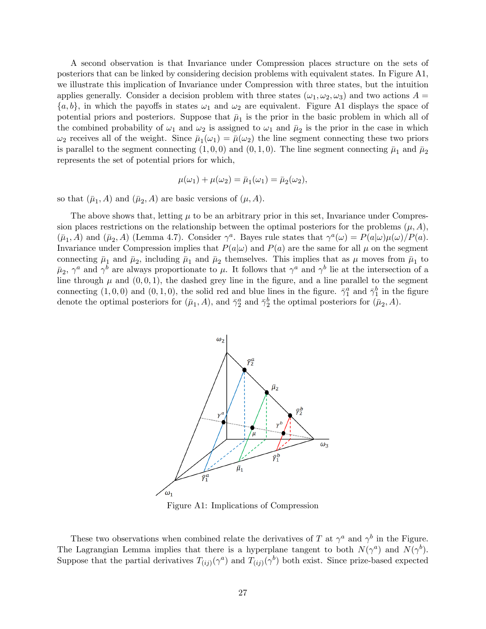A second observation is that Invariance under Compression places structure on the sets of posteriors that can be linked by considering decision problems with equivalent states. In Figure A1, we illustrate this implication of Invariance under Compression with three states, but the intuition applies generally. Consider a decision problem with three states  $(\omega_1, \omega_2, \omega_3)$  and two actions  $A =$  $\{a, b\}$ , in which the payoffs in states  $\omega_1$  and  $\omega_2$  are equivalent. Figure A1 displays the space of potential priors and posteriors. Suppose that  $\bar{\mu}_1$  is the prior in the basic problem in which all of the combined probability of  $\omega_1$  and  $\omega_2$  is assigned to  $\omega_1$  and  $\bar{\mu}_2$  is the prior in the case in which  $\omega_2$  receives all of the weight. Since  $\bar{\mu}_1(\omega_1) = \bar{\mu}(\omega_2)$  the line segment connecting these two priors is parallel to the segment connecting  $(1,0,0)$  and  $(0,1,0)$ . The line segment connecting  $\bar{\mu}_1$  and  $\bar{\mu}_2$ represents the set of potential priors for which,

$$
\mu(\omega_1) + \mu(\omega_2) = \bar{\mu}_1(\omega_1) = \bar{\mu}_2(\omega_2),
$$

so that  $(\bar{\mu}_1, A)$  and  $(\bar{\mu}_2, A)$  are basic versions of  $(\mu, A)$ .

The above shows that, letting  $\mu$  to be an arbitrary prior in this set, Invariance under Compression places restrictions on the relationship between the optimal posteriors for the problems  $(\mu, A)$ ,  $(\bar{\mu}_1, A)$  and  $(\bar{\mu}_2, A)$  (Lemma 4.7). Consider  $\gamma^a$ . Bayes rule states that  $\gamma^a(\omega) = P(a|\omega)\mu(\omega)/P(a)$ . Invariance under Compression implies that  $P(a|\omega)$  and  $P(a)$  are the same for all  $\mu$  on the segment connecting  $\bar{\mu}_1$  and  $\bar{\mu}_2$ , including  $\bar{\mu}_1$  and  $\bar{\mu}_2$  themselves. This implies that as  $\mu$  moves from  $\bar{\mu}_1$  to  $\bar{\mu}_2$ ,  $\gamma^a$  and  $\gamma^b$  are always proportionate to  $\mu$ . It follows that  $\gamma^a$  and  $\gamma^b$  lie at the intersection of a line through  $\mu$  and  $(0, 0, 1)$ , the dashed grey line in the figure, and a line parallel to the segment connecting  $(1,0,0)$  and  $(0,1,0)$ , the solid red and blue lines in the figure.  $\bar{\gamma}_1^a$  and  $\bar{\gamma}_1^b$  in the figure denote the optimal posteriors for  $(\bar{\mu}_1, A)$ , and  $\bar{\gamma}_2^a$  and  $\bar{\gamma}_2^b$  the optimal posteriors for  $(\bar{\mu}_2, A)$ .



Figure A1: Implications of Compression

These two observations when combined relate the derivatives of T at  $\gamma^a$  and  $\gamma^b$  in the Figure. The Lagrangian Lemma implies that there is a hyperplane tangent to both  $N(\gamma^a)$  and  $N(\gamma^b)$ . Suppose that the partial derivatives  $T_{(ij)}(\gamma^a)$  and  $T_{(ij)}(\gamma^b)$  both exist. Since prize-based expected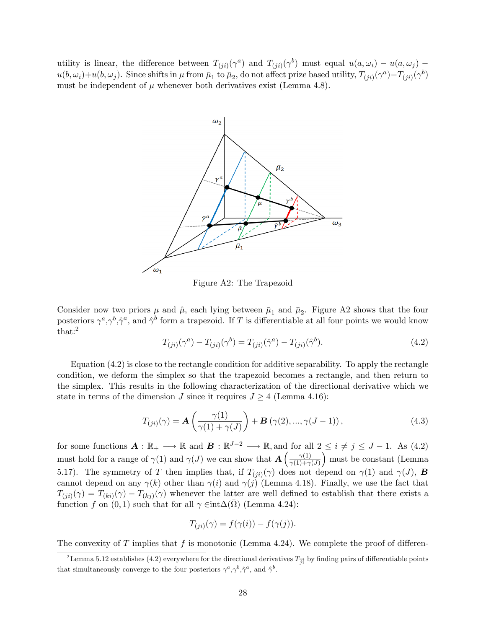utility is linear, the difference between  $T_{(ji)}(\gamma^a)$  and  $T_{(ji)}(\gamma^b)$  must equal  $u(a,\omega_i) - u(a,\omega_j)$  $u(b,\omega_i)+u(b,\omega_j)$ . Since shifts in  $\mu$  from  $\bar{\mu}_1$  to  $\bar{\mu}_2$ , do not affect prize based utility,  $T_{(ji)}(\gamma^a)-T_{(ji)}(\gamma^b)$ must be independent of  $\mu$  whenever both derivatives exist (Lemma 4.8).



Figure A2: The Trapezoid

Consider now two priors  $\mu$  and  $\hat{\mu}$ , each lying between  $\bar{\mu}_1$  and  $\bar{\mu}_2$ . Figure A2 shows that the four posteriors  $\gamma^a, \gamma^b, \hat{\gamma}^a$ , and  $\hat{\gamma}^b$  form a trapezoid. If T is differentiable at all four points we would know that:<sup>2</sup>

$$
T_{(ji)}(\gamma^a) - T_{(ji)}(\gamma^b) = T_{(ji)}(\hat{\gamma}^a) - T_{(ji)}(\hat{\gamma}^b). \tag{4.2}
$$

Equation (4.2) is close to the rectangle condition for additive separability. To apply the rectangle condition, we deform the simplex so that the trapezoid becomes a rectangle, and then return to the simplex. This results in the following characterization of the directional derivative which we state in terms of the dimension J since it requires  $J \geq 4$  (Lemma 4.16):

$$
T_{(ji)}(\gamma) = \mathbf{A}\left(\frac{\gamma(1)}{\gamma(1) + \gamma(J)}\right) + \mathbf{B}\left(\gamma(2), ..., \gamma(J-1)\right),\tag{4.3}
$$

for some functions  $\mathbf{A}: \mathbb{R}_+ \longrightarrow \mathbb{R}$  and  $\mathbf{B}: \mathbb{R}^{J-2} \longrightarrow \mathbb{R}$ , and for all  $2 \leq i \neq j \leq J-1$ . As (4.2) must hold for a range of  $\gamma(1)$  and  $\gamma(J)$  we can show that  $\mathbf{A} \left( \frac{\gamma(1)}{\gamma(1)+\gamma} \right)$  $\gamma(1)+\gamma(J)$  must be constant (Lemma 5.17). The symmetry of T then implies that, if  $T_{(ji)}(\gamma)$  does not depend on  $\gamma(1)$  and  $\gamma(J)$ , **B** cannot depend on any  $\gamma(k)$  other than  $\gamma(i)$  and  $\gamma(j)$  (Lemma 4.18). Finally, we use the fact that  $T_{(ji)}(\gamma) = T_{(ki)}(\gamma) - T_{(kj)}(\gamma)$  whenever the latter are well defined to establish that there exists a function f on  $(0,1)$  such that for all  $\gamma \in \text{int}\Delta(\bar{\Omega})$  (Lemma 4.24):

$$
T_{(ji)}(\gamma) = f(\gamma(i)) - f(\gamma(j)).
$$

The convexity of T implies that f is monotonic (Lemma 4.24). We complete the proof of differen-

<sup>&</sup>lt;sup>2</sup>Lemma 5.12 establishes (4.2) everywhere for the directional derivatives  $T_{\vec{ji}}$  by finding pairs of differentiable points that simultaneously converge to the four posteriors  $\gamma^a, \gamma^b, \hat{\gamma}^a$ , and  $\hat{\gamma}^b$ .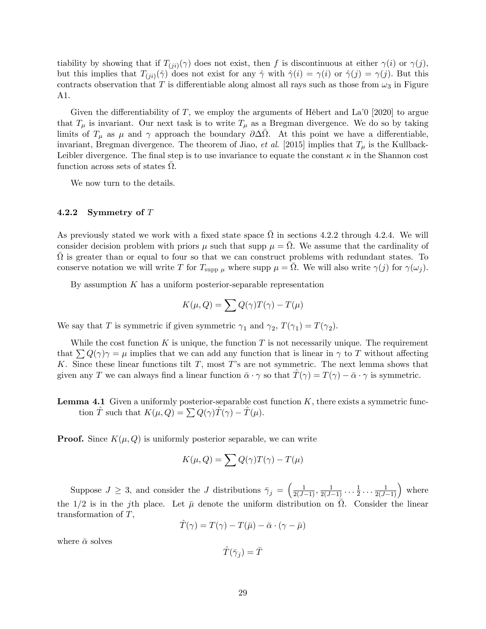tiability by showing that if  $T_{(ji)}(\gamma)$  does not exist, then f is discontinuous at either  $\gamma(i)$  or  $\gamma(j)$ , but this implies that  $T_{(ji)}(\hat{\gamma})$  does not exist for any  $\hat{\gamma}$  with  $\hat{\gamma}(i) = \gamma(i)$  or  $\hat{\gamma}(j) = \gamma(j)$ . But this contracts observation that T is differentiable along almost all rays such as those from  $\omega_3$  in Figure A1.

Given the differentiability of T, we employ the arguments of Hébert and La<sup> $\dot{\theta}$ </sup> [2020] to argue that  $T_{\mu}$  is invariant. Our next task is to write  $T_{\mu}$  as a Bregman divergence. We do so by taking limits of  $T_{\mu}$  as  $\mu$  and  $\gamma$  approach the boundary  $\partial \Delta \overline{\Omega}$ . At this point we have a differentiable, invariant, Bregman divergence. The theorem of Jiao, et al. [2015] implies that  $T_{\mu}$  is the Kullback-Leibler divergence. The final step is to use invariance to equate the constant  $\kappa$  in the Shannon cost function across sets of states  $\bar{\Omega}$ .

We now turn to the details.

#### 4.2.2 Symmetry of T

As previously stated we work with a fixed state space  $\overline{\Omega}$  in sections 4.2.2 through 4.2.4. We will consider decision problem with priors  $\mu$  such that supp  $\mu = \overline{\Omega}$ . We assume that the cardinality of  $\bar{\Omega}$  is greater than or equal to four so that we can construct problems with redundant states. To conserve notation we will write T for  $T_{\text{supp }\mu}$  where supp  $\mu = \overline{\Omega}$ . We will also write  $\gamma(j)$  for  $\gamma(\omega_j)$ .

By assumption  $K$  has a uniform posterior-separable representation

$$
K(\mu, Q) = \sum Q(\gamma)T(\gamma) - T(\mu)
$$

We say that T is symmetric if given symmetric  $\gamma_1$  and  $\gamma_2$ ,  $T(\gamma_1) = T(\gamma_2)$ .

While the cost function K is unique, the function T is not necessarily unique. The requirement that  $\sum Q(\gamma)\gamma = \mu$  implies that we can add any function that is linear in  $\gamma$  to T without affecting K. Since these linear functions tilt  $T$ , most  $T$ 's are not symmetric. The next lemma shows that given any T we can always find a linear function  $\bar{\alpha} \cdot \gamma$  so that  $\bar{T}(\gamma) = T(\gamma) - \bar{\alpha} \cdot \gamma$  is symmetric.

**Lemma 4.1** Given a uniformly posterior-separable cost function  $K$ , there exists a symmetric function T such that  $K(\mu, Q) = \sum Q(\gamma)T(\gamma) - T(\mu)$ .

**Proof.** Since  $K(\mu, Q)$  is uniformly posterior separable, we can write

$$
K(\mu, Q) = \sum Q(\gamma)T(\gamma) - T(\mu)
$$

Suppose  $J \geq 3$ , and consider the J distributions  $\bar{\gamma}_j = \left(\frac{1}{2(J-1)}, \frac{1}{2(J-1)}\ldots\frac{1}{2}\right)$  $\frac{1}{2} \ldots \frac{1}{2(J-1)}$  where the 1/2 is in the jth place. Let  $\bar{\mu}$  denote the uniform distribution on  $\bar{\Omega}$ . Consider the linear transformation of T,

$$
\hat{T}(\gamma) = T(\gamma) - T(\bar{\mu}) - \bar{\alpha} \cdot (\gamma - \bar{\mu})
$$

where  $\bar{\alpha}$  solves

 $\hat{T}(\bar{\gamma}_j) = \bar{T}$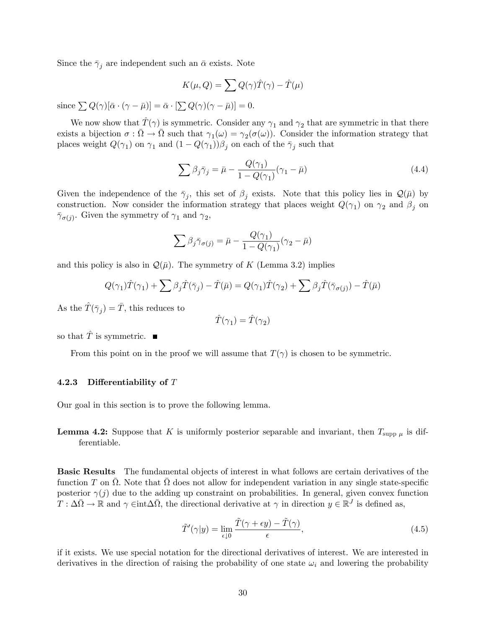Since the  $\bar{\gamma}_j$  are independent such an  $\bar{\alpha}$  exists. Note

$$
K(\mu, Q) = \sum Q(\gamma) \hat{T}(\gamma) - \hat{T}(\mu)
$$

since  $\sum Q(\gamma)[\bar{\alpha} \cdot (\gamma - \bar{\mu})] = \bar{\alpha} \cdot [\sum Q(\gamma)(\gamma - \bar{\mu})] = 0.$ 

We now show that  $\hat{T}(\gamma)$  is symmetric. Consider any  $\gamma_1$  and  $\gamma_2$  that are symmetric in that there exists a bijection  $\sigma : \overline{\Omega} \to \overline{\Omega}$  such that  $\gamma_1(\omega) = \gamma_2(\sigma(\omega))$ . Consider the information strategy that places weight  $Q(\gamma_1)$  on  $\gamma_1$  and  $(1 - Q(\gamma_1))\beta_j$  on each of the  $\bar{\gamma}_j$  such that

$$
\sum \beta_j \bar{\gamma}_j = \bar{\mu} - \frac{Q(\gamma_1)}{1 - Q(\gamma_1)} (\gamma_1 - \bar{\mu})
$$
\n(4.4)

Given the independence of the  $\bar{\gamma}_j$ , this set of  $\beta_j$  exists. Note that this policy lies in  $\mathcal{Q}(\bar{\mu})$  by construction. Now consider the information strategy that places weight  $Q(\gamma_1)$  on  $\gamma_2$  and  $\beta_j$  on  $\bar{\gamma}_{\sigma(j)}$ . Given the symmetry of  $\gamma_1$  and  $\gamma_2$ ,

$$
\sum \beta_j \bar{\gamma}_{\sigma(j)} = \bar{\mu} - \frac{Q(\gamma_1)}{1 - Q(\gamma_1)} (\gamma_2 - \bar{\mu})
$$

and this policy is also in  $\mathcal{Q}(\bar{\mu})$ . The symmetry of K (Lemma 3.2) implies

$$
Q(\gamma_1)\hat{T}(\gamma_1) + \sum \beta_j \hat{T}(\bar{\gamma}_j) - \hat{T}(\bar{\mu}) = Q(\gamma_1)\hat{T}(\gamma_2) + \sum \beta_j \hat{T}(\bar{\gamma}_{\sigma(j)}) - \hat{T}(\bar{\mu})
$$

As the  $\hat{T}(\bar{\gamma}_j) = \bar{T}$ , this reduces to

$$
\hat{T}(\gamma_1)=\hat{T}(\gamma_2)
$$

so that  $\hat{T}$  is symmetric.  $\blacksquare$ 

From this point on in the proof we will assume that  $T(\gamma)$  is chosen to be symmetric.

#### 4.2.3 Differentiability of  $T$

Our goal in this section is to prove the following lemma.

**Lemma 4.2:** Suppose that K is uniformly posterior separable and invariant, then  $T_{\text{supp }\mu}$  is differentiable.

Basic Results The fundamental objects of interest in what follows are certain derivatives of the function T on  $\bar{\Omega}$ . Note that  $\bar{\Omega}$  does not allow for independent variation in any single state-specific posterior  $\gamma(j)$  due to the adding up constraint on probabilities. In general, given convex function  $T : \Delta \bar{\Omega} \to \mathbb{R}$  and  $\gamma \in \text{int} \Delta \bar{\Omega}$ , the directional derivative at  $\gamma$  in direction  $y \in \mathbb{R}^J$  is defined as,

$$
\tilde{T}'(\gamma|y) = \lim_{\epsilon \downarrow 0} \frac{\tilde{T}(\gamma + \epsilon y) - \tilde{T}(\gamma)}{\epsilon},\tag{4.5}
$$

if it exists. We use special notation for the directional derivatives of interest. We are interested in derivatives in the direction of raising the probability of one state  $\omega_i$  and lowering the probability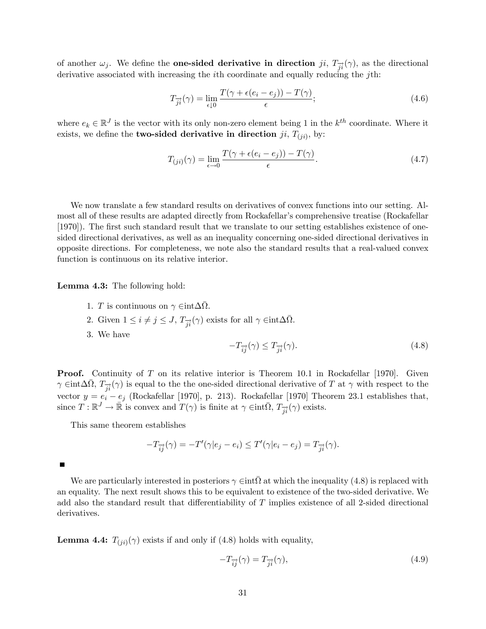of another  $\omega_j$ . We define the **one-sided derivative in direction** ji,  $T_{\vec{i}}(\gamma)$ , as the directional derivative associated with increasing the *i*th coordinate and equally reducing the *j*th:

$$
T_{\overrightarrow{j}i}(\gamma) = \lim_{\epsilon \downarrow 0} \frac{T(\gamma + \epsilon(e_i - e_j)) - T(\gamma)}{\epsilon};\tag{4.6}
$$

where  $e_k \in \mathbb{R}^J$  is the vector with its only non-zero element being 1 in the  $k^{th}$  coordinate. Where it exists, we define the **two-sided derivative in direction**  $ji$ ,  $T_{(ji)}$ , by:

$$
T_{(ji)}(\gamma) = \lim_{\epsilon \to 0} \frac{T(\gamma + \epsilon(e_i - e_j)) - T(\gamma)}{\epsilon}.
$$
\n(4.7)

We now translate a few standard results on derivatives of convex functions into our setting. Almost all of these results are adapted directly from Rockafellar's comprehensive treatise (Rockafellar [1970]). The first such standard result that we translate to our setting establishes existence of onesided directional derivatives, as well as an inequality concerning one-sided directional derivatives in opposite directions. For completeness, we note also the standard results that a real-valued convex function is continuous on its relative interior.

Lemma 4.3: The following hold:

- 1. *T* is continuous on  $\gamma \in \text{int}\Delta\overline{\Omega}$ .
- 2. Given  $1 \leq i \neq j \leq J$ ,  $T_{\overrightarrow{ji}}(\gamma)$  exists for all  $\gamma \in \text{int}\Delta\overline{\Omega}$ .
- 3. We have

$$
-T_{\overrightarrow{ij}}(\gamma) \le T_{\overrightarrow{ji}}(\gamma). \tag{4.8}
$$

**Proof.** Continuity of T on its relative interior is Theorem 10.1 in Rockafellar [1970]. Given  $\gamma \in \text{int} \Delta \bar{\Omega}$ ,  $T_{\vec{ji}}(\gamma)$  is equal to the the one-sided directional derivative of T at  $\gamma$  with respect to the vector  $y = e_i - e_j$  (Rockafellar [1970], p. 213). Rockafellar [1970] Theorem 23.1 establishes that, since  $T : \mathbb{R}^J \to \bar{\mathbb{R}}$  is convex and  $T(\gamma)$  is finite at  $\gamma \in \text{int}\overline{\Omega}, T_{\overrightarrow{ji}}(\gamma)$  exists.

This same theorem establishes

$$
-T_{\overrightarrow{ij}}(\gamma) = -T'(\gamma|e_j - e_i) \leq T'(\gamma|e_i - e_j) = T_{\overrightarrow{ji}}(\gamma).
$$

 $\blacksquare$ 

We are particularly interested in posteriors  $\gamma \in \text{int} \overline{\Omega}$  at which the inequality (4.8) is replaced with an equality. The next result shows this to be equivalent to existence of the two-sided derivative. We add also the standard result that differentiability of  $T$  implies existence of all 2-sided directional derivatives.

**Lemma 4.4:**  $T_{(ji)}(\gamma)$  exists if and only if (4.8) holds with equality,

$$
-T_{\overrightarrow{ij}}(\gamma) = T_{\overrightarrow{ji}}(\gamma),\tag{4.9}
$$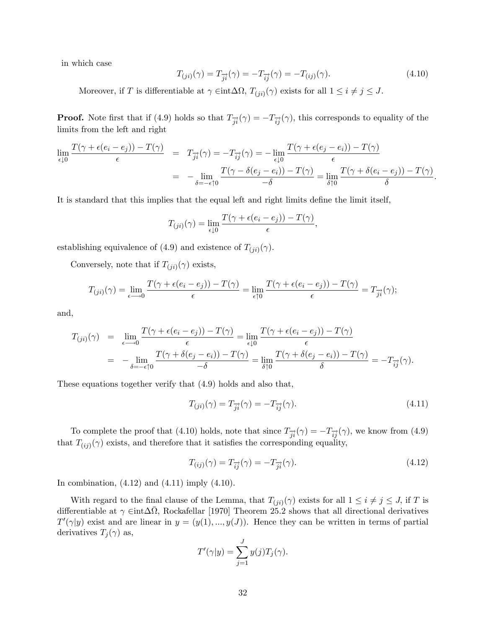in which case

$$
T_{(ji)}(\gamma) = T_{\overrightarrow{ji}}(\gamma) = -T_{\overrightarrow{ij}}(\gamma) = -T_{(ij)}(\gamma).
$$
 (4.10)

Moreover, if T is differentiable at  $\gamma \in \text{int}\Delta\Omega$ ,  $T_{(ji)}(\gamma)$  exists for all  $1 \leq i \neq j \leq J$ .

**Proof.** Note first that if (4.9) holds so that  $T_{\vec{i}}(\gamma) = -T_{\vec{i}}(\gamma)$ , this corresponds to equality of the limits from the left and right

$$
\lim_{\epsilon \downarrow 0} \frac{T(\gamma + \epsilon(e_i - e_j)) - T(\gamma)}{\epsilon} = T_{\overrightarrow{j}i}(\gamma) = -T_{\overrightarrow{ij}}(\gamma) = -\lim_{\epsilon \downarrow 0} \frac{T(\gamma + \epsilon(e_j - e_i)) - T(\gamma)}{\epsilon}
$$
\n
$$
= -\lim_{\delta = -\epsilon \uparrow 0} \frac{T(\gamma - \delta(e_j - e_i)) - T(\gamma)}{-\delta} = \lim_{\delta \uparrow 0} \frac{T(\gamma + \delta(e_i - e_j)) - T(\gamma)}{\delta}.
$$

It is standard that this implies that the equal left and right limits define the limit itself,

$$
T_{(ji)}(\gamma) = \lim_{\epsilon \downarrow 0} \frac{T(\gamma + \epsilon(e_i - e_j)) - T(\gamma)}{\epsilon},
$$

establishing equivalence of (4.9) and existence of  $T_{(ji)}(\gamma)$ .

Conversely, note that if  $T_{(ji)}(\gamma)$  exists,

$$
T_{(ji)}(\gamma)=\lim_{\epsilon\longrightarrow 0}\frac{T(\gamma+\epsilon(e_i-e_j))-T(\gamma)}{\epsilon}=\lim_{\epsilon\uparrow 0}\frac{T(\gamma+\epsilon(e_i-e_j))-T(\gamma)}{\epsilon}=T_{\overrightarrow{j}\overrightarrow{i}}(\gamma);
$$

and,

$$
T_{(ji)}(\gamma) = \lim_{\epsilon \to 0} \frac{T(\gamma + \epsilon(e_i - e_j)) - T(\gamma)}{\epsilon} = \lim_{\epsilon \downarrow 0} \frac{T(\gamma + \epsilon(e_i - e_j)) - T(\gamma)}{\epsilon}
$$
  
= 
$$
-\lim_{\delta = -\epsilon \uparrow 0} \frac{T(\gamma + \delta(e_j - e_i)) - T(\gamma)}{-\delta} = \lim_{\delta \uparrow 0} \frac{T(\gamma + \delta(e_j - e_i)) - T(\gamma)}{\delta} = -T_{\overrightarrow{ij}}(\gamma).
$$

These equations together verify that (4.9) holds and also that,

$$
T_{(ji)}(\gamma) = T_{\overrightarrow{ji}}(\gamma) = -T_{\overrightarrow{ij}}(\gamma). \tag{4.11}
$$

To complete the proof that (4.10) holds, note that since  $T_{\vec{i}}(\gamma) = -T_{\vec{i}}(\gamma)$ , we know from (4.9) that  $T_{(ij)}(\gamma)$  exists, and therefore that it satisfies the corresponding equality,

$$
T_{(ij)}(\gamma) = T_{\overrightarrow{ij}}(\gamma) = -T_{\overrightarrow{ji}}(\gamma). \tag{4.12}
$$

In combination,  $(4.12)$  and  $(4.11)$  imply  $(4.10)$ .

With regard to the final clause of the Lemma, that  $T_{(ji)}(\gamma)$  exists for all  $1 \leq i \neq j \leq J$ , if T is differentiable at  $\gamma \in \text{int} \Delta \overline{\Omega}$ , Rockafellar [1970] Theorem 25.2 shows that all directional derivatives  $T'(\gamma|y)$  exist and are linear in  $y = (y(1), ..., y(J))$ . Hence they can be written in terms of partial derivatives  $T_j(\gamma)$  as,

$$
T'(\gamma|y) = \sum_{j=1}^{J} y(j)T_j(\gamma).
$$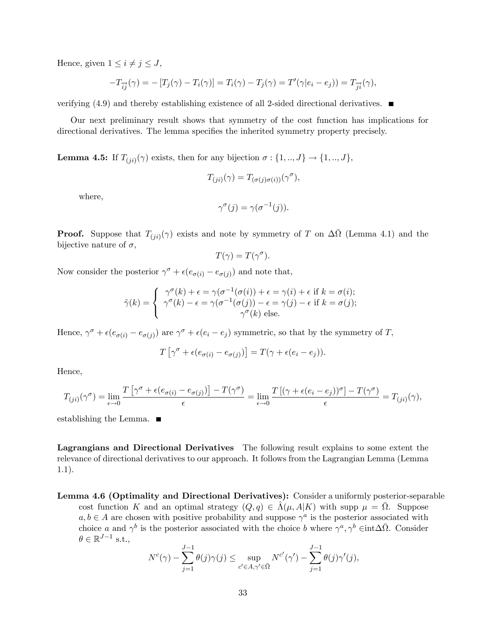Hence, given  $1 \leq i \neq j \leq J$ ,

$$
-T_{\overrightarrow{ij}}(\gamma) = -[T_j(\gamma) - T_i(\gamma)] = T_i(\gamma) - T_j(\gamma) = T'(\gamma|e_i - e_j)) = T_{\overrightarrow{ji}}(\gamma),
$$

verifying  $(4.9)$  and thereby establishing existence of all 2-sided directional derivatives.

Our next preliminary result shows that symmetry of the cost function has implications for directional derivatives. The lemma specifies the inherited symmetry property precisely.

**Lemma 4.5:** If  $T_{(ji)}(\gamma)$  exists, then for any bijection  $\sigma : \{1, ..., J\} \rightarrow \{1, ..., J\}$ ,

$$
T_{(ji)}(\gamma) = T_{(\sigma(j)\sigma(i))}(\gamma^{\sigma}),
$$

where,

$$
\gamma^{\sigma}(j) = \gamma(\sigma^{-1}(j)).
$$

**Proof.** Suppose that  $T_{(ji)}(\gamma)$  exists and note by symmetry of T on  $\Delta\overline{\Omega}$  (Lemma 4.1) and the bijective nature of  $\sigma$ ,

$$
T(\gamma) = T(\gamma^{\sigma}).
$$

Now consider the posterior  $\gamma^{\sigma} + \epsilon (e_{\sigma(i)} - e_{\sigma(j)})$  and note that,

$$
\tilde{\gamma}(k) = \begin{cases}\n\gamma^{\sigma}(k) + \epsilon = \gamma(\sigma^{-1}(\sigma(i)) + \epsilon = \gamma(i) + \epsilon \text{ if } k = \sigma(i); \\
\gamma^{\sigma}(k) - \epsilon = \gamma(\sigma^{-1}(\sigma(j)) - \epsilon = \gamma(j) - \epsilon \text{ if } k = \sigma(j); \\
\gamma^{\sigma}(k) \text{ else.} \n\end{cases}
$$

Hence,  $\gamma^{\sigma} + \epsilon (e_{\sigma(i)} - e_{\sigma(j)})$  are  $\gamma^{\sigma} + \epsilon (e_i - e_j)$  symmetric, so that by the symmetry of T,

$$
T\left[\gamma^{\sigma} + \epsilon(e_{\sigma(i)} - e_{\sigma(j)})\right] = T(\gamma + \epsilon(e_i - e_j)).
$$

Hence,

$$
T_{(ji)}(\gamma^{\sigma}) = \lim_{\epsilon \to 0} \frac{T\left[\gamma^{\sigma} + \epsilon(e_{\sigma(i)} - e_{\sigma(j)})\right] - T(\gamma^{\sigma})}{\epsilon} = \lim_{\epsilon \to 0} \frac{T\left[(\gamma + \epsilon(e_i - e_j))^{\sigma}\right] - T(\gamma^{\sigma})}{\epsilon} = T_{(ji)}(\gamma),
$$

establishing the Lemma.

Lagrangians and Directional Derivatives The following result explains to some extent the relevance of directional derivatives to our approach. It follows from the Lagrangian Lemma (Lemma 1.1).

Lemma 4.6 (Optimality and Directional Derivatives): Consider a uniformly posterior-separable cost function K and an optimal strategy  $(Q, q) \in \hat{\Lambda}(\mu, A|K)$  with supp  $\mu = \overline{\Omega}$ . Suppose  $a, b \in A$  are chosen with positive probability and suppose  $\gamma^a$  is the posterior associated with choice a and  $\gamma^b$  is the posterior associated with the choice b where  $\gamma^a, \gamma^b \in \text{int} \Delta \bar{\Omega}$ . Consider  $\theta \in \mathbb{R}^{J-1}$  s.t.,

$$
N^{c}(\gamma) - \sum_{j=1}^{J-1} \theta(j)\gamma(j) \le \sup_{c' \in A, \gamma' \in \overline{\Omega}} N^{c'}(\gamma') - \sum_{j=1}^{J-1} \theta(j)\gamma'(j),
$$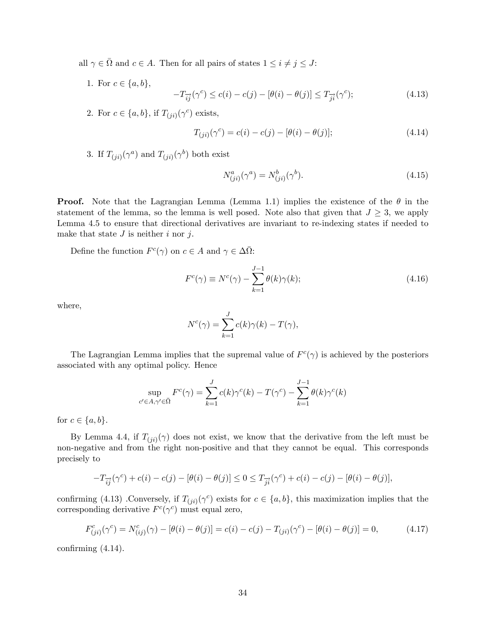- all  $\gamma \in \overline{\Omega}$  and  $c \in A$ . Then for all pairs of states  $1 \leq i \neq j \leq J$ :
	- 1. For  $c \in \{a, b\},\$  $-T_{\overrightarrow{ij}}(\gamma^c) \leq c(i) - c(j) - [\theta(i) - \theta(j)] \leq T_{\overrightarrow{ji}}(\gamma^c)$  $(4.13)$
	- 2. For  $c \in \{a, b\}$ , if  $T_{(ji)}(\gamma^c)$  exists,

$$
T_{(ji)}(\gamma^c) = c(i) - c(j) - [\theta(i) - \theta(j)];
$$
\n(4.14)

3. If  $T_{(ji)}(\gamma^a)$  and  $T_{(ji)}(\gamma^b)$  both exist

$$
N_{(ji)}^a(\gamma^a) = N_{(ji)}^b(\gamma^b). \tag{4.15}
$$

**Proof.** Note that the Lagrangian Lemma (Lemma 1.1) implies the existence of the  $\theta$  in the statement of the lemma, so the lemma is well posed. Note also that given that  $J \geq 3$ , we apply Lemma 4.5 to ensure that directional derivatives are invariant to re-indexing states if needed to make that state  $J$  is neither  $i$  nor  $j$ .

Define the function  $F^c(\gamma)$  on  $c \in A$  and  $\gamma \in \Delta \overline{\Omega}$ :

$$
F^{c}(\gamma) \equiv N^{c}(\gamma) - \sum_{k=1}^{J-1} \theta(k)\gamma(k); \qquad (4.16)
$$

where,

$$
N^{c}(\gamma) = \sum_{k=1}^{J} c(k)\gamma(k) - T(\gamma),
$$

The Lagrangian Lemma implies that the supremal value of  $F^c(\gamma)$  is achieved by the posteriors associated with any optimal policy. Hence

$$
\sup_{c' \in A, \gamma' \in \bar{\Omega}} F^c(\gamma) = \sum_{k=1}^J c(k)\gamma^c(k) - T(\gamma^c) - \sum_{k=1}^{J-1} \theta(k)\gamma^c(k)
$$

for  $c \in \{a, b\}.$ 

By Lemma 4.4, if  $T_{(ji)}(\gamma)$  does not exist, we know that the derivative from the left must be non-negative and from the right non-positive and that they cannot be equal. This corresponds precisely to

$$
-T_{\overrightarrow{ij}}(\gamma^{c}) + c(i) - c(j) - [\theta(i) - \theta(j)] \le 0 \le T_{\overrightarrow{ji}}(\gamma^{c}) + c(i) - c(j) - [\theta(i) - \theta(j)],
$$

confirming (4.13) .Conversely, if  $T_{(ji)}(\gamma^c)$  exists for  $c \in \{a, b\}$ , this maximization implies that the corresponding derivative  $F^c(\gamma^c)$  must equal zero,

$$
F_{(ji)}^c(\gamma^c) = N_{(ij)}^c(\gamma) - [\theta(i) - \theta(j)] = c(i) - c(j) - T_{(ji)}(\gamma^c) - [\theta(i) - \theta(j)] = 0,
$$
\n(4.17)

confirming  $(4.14)$ .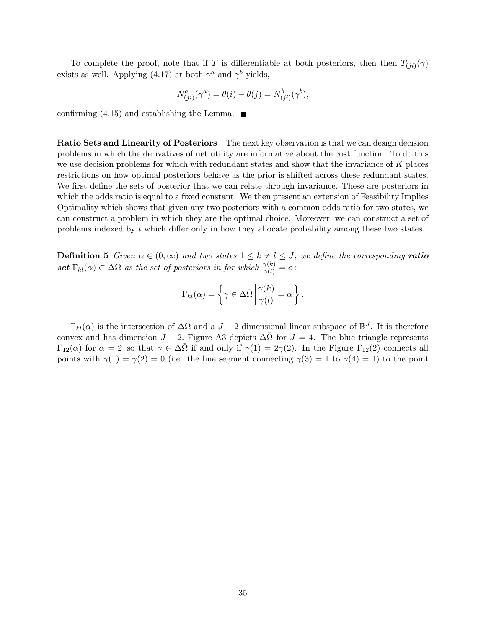To complete the proof, note that if T is differentiable at both posteriors, then then  $T_{(ji)}(\gamma)$ exists as well. Applying (4.17) at both  $\gamma^a$  and  $\gamma^b$  yields,

$$
N_{(ji)}^a(\gamma^a) = \theta(i) - \theta(j) = N_{(ji)}^b(\gamma^b),
$$

confirming (4.15) and establishing the Lemma.  $\blacksquare$ 

Ratio Sets and Linearity of Posteriors The next key observation is that we can design decision problems in which the derivatives of net utility are informative about the cost function. To do this we use decision problems for which with redundant states and show that the invariance of  $K$  places restrictions on how optimal posteriors behave as the prior is shifted across these redundant states. We first define the sets of posterior that we can relate through invariance. These are posteriors in which the odds ratio is equal to a fixed constant. We then present an extension of Feasibility Implies Optimality which shows that given any two posteriors with a common odds ratio for two states, we can construct a problem in which they are the optimal choice. Moreover, we can construct a set of problems indexed by  $t$  which differ only in how they allocate probability among these two states.

**Definition 5** Given  $\alpha \in (0,\infty)$  and two states  $1 \leq k \neq l \leq J$ , we define the corresponding **ratio** set  $\Gamma_{kl}(\alpha) \subset \Delta\bar{\Omega}$  as the set of posteriors in for which  $\frac{\gamma(k)}{\gamma(l)} = \alpha$ :

$$
\Gamma_{kl}(\alpha) = \left\{ \gamma \in \Delta \bar{\Omega} \, \bigg| \, \frac{\gamma(k)}{\gamma(l)} = \alpha \right\}.
$$

 $\Gamma_{kl}(\alpha)$  is the intersection of  $\Delta\overline{\Omega}$  and a  $J-2$  dimensional linear subspace of  $\mathbb{R}^J$ . It is therefore convex and has dimension  $J-2$ . Figure A3 depicts  $\Delta\overline{\Omega}$  for  $J=4$ . The blue triangle represents  $\Gamma_{12}(\alpha)$  for  $\alpha = 2$  so that  $\gamma \in \Delta\overline{\Omega}$  if and only if  $\gamma(1) = 2\gamma(2)$ . In the Figure  $\Gamma_{12}(2)$  connects all points with  $\gamma(1) = \gamma(2) = 0$  (i.e. the line segment connecting  $\gamma(3) = 1$  to  $\gamma(4) = 1$ ) to the point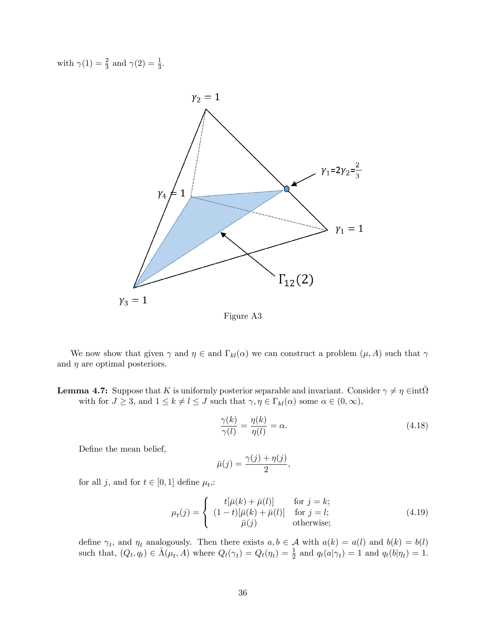with  $\gamma(1) = \frac{2}{3}$  and  $\gamma(2) = \frac{1}{3}$ .



Figure A3

We now show that given  $\gamma$  and  $\eta \in$  and  $\Gamma_{kl}(\alpha)$  we can construct a problem  $(\mu, A)$  such that  $\gamma$ and  $\eta$  are optimal posteriors.

**Lemma 4.7:** Suppose that K is uniformly posterior separable and invariant. Consider  $\gamma \neq \eta \in \text{int}\overline{\Omega}$ with for  $J \geq 3$ , and  $1 \leq k \neq l \leq J$  such that  $\gamma, \eta \in \Gamma_{kl}(\alpha)$  some  $\alpha \in (0, \infty)$ ,

$$
\frac{\gamma(k)}{\gamma(l)} = \frac{\eta(k)}{\eta(l)} = \alpha.
$$
\n(4.18)

Define the mean belief,

$$
\bar{\mu}(j) = \frac{\gamma(j) + \eta(j)}{2},
$$

for all *j*, and for  $t \in [0, 1]$  define  $\mu_t$ ,:

$$
\mu_t(j) = \begin{cases}\n t[\bar{\mu}(k) + \bar{\mu}(l)] & \text{for } j = k; \\
 (1-t)[\bar{\mu}(k) + \bar{\mu}(l)] & \text{for } j = l; \\
 \bar{\mu}(j) & \text{otherwise};\n\end{cases}
$$
\n(4.19)

define  $\gamma_t$ , and  $\eta_t$  analogously. Then there exists  $a, b \in \mathcal{A}$  with  $a(k) = a(l)$  and  $b(k) = b(l)$ such that,  $(Q_t, q_t) \in \hat{\Lambda}(\mu_t, A)$  where  $Q_t(\gamma_t) = Q_t(\eta_t) = \frac{1}{2}$  and  $q_t(a|\gamma_t) = 1$  and  $q_t(b|\eta_t) = 1$ .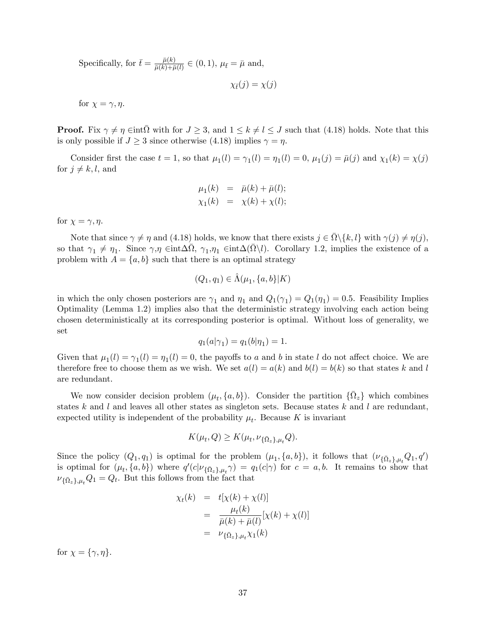Specifically, for  $\bar{t} = \frac{\bar{\mu}(k)}{\bar{\mu}(k) + \bar{\mu}}$  $\frac{\mu(\kappa)}{\bar{\mu}(k) + \bar{\mu}(l)} \in (0, 1), \, \mu_{\bar{t}} = \bar{\mu} \text{ and},$ 

 $\chi_{\bar{t}}(j) = \chi(j)$ 

for  $\chi = \gamma, \eta$ .

**Proof.** Fix  $\gamma \neq \eta$   $\in$  int $\overline{\Omega}$  with for  $J \geq 3$ , and  $1 \leq k \neq l \leq J$  such that (4.18) holds. Note that this is only possible if  $J \geq 3$  since otherwise (4.18) implies  $\gamma = \eta$ .

Consider first the case  $t = 1$ , so that  $\mu_1(l) = \gamma_1(l) = \eta_1(l) = 0$ ,  $\mu_1(j) = \bar{\mu}(j)$  and  $\chi_1(k) = \chi(j)$ for  $j \neq k, l$ , and

$$
\mu_1(k) = \bar{\mu}(k) + \bar{\mu}(l); \n\chi_1(k) = \chi(k) + \chi(l);
$$

for  $\chi = \gamma, \eta$ .

Note that since  $\gamma \neq \eta$  and (4.18) holds, we know that there exists  $j \in \bar{\Omega} \setminus \{k, l\}$  with  $\gamma(j) \neq \eta(j)$ , so that  $\gamma_1 \neq \eta_1$ . Since  $\gamma, \eta \in \text{int}\Delta\overline{\Omega}, \gamma_1, \eta_1 \in \text{int}\Delta(\overline{\Omega}\backslash l)$ . Corollary 1.2, implies the existence of a problem with  $A = \{a, b\}$  such that there is an optimal strategy

$$
(Q_1, q_1) \in \hat{\Lambda}(\mu_1, \{a, b\}|K)
$$

in which the only chosen posteriors are  $\gamma_1$  and  $\eta_1$  and  $Q_1(\gamma_1) = Q_1(\eta_1) = 0.5$ . Feasibility Implies Optimality (Lemma 1.2) implies also that the deterministic strategy involving each action being chosen deterministically at its corresponding posterior is optimal. Without loss of generality, we set

$$
q_1(a|\gamma_1) = q_1(b|\eta_1) = 1.
$$

Given that  $\mu_1(l) = \gamma_1(l) = \eta_1(l) = 0$ , the payoffs to a and b in state l do not affect choice. We are therefore free to choose them as we wish. We set  $a(l) = a(k)$  and  $b(l) = b(k)$  so that states k and l are redundant.

We now consider decision problem  $(\mu_t, \{a, b\})$ . Consider the partition  $\{\bar{\Omega}_z\}$  which combines states k and l and leaves all other states as singleton sets. Because states k and l are redundant, expected utility is independent of the probability  $\mu_t$ . Because K is invariant

$$
K(\mu_t, Q) \ge K(\mu_t, \nu_{\{\bar{\Omega}_z\}, \mu_t} Q).
$$

Since the policy  $(Q_1, q_1)$  is optimal for the problem  $(\mu_1, \{a, b\})$ , it follows that  $(\nu_{\{\bar{\Omega}_z\}, \mu_t} Q_1, q')$ is optimal for  $(\mu_t, \{a, b\})$  where  $q'(c|\nu_{\{\bar{\Omega}_z\}, \mu_t} \gamma) = q_1(c|\gamma)$  for  $c = a, b$ . It remains to show that  $\nu_{\{\bar{\Omega}_z\},\mu_t}Q_1 = Q_t$ . But this follows from the fact that

$$
\chi_t(k) = t[\chi(k) + \chi(l)]
$$
  
= 
$$
\frac{\mu_t(k)}{\bar{\mu}(k) + \bar{\mu}(l)}[\chi(k) + \chi(l)]
$$
  
= 
$$
\nu_{\{\bar{\Omega}_z\},\mu_t} \chi_1(k)
$$

for  $\chi = \{\gamma, \eta\}.$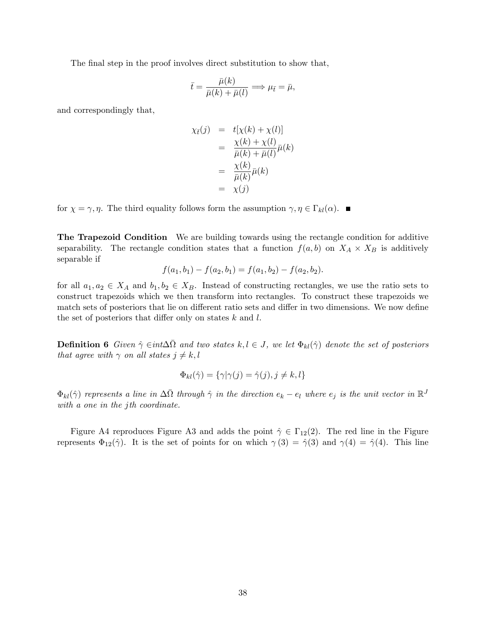The final step in the proof involves direct substitution to show that,

$$
\bar{t} = \frac{\bar{\mu}(k)}{\bar{\mu}(k) + \bar{\mu}(l)} \Longrightarrow \mu_{\bar{t}} = \bar{\mu},
$$

and correspondingly that,

$$
\chi_{\bar{t}}(j) = t[\chi(k) + \chi(l)]
$$
  
= 
$$
\frac{\chi(k) + \chi(l)}{\bar{\mu}(k) + \bar{\mu}(l)}\bar{\mu}(k)
$$
  
= 
$$
\frac{\chi(k)}{\bar{\mu}(k)}\bar{\mu}(k)
$$
  
= 
$$
\chi(j)
$$

for  $\chi = \gamma, \eta$ . The third equality follows form the assumption  $\gamma, \eta \in \Gamma_{kl}(\alpha)$ .

The Trapezoid Condition We are building towards using the rectangle condition for additive separability. The rectangle condition states that a function  $f(a, b)$  on  $X_A \times X_B$  is additively separable if

$$
f(a_1, b_1) - f(a_2, b_1) = f(a_1, b_2) - f(a_2, b_2).
$$

for all  $a_1, a_2 \in X_A$  and  $b_1, b_2 \in X_B$ . Instead of constructing rectangles, we use the ratio sets to construct trapezoids which we then transform into rectangles. To construct these trapezoids we match sets of posteriors that lie on different ratio sets and differ in two dimensions. We now define the set of posteriors that differ only on states  $k$  and  $l$ .

**Definition 6** Given  $\hat{\gamma} \in int \Delta \bar{\Omega}$  and two states  $k, l \in J$ , we let  $\Phi_{kl}(\hat{\gamma})$  denote the set of posteriors that agree with  $\gamma$  on all states  $j \neq k, l$ 

$$
\Phi_{kl}(\hat{\gamma}) = \{ \gamma | \gamma(j) = \hat{\gamma}(j), j \neq k, l \}
$$

 $\Phi_{kl}(\hat{\gamma})$  represents a line in  $\Delta\bar{\Omega}$  through  $\hat{\gamma}$  in the direction  $e_k - e_l$  where  $e_j$  is the unit vector in  $\mathbb{R}^J$ with a one in the jth coordinate.

Figure A4 reproduces Figure A3 and adds the point  $\hat{\gamma} \in \Gamma_{12}(2)$ . The red line in the Figure represents  $\Phi_{12}(\hat{\gamma})$ . It is the set of points for on which  $\gamma(3) = \hat{\gamma}(3)$  and  $\gamma(4) = \hat{\gamma}(4)$ . This line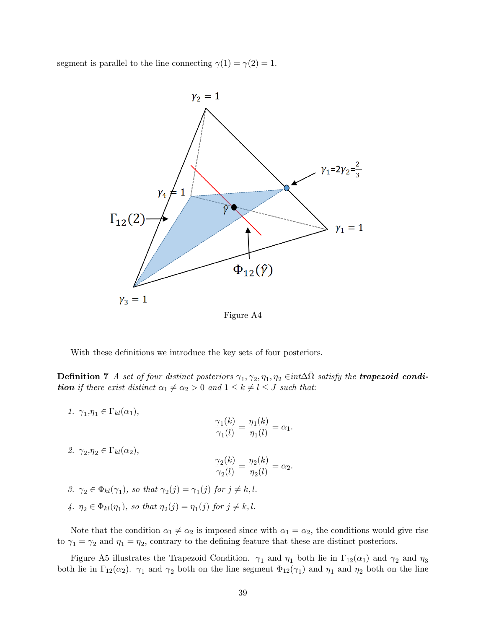segment is parallel to the line connecting  $\gamma(1) = \gamma(2) = 1$ .



Figure A4

With these definitions we introduce the key sets of four posteriors.

**Definition 7** A set of four distinct posteriors  $\gamma_1, \gamma_2, \eta_1, \eta_2 \in int \Delta \bar{\Omega}$  satisfy the **trapezoid condition** if there exist distinct  $\alpha_1 \neq \alpha_2 > 0$  and  $1 \leq k \neq l \leq J$  such that:

1.  $\gamma_1, \eta_1 \in \Gamma_{kl}(\alpha_1),$  ${\gamma}_1(k)$  $\frac{\gamma_1(k)}{\gamma_1(l)} = \frac{\eta_1(k)}{\eta_1(l)}$  $\frac{\eta_1(\kappa)}{\eta_1(l)} = \alpha_1.$ 2.  $\gamma_2, \eta_2 \in \Gamma_{kl}(\alpha_2),$  $\gamma_2(k)$  $\frac{\gamma_2(k)}{\gamma_2(l)} = \frac{\eta_2(k)}{\eta_2(l)}$  $\frac{\eta_2(\kappa)}{\eta_2(l)} = \alpha_2.$ 

\n- $$
\gamma_2 \in \Phi_{kl}(\gamma_1)
$$
, so that  $\gamma_2(j) = \gamma_1(j)$  for  $j \neq k, l$ .
\n- $\gamma_2 \in \Phi_{kl}(\eta_1)$ , so that  $\eta_2(j) = \eta_1(j)$  for  $j \neq k, l$ .
\n

Note that the condition  $\alpha_1 \neq \alpha_2$  is imposed since with  $\alpha_1 = \alpha_2$ , the conditions would give rise to  $\gamma_1 = \gamma_2$  and  $\eta_1 = \eta_2$ , contrary to the defining feature that these are distinct posteriors.

Figure A5 illustrates the Trapezoid Condition.  $\gamma_1$  and  $\eta_1$  both lie in  $\Gamma_{12}(\alpha_1)$  and  $\gamma_2$  and  $\eta_3$ both lie in  $\Gamma_{12}(\alpha_2)$ .  $\gamma_1$  and  $\gamma_2$  both on the line segment  $\Phi_{12}(\gamma_1)$  and  $\eta_1$  and  $\eta_2$  both on the line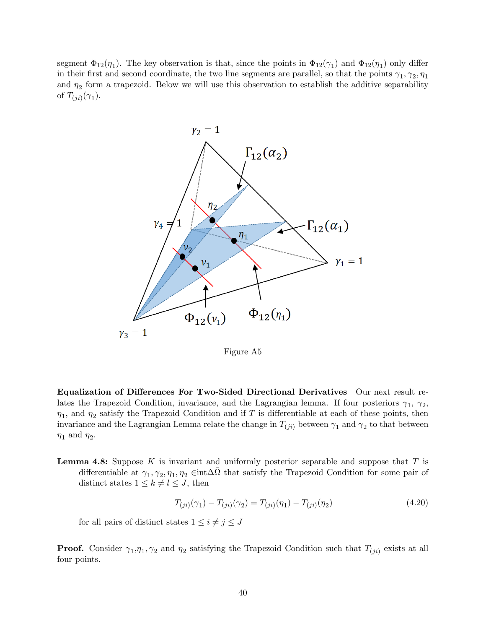segment  $\Phi_{12}(\eta_1)$ . The key observation is that, since the points in  $\Phi_{12}(\gamma_1)$  and  $\Phi_{12}(\eta_1)$  only differ in their first and second coordinate, the two line segments are parallel, so that the points  $\gamma_1, \gamma_2, \eta_1$ and  $\eta_2$  form a trapezoid. Below we will use this observation to establish the additive separability of  $T_{(ji)}(\gamma_1)$ .



Figure A5

Equalization of Differences For Two-Sided Directional Derivatives Our next result relates the Trapezoid Condition, invariance, and the Lagrangian lemma. If four posteriors  $\gamma_1$ ,  $\gamma_2$ ,  $\eta_1$ , and  $\eta_2$  satisfy the Trapezoid Condition and if T is differentiable at each of these points, then invariance and the Lagrangian Lemma relate the change in  $T_{(ji)}$  between  $\gamma_1$  and  $\gamma_2$  to that between  $\eta_1$  and  $\eta_2$ .

**Lemma 4.8:** Suppose K is invariant and uniformly posterior separable and suppose that  $T$  is differentiable at  $\gamma_1, \gamma_2, \eta_1, \eta_2 \in \text{int}\Delta\bar{\Omega}$  that satisfy the Trapezoid Condition for some pair of distinct states  $1 \leq k \neq l \leq J$ , then

$$
T_{(ji)}(\gamma_1) - T_{(ji)}(\gamma_2) = T_{(ji)}(\eta_1) - T_{(ji)}(\eta_2)
$$
\n(4.20)

for all pairs of distinct states  $1 \leq i \neq j \leq J$ 

**Proof.** Consider  $\gamma_1, \eta_1, \gamma_2$  and  $\eta_2$  satisfying the Trapezoid Condition such that  $T_{(ji)}$  exists at all four points.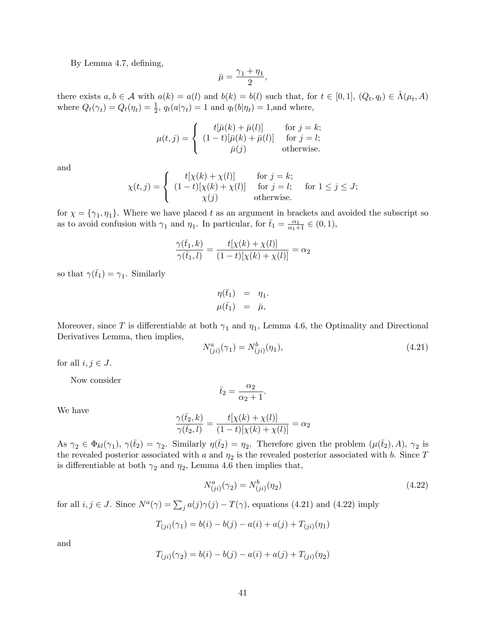By Lemma 4.7, defining,

$$
\bar{\mu} = \frac{\gamma_1 + \eta_1}{2},
$$

there exists  $a, b \in \mathcal{A}$  with  $a(k) = a(l)$  and  $b(k) = b(l)$  such that, for  $t \in [0, 1]$ ,  $(Q_t, q_t) \in \hat{\Lambda}(\mu_t, A)$ where  $Q_t(\gamma_t) = Q_t(\eta_t) = \frac{1}{2}$ ,  $q_t(a|\gamma_t) = 1$  and  $q_t(b|\eta_t) = 1$ , and where,

$$
\mu(t,j) = \begin{cases}\n t[\bar{\mu}(k) + \bar{\mu}(l)] & \text{for } j = k; \\
 (1-t)[\bar{\mu}(k) + \bar{\mu}(l)] & \text{for } j = l; \\
 \bar{\mu}(j) & \text{otherwise.} \n\end{cases}
$$

and

$$
\chi(t,j) = \begin{cases} \begin{array}{ll} t[\chi(k) + \chi(l)] & \text{for } j = k; \\ (1-t)[\chi(k) + \chi(l)] & \text{for } j = l; \\ \chi(j) & \text{otherwise.} \end{array} \end{cases} \text{ for } 1 \le j \le J;
$$

for  $\chi = {\gamma_1, \eta_1}$ . Where we have placed t as an argument in brackets and avoided the subscript so as to avoid confusion with  $\gamma_1$  and  $\eta_1$ . In particular, for  $\bar{t}_1 = \frac{\alpha_1}{\alpha_1 + 1} \in (0, 1)$ ,

$$
\frac{\gamma(\bar{t}_1, k)}{\gamma(\bar{t}_1, l)} = \frac{t[\chi(k) + \chi(l)]}{(1 - t)[\chi(k) + \chi(l)]} = \alpha_2
$$

so that  $\gamma(\bar{t}_1) = \gamma_1$ . Similarly

$$
\eta(\bar{t}_1) = \eta_1.
$$
  

$$
\mu(\bar{t}_1) = \bar{\mu},
$$

Moreover, since T is differentiable at both  $\gamma_1$  and  $\eta_1$ , Lemma 4.6, the Optimality and Directional Derivatives Lemma, then implies,

$$
N_{(ji)}^a(\gamma_1) = N_{(ji)}^b(\eta_1),\tag{4.21}
$$

for all  $i, j \in J$ .

Now consider

$$
\bar{t}_2 = \frac{\alpha_2}{\alpha_2 + 1}.
$$

We have

$$
\frac{\gamma(\bar{t}_2, k)}{\gamma(\bar{t}_2, l)} = \frac{t[\chi(k) + \chi(l)]}{(1 - t)[\chi(k) + \chi(l)]} = \alpha_2
$$

As  $\gamma_2 \in \Phi_{kl}(\gamma_1)$ ,  $\gamma(\bar{t}_2) = \gamma_2$ . Similarly  $\eta(\bar{t}_2) = \eta_2$ . Therefore given the problem  $(\mu(\bar{t}_2), A)$ ,  $\gamma_2$  is the revealed posterior associated with a and  $\eta_2$  is the revealed posterior associated with b. Since T is differentiable at both  $\gamma_2$  and  $\eta_2$ , Lemma 4.6 then implies that,

$$
N_{(ji)}^a(\gamma_2) = N_{(ji)}^b(\eta_2)
$$
\n(4.22)

for all  $i, j \in J$ . Since  $N^a(\gamma) = \sum_j a(j)\gamma(j) - T(\gamma)$ , equations (4.21) and (4.22) imply

$$
T_{(ji)}(\gamma_1) = b(i) - b(j) - a(i) + a(j) + T_{(ji)}(\eta_1)
$$

and

$$
T_{(ji)}(\gamma_2) = b(i) - b(j) - a(i) + a(j) + T_{(ji)}(\eta_2)
$$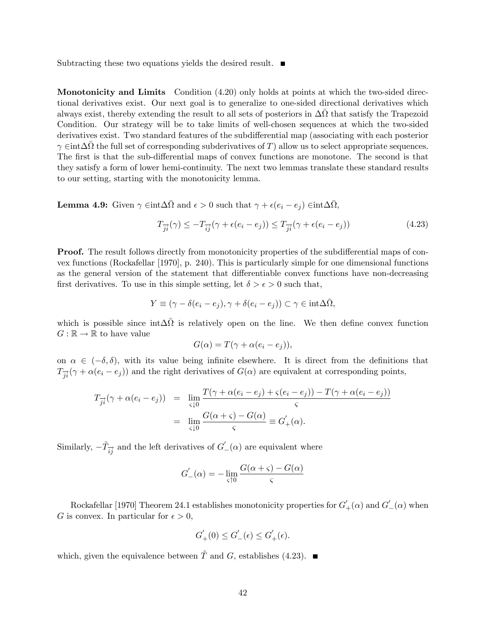Subtracting these two equations yields the desired result.  $\blacksquare$ 

Monotonicity and Limits Condition (4.20) only holds at points at which the two-sided directional derivatives exist. Our next goal is to generalize to one-sided directional derivatives which always exist, thereby extending the result to all sets of posteriors in  $\Delta\bar{\Omega}$  that satisfy the Trapezoid Condition. Our strategy will be to take limits of well-chosen sequences at which the two-sided derivatives exist. Two standard features of the subdifferential map (associating with each posterior  $\gamma \in \text{int} \Delta \bar{\Omega}$  the full set of corresponding subderivatives of T) allow us to select appropriate sequences. The first is that the sub-differential maps of convex functions are monotone. The second is that they satisfy a form of lower hemi-continuity. The next two lemmas translate these standard results to our setting, starting with the monotonicity lemma.

**Lemma 4.9:** Given  $\gamma \in \text{int} \Delta \bar{\Omega}$  and  $\epsilon > 0$  such that  $\gamma + \epsilon (e_i - e_j) \in \text{int} \Delta \bar{\Omega}$ ,

$$
T_{\overrightarrow{ji}}(\gamma) \le -T_{\overrightarrow{ij}}(\gamma + \epsilon(e_i - e_j)) \le T_{\overrightarrow{ji}}(\gamma + \epsilon(e_i - e_j))
$$
\n(4.23)

**Proof.** The result follows directly from monotonicity properties of the subdifferential maps of convex functions (Rockafellar [1970], p. 240). This is particularly simple for one dimensional functions as the general version of the statement that differentiable convex functions have non-decreasing first derivatives. To use in this simple setting, let  $\delta > \epsilon > 0$  such that,

$$
Y \equiv (\gamma - \delta(e_i - e_j), \gamma + \delta(e_i - e_j)) \subset \gamma \in \text{int}\Delta\overline{\Omega},
$$

which is possible since  $int \Delta \overline{\Omega}$  is relatively open on the line. We then define convex function  $G : \mathbb{R} \to \mathbb{R}$  to have value

$$
G(\alpha) = T(\gamma + \alpha(e_i - e_j)),
$$

on  $\alpha \in (-\delta, \delta)$ , with its value being infinite elsewhere. It is direct from the definitions that  $T_{\vec{i}}(\gamma + \alpha(e_i - e_j))$  and the right derivatives of  $G(\alpha)$  are equivalent at corresponding points,

$$
T_{\overrightarrow{ji}}(\gamma + \alpha(e_i - e_j)) = \lim_{\substack{\zeta \downarrow 0}} \frac{T(\gamma + \alpha(e_i - e_j) + \zeta(e_i - e_j)) - T(\gamma + \alpha(e_i - e_j))}{\zeta}
$$
  
= 
$$
\lim_{\substack{\zeta \downarrow 0}} \frac{G(\alpha + \zeta) - G(\alpha)}{\zeta} \equiv G'_{+}(\alpha).
$$

Similarly,  $-\tilde{T}_{\overrightarrow{ij}}$  and the left derivatives of  $G'_{-}(\alpha)$  are equivalent where

$$
G'_{-}(\alpha) = -\lim_{\varsigma \uparrow 0} \frac{G(\alpha + \varsigma) - G(\alpha)}{\varsigma}
$$

Rockafellar [1970] Theorem 24.1 establishes monotonicity properties for  $G'_{+}(\alpha)$  and  $G'_{-}(\alpha)$  when G is convex. In particular for  $\epsilon > 0$ ,

$$
G'_{+}(0) \le G'_{-}(\epsilon) \le G'_{+}(\epsilon).
$$

which, given the equivalence between  $\tilde{T}$  and G, establishes (4.23).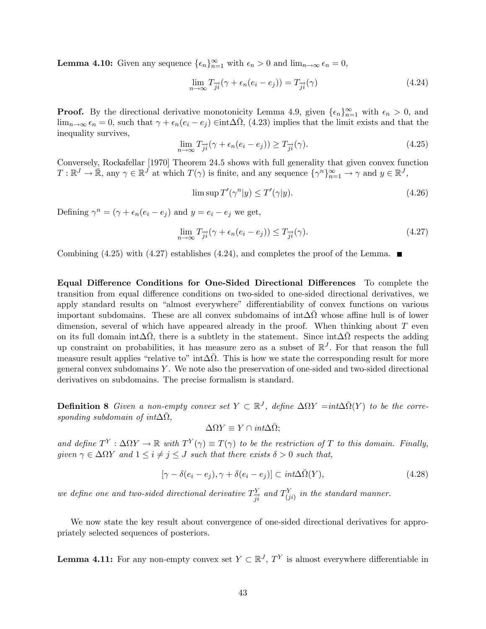**Lemma 4.10:** Given any sequence  $\{\epsilon_n\}_{n=1}^{\infty}$  with  $\epsilon_n > 0$  and  $\lim_{n \to \infty} \epsilon_n = 0$ ,

$$
\lim_{n \to \infty} T_{\overrightarrow{ji}}(\gamma + \epsilon_n(e_i - e_j)) = T_{\overrightarrow{ji}}(\gamma)
$$
\n(4.24)

**Proof.** By the directional derivative monotonicity Lemma 4.9, given  $\{\epsilon_n\}_{n=1}^{\infty}$  with  $\epsilon_n > 0$ , and  $\lim_{n\to\infty} \epsilon_n = 0$ , such that  $\gamma + \epsilon_n(e_i - e_j) \in \text{int}\Delta\overline{\Omega}$ , (4.23) implies that the limit exists and that the inequality survives,

$$
\lim_{n \to \infty} T_{\overrightarrow{ji}}(\gamma + \epsilon_n(e_i - e_j)) \ge T_{\overrightarrow{ji}}(\gamma).
$$
\n(4.25)

Conversely, Rockafellar [1970] Theorem 24.5 shows with full generality that given convex function  $T: \mathbb{R}^J \to \bar{\mathbb{R}}$ , any  $\gamma \in \mathbb{R}^J$  at which  $T(\gamma)$  is finite, and any sequence  $\{\gamma^n\}_{n=1}^{\infty} \to \gamma$  and  $y \in \mathbb{R}^J$ ,

$$
\limsup T'(\gamma^n|y) \le T'(\gamma|y). \tag{4.26}
$$

Defining  $\gamma^n = (\gamma + \epsilon_n(e_i - e_j)$  and  $y = e_i - e_j$  we get,

$$
\lim_{n \to \infty} T_{\overrightarrow{ji}}(\gamma + \epsilon_n(e_i - e_j)) \le T_{\overrightarrow{ji}}(\gamma).
$$
\n(4.27)

Combining (4.25) with (4.27) establishes (4.24), and completes the proof of the Lemma.

Equal Difference Conditions for One-Sided Directional Differences To complete the transition from equal difference conditions on two-sided to one-sided directional derivatives, we apply standard results on "almost everywhere" differentiability of convex functions on various important subdomains. These are all convex subdomains of  $int \Delta \overline{\Omega}$  whose affine hull is of lower dimension, several of which have appeared already in the proof. When thinking about  $T$  even on its full domain int $\Delta\bar{\Omega}$ , there is a subtlety in the statement. Since int $\Delta\bar{\Omega}$  respects the adding up constraint on probabilities, it has measure zero as a subset of  $\mathbb{R}^J$ . For that reason the full measure result applies "relative to" int $\Delta\bar{\Omega}$ . This is how we state the corresponding result for more general convex subdomains Y . We note also the preservation of one-sided and two-sided directional derivatives on subdomains. The precise formalism is standard.

**Definition 8** Given a non-empty convex set  $Y \subset \mathbb{R}^J$ , define  $\Delta \Omega Y = \int \overline{\Omega}(Y)$  to be the corresponding subdomain of int $\Delta \bar{\Omega}$ ,

$$
\Delta\Omega Y\equiv Y\cap int\Delta\bar{\Omega};
$$

and define  $T^Y : \Delta \Omega Y \to \mathbb{R}$  with  $T^Y(\gamma) \equiv T(\gamma)$  to be the restriction of T to this domain. Finally, given  $\gamma \in \Delta \Omega Y$  and  $1 \leq i \neq j \leq J$  such that there exists  $\delta > 0$  such that,

$$
[\gamma - \delta(e_i - e_j), \gamma + \delta(e_i - e_j)] \subset int \Delta \bar{\Omega}(Y), \qquad (4.28)
$$

we define one and two-sided directional derivative  $T_{\overrightarrow{ji}}^Y$  and  $T_{(ji)}^Y$  in the standard manner.

We now state the key result about convergence of one-sided directional derivatives for appropriately selected sequences of posteriors.

**Lemma 4.11:** For any non-empty convex set  $Y \subset \mathbb{R}^J$ ,  $T^Y$  is almost everywhere differentiable in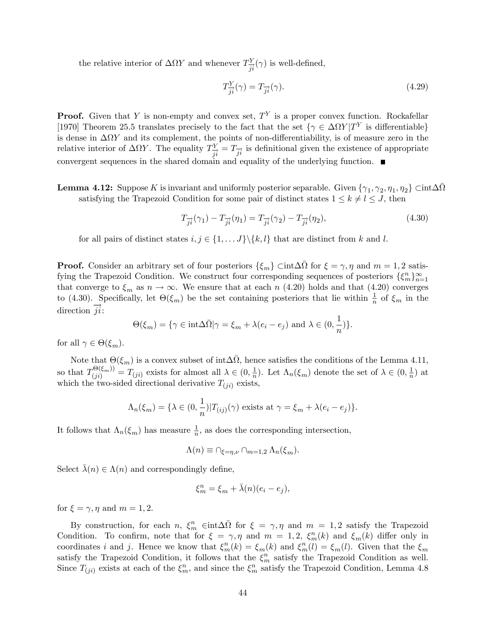the relative interior of  $\Delta \Omega Y$  and whenever  $T_{\overrightarrow{ji}}^Y(\gamma)$  is well-defined,

$$
T_{\overrightarrow{ji}}^Y(\gamma) = T_{\overrightarrow{ji}}(\gamma). \tag{4.29}
$$

**Proof.** Given that Y is non-empty and convex set,  $T<sup>Y</sup>$  is a proper convex function. Rockafellar [1970] Theorem 25.5 translates precisely to the fact that the set  $\{\gamma \in \Delta \Omega Y | T^Y \}$  is differentiable is dense in  $\Delta \Omega Y$  and its complement, the points of non-differentiability, is of measure zero in the relative interior of  $\Delta \Omega Y$ . The equality  $T_{\vec{j}i}^Y = T_{\vec{j}i}$  is definitional given the existence of appropriate convergent sequences in the shared domain and equality of the underlying function.

**Lemma 4.12:** Suppose K is invariant and uniformly posterior separable. Given  $\{\gamma_1, \gamma_2, \eta_1, \eta_2\} \subset \text{int} \Delta \bar{\Omega}$ satisfying the Trapezoid Condition for some pair of distinct states  $1 \leq k \neq l \leq J$ , then

$$
T_{\overrightarrow{ji}}(\gamma_1) - T_{\overrightarrow{ji}}(\eta_1) = T_{\overrightarrow{ji}}(\gamma_2) - T_{\overrightarrow{ji}}(\eta_2),
$$
\n(4.30)

for all pairs of distinct states  $i, j \in \{1, \ldots J\} \backslash \{k, l\}$  that are distinct from k and l.

**Proof.** Consider an arbitrary set of four posteriors  $\{\xi_m\}$   $\subset$  int $\Delta\overline{\Omega}$  for  $\xi = \gamma, \eta$  and  $m = 1, 2$  satisfying the Trapezoid Condition. We construct four corresponding sequences of posteriors  $\{\xi_m^n\}_{n=1}^{\infty}$ that converge to  $\xi_m$  as  $n \to \infty$ . We ensure that at each n (4.20) holds and that (4.20) converges to (4.30). Specifically, let  $\Theta(\xi_m)$  be the set containing posteriors that lie within  $\frac{1}{n}$  of  $\xi_m$  in the direction  $\overrightarrow{ji}$ :

$$
\Theta(\xi_m)=\{\gamma\in{\rm int}\Delta\bar\Omega|\gamma=\xi_m+\lambda(e_i-e_j)\,\,{\rm and}\,\,\lambda\in(0,\frac{1}{n})\}.
$$

for all  $\gamma \in \Theta(\xi_m)$ .

Note that  $\Theta(\xi_m)$  is a convex subset of int $\Delta\bar{\Omega}$ , hence satisfies the conditions of the Lemma 4.11, so that  $T_{(ji)}^{\Theta(\xi_m)} = T_{(ji)}$  exists for almost all  $\lambda \in (0, \frac{1}{n})$  $\frac{1}{n}$ ). Let  $\Lambda_n(\xi_m)$  denote the set of  $\lambda \in (0, \frac{1}{n})$  $\frac{1}{n}$  at which the two-sided directional derivative  $T_{(ji)}$  exists,

$$
\Lambda_n(\xi_m) = \{\lambda \in (0, \frac{1}{n}) | T_{(ij)}(\gamma) \text{ exists at } \gamma = \xi_m + \lambda(e_i - e_j)\}.
$$

It follows that  $\Lambda_n(\xi_m)$  has measure  $\frac{1}{n}$ , as does the corresponding intersection,

$$
\Lambda(n) \equiv \cap_{\xi=\eta,\nu} \cap_{m=1,2} \Lambda_n(\xi_m).
$$

Select  $\bar{\lambda}(n) \in \Lambda(n)$  and correspondingly define,

$$
\xi_m^n = \xi_m + \bar{\lambda}(n)(e_i - e_j),
$$

for  $\xi = \gamma, \eta$  and  $m = 1, 2$ .

By construction, for each n,  $\xi_m^m$   $\in$  int $\Delta\overline{\Omega}$  for  $\xi = \gamma, \eta$  and  $m = 1, 2$  satisfy the Trapezoid Condition. To confirm, note that for  $\xi = \gamma, \eta$  and  $m = 1, 2, \xi_m^n(k)$  and  $\xi_m(k)$  differ only in coordinates i and j. Hence we know that  $\xi_m^n(k) = \xi_m(k)$  and  $\xi_m^n(l) = \xi_m(l)$ . Given that the  $\xi_m$ satisfy the Trapezoid Condition, it follows that the  $\xi_m^n$  satisfy the Trapezoid Condition as well. Since  $T_{(ji)}$  exists at each of the  $\xi_m^n$ , and since the  $\xi_m^n$  satisfy the Trapezoid Condition, Lemma 4.8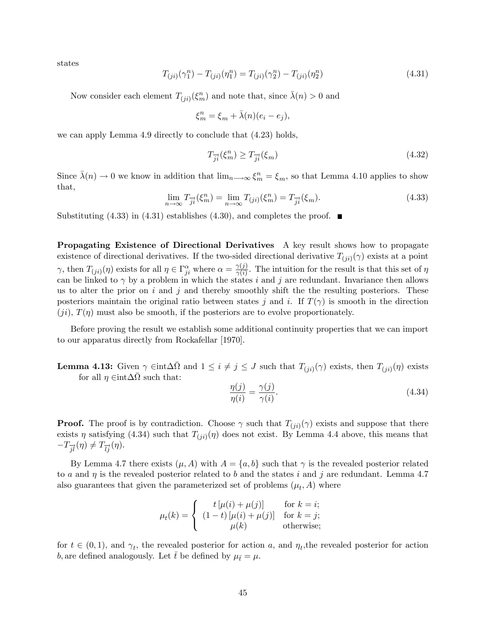states

$$
T_{(ji)}(\gamma_1^n) - T_{(ji)}(\eta_1^n) = T_{(ji)}(\gamma_2^n) - T_{(ji)}(\eta_2^n)
$$
\n(4.31)

Now consider each element  $T_{(ji)}(\xi_m^n)$  and note that, since  $\bar{\lambda}(n) > 0$  and

$$
\xi_m^n = \xi_m + \bar{\lambda}(n)(e_i - e_j),
$$

we can apply Lemma 4.9 directly to conclude that (4.23) holds,

$$
T_{\overrightarrow{ji}}(\xi_m^n) \ge T_{\overrightarrow{ji}}(\xi_m) \tag{4.32}
$$

Since  $\bar{\lambda}(n) \to 0$  we know in addition that  $\lim_{n \to \infty} \xi_m^n = \xi_m$ , so that Lemma 4.10 applies to show that,

$$
\lim_{n \to \infty} T_{\overrightarrow{ji}}(\xi_m^n) = \lim_{n \to \infty} T_{(ji)}(\xi_m^n) = T_{\overrightarrow{ji}}(\xi_m). \tag{4.33}
$$

Substituting  $(4.33)$  in  $(4.31)$  establishes  $(4.30)$ , and completes the proof.

Propagating Existence of Directional Derivatives A key result shows how to propagate existence of directional derivatives. If the two-sided directional derivative  $T_{(ji)}(\gamma)$  exists at a point  $\gamma$ , then  $T_{(ji)}(\eta)$  exists for all  $\eta \in \Gamma^{\alpha}_{ji}$  where  $\alpha = \frac{\gamma(j)}{\gamma(i)}$  $\frac{\gamma(j)}{\gamma(i)}$ . The intuition for the result is that this set of  $\eta$ can be linked to  $\gamma$  by a problem in which the states i and j are redundant. Invariance then allows us to alter the prior on  $i$  and  $j$  and thereby smoothly shift the the resulting posteriors. These posteriors maintain the original ratio between states j and i. If  $T(\gamma)$  is smooth in the direction  $(ji)$ ,  $T(\eta)$  must also be smooth, if the posteriors are to evolve proportionately.

Before proving the result we establish some additional continuity properties that we can import to our apparatus directly from Rockafellar [1970].

**Lemma 4.13:** Given  $\gamma \in \text{int} \Delta \overline{\Omega}$  and  $1 \leq i \neq j \leq J$  such that  $T_{(ji)}(\gamma)$  exists, then  $T_{(ji)}(\eta)$  exists for all  $\eta \in \text{int} \Delta \bar{\Omega}$  such that:

$$
\frac{\eta(j)}{\eta(i)} = \frac{\gamma(j)}{\gamma(i)}.\tag{4.34}
$$

**Proof.** The proof is by contradiction. Choose  $\gamma$  such that  $T_{(ji)}(\gamma)$  exists and suppose that there exists  $\eta$  satisfying (4.34) such that  $T_{(ji)}(\eta)$  does not exist. By Lemma 4.4 above, this means that  $-T_{\overrightarrow{il}}(\eta) \neq T_{\overrightarrow{li}}(\eta).$ 

By Lemma 4.7 there exists  $(\mu, A)$  with  $A = \{a, b\}$  such that  $\gamma$  is the revealed posterior related to a and  $\eta$  is the revealed posterior related to b and the states i and j are redundant. Lemma 4.7 also guarantees that given the parameterized set of problems  $(\mu_t, A)$  where

$$
\mu_t(k) = \begin{cases} t \left[ \mu(i) + \mu(j) \right] & \text{for } k = i; \\ (1-t) \left[ \mu(i) + \mu(j) \right] & \text{for } k = j; \\ \mu(k) & \text{otherwise}; \end{cases}
$$

for  $t \in (0, 1)$ , and  $\gamma_t$ , the revealed posterior for action a, and  $\eta_t$ , the revealed posterior for action b, are defined analogously. Let t be defined by  $\mu_{\bar{t}} = \mu$ .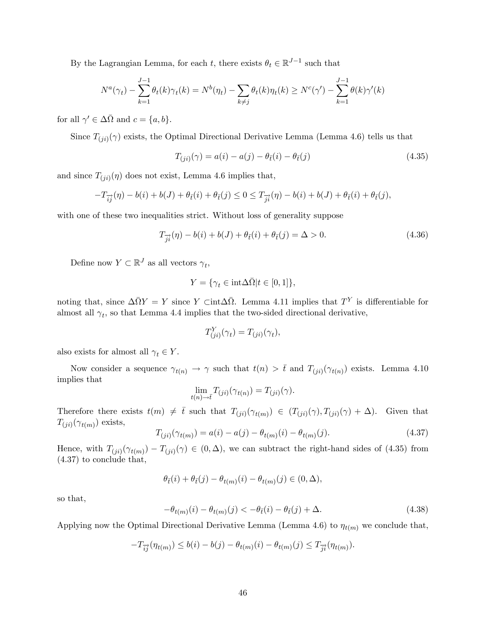By the Lagrangian Lemma, for each t, there exists  $\theta_t \in \mathbb{R}^{J-1}$  such that

$$
N^{a}(\gamma_{t}) - \sum_{k=1}^{J-1} \theta_{t}(k)\gamma_{t}(k) = N^{b}(\eta_{t}) - \sum_{k \neq j} \theta_{t}(k)\eta_{t}(k) \geq N^{c}(\gamma') - \sum_{k=1}^{J-1} \theta(k)\gamma'(k)
$$

for all  $\gamma' \in \Delta\overline{\Omega}$  and  $c = \{a, b\}.$ 

Since  $T_{(ji)}(\gamma)$  exists, the Optimal Directional Derivative Lemma (Lemma 4.6) tells us that

$$
T_{(ji)}(\gamma) = a(i) - a(j) - \theta_{\bar{t}}(i) - \theta_{\bar{t}}(j)
$$
\n(4.35)

and since  $T_{(ji)}(\eta)$  does not exist, Lemma 4.6 implies that,

$$
-T_{\overrightarrow{ij}}(\eta) - b(i) + b(J) + \theta_{\overrightarrow{t}}(i) + \theta_{\overrightarrow{t}}(j) \leq 0 \leq T_{\overrightarrow{ji}}(\eta) - b(i) + b(J) + \theta_{\overrightarrow{t}}(i) + \theta_{\overrightarrow{t}}(j),
$$

with one of these two inequalities strict. Without loss of generality suppose

$$
T_{\overrightarrow{j}i}(\eta) - b(i) + b(J) + \theta_{\overline{i}}(i) + \theta_{\overline{i}}(j) = \Delta > 0.
$$
 (4.36)

Define now  $Y \subset \mathbb{R}^J$  as all vectors  $\gamma_t$ ,

$$
Y = \{ \gamma_t \in \text{int} \Delta \bar{\Omega} | t \in [0, 1] \},
$$

noting that, since  $\Delta \bar{\Omega} Y = Y$  since Y  $\det \Delta \bar{\Omega}$ . Lemma 4.11 implies that  $T^Y$  is differentiable for almost all  $\gamma_t$ , so that Lemma 4.4 implies that the two-sided directional derivative,

$$
T_{(ji)}^Y(\gamma_t) = T_{(ji)}(\gamma_t),
$$

also exists for almost all  $\gamma_t \in Y$ .

Now consider a sequence  $\gamma_{t(n)} \to \gamma$  such that  $t(n) > \bar{t}$  and  $T_{(ji)}(\gamma_{t(n)})$  exists. Lemma 4.10 implies that

$$
\lim_{t(n)\to\bar t}T_{(ji)}(\gamma_{t(n)})=T_{(ji)}(\gamma).
$$

Therefore there exists  $t(m) \neq \overline{t}$  such that  $T_{(ji)}(\gamma_{t(m)}) \in (T_{(ji)}(\gamma), T_{(ji)}(\gamma) + \Delta)$ . Given that  $T_{(ji)}(\gamma_{t(m)})$  exists,

$$
T_{(ji)}(\gamma_{t(m)}) = a(i) - a(j) - \theta_{t(m)}(i) - \theta_{t(m)}(j). \tag{4.37}
$$

Hence, with  $T_{(ji)}(\gamma_{t(m)}) - T_{(ji)}(\gamma) \in (0, \Delta)$ , we can subtract the right-hand sides of (4.35) from (4.37) to conclude that,

$$
\theta_{\bar{t}}(i) + \theta_{\bar{t}}(j) - \theta_{t(m)}(i) - \theta_{t(m)}(j) \in (0, \Delta),
$$

so that,

$$
-\theta_{t(m)}(i) - \theta_{t(m)}(j) < -\theta_{\bar{t}}(i) - \theta_{\bar{t}}(j) + \Delta. \tag{4.38}
$$

Applying now the Optimal Directional Derivative Lemma (Lemma 4.6) to  $\eta_{t(m)}$  we conclude that,

$$
-T_{\overrightarrow{ij}}(\eta_{t(m)}) \leq b(i) - b(j) - \theta_{t(m)}(i) - \theta_{t(m)}(j) \leq T_{\overrightarrow{ji}}(\eta_{t(m)}).
$$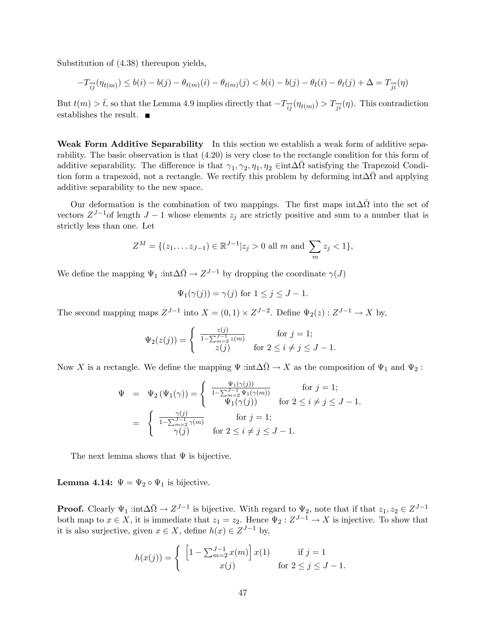Substitution of (4.38) thereupon yields,

$$
-T_{\overrightarrow{ij}}(\eta_{t(m)}) \leq b(i) - b(j) - \theta_{t(m)}(i) - \theta_{t(m)}(j) < b(i) - b(j) - \theta_{\overline{t}}(i) - \theta_{\overline{t}}(j) + \Delta = T_{\overrightarrow{ji}}(\eta)
$$

But  $t(m) > \bar{t}$ , so that the Lemma 4.9 implies directly that  $-T_{\bar{i}j}(\eta_{t(m)}) > T_{\bar{j}i}(\eta)$ . This contradiction establishes the result.  $\blacksquare$ 

Weak Form Additive Separability In this section we establish a weak form of additive separability. The basic observation is that (4.20) is very close to the rectangle condition for this form of additive separability. The difference is that  $\gamma_1, \gamma_2, \eta_1, \eta_2 \in \text{int} \Delta \bar{\Omega}$  satisfying the Trapezoid Condition form a trapezoid, not a rectangle. We rectify this problem by deforming  $int \Delta \bar{\Omega}$  and applying additive separability to the new space.

Our deformation is the combination of two mappings. The first maps  $int \Delta \overline{Q}$  into the set of vectors  $Z^{J-1}$  of length  $J-1$  whose elements  $z_j$  are strictly positive and sum to a number that is strictly less than one. Let

$$
Z^M = \{ (z_1, \dots z_{J-1}) \in \mathbb{R}^{J-1} | z_j > 0 \text{ all } m \text{ and } \sum_m z_j < 1 \},
$$

We define the mapping  $\Psi_1$  : $\text{int}\Delta\bar{\Omega} \to Z^{J-1}$  by dropping the coordinate  $\gamma(J)$ 

$$
\Psi_1(\gamma(j)) = \gamma(j) \text{ for } 1 \le j \le J - 1.
$$

The second mapping maps  $Z^{J-1}$  into  $X = (0,1) \times Z^{J-2}$ . Define  $\Psi_2(z) : Z^{J-1} \to X$  by,

$$
\Psi_2(z(j)) = \begin{cases} \frac{z(j)}{1 - \sum_{m=2}^{J-1} z(m)} & \text{for } j = 1; \\ z(j) & \text{for } 2 \le i \neq j \le J - 1. \end{cases}
$$

Now X is a rectangle. We define the mapping  $\Psi$  :int $\Delta\bar{\Omega} \to X$  as the composition of  $\Psi_1$  and  $\Psi_2$ :

$$
\Psi = \Psi_2(\Psi_1(\gamma)) = \begin{cases}\n\frac{\Psi_1(\gamma(j))}{1 - \sum_{m=2}^{J-1} \Psi_1(\gamma(m))} & \text{for } j = 1; \\
\Psi_1(\gamma(j)) & \text{for } 2 \le i \neq j \le J - 1.\n\end{cases}
$$
\n
$$
= \begin{cases}\n\frac{\gamma(j)}{1 - \sum_{m=2}^{J-1} \gamma(m)} & \text{for } j = 1; \\
\gamma(j) & \text{for } 2 \le i \neq j \le J - 1.\n\end{cases}
$$

The next lemma shows that  $\Psi$  is bijective.

**Lemma 4.14:**  $\Psi = \Psi_2 \circ \Psi_1$  is bijective.

**Proof.** Clearly  $\Psi_1$  :int $\Delta \bar{\Omega} \to Z^{J-1}$  is bijective. With regard to  $\Psi_2$ , note that if that  $z_1, z_2 \in Z^{J-1}$ both map to  $x \in X$ , it is immediate that  $z_1 = z_2$ . Hence  $\Psi_2 : Z^{J-1} \to X$  is injective. To show that it is also surjective, given  $x \in X$ , define  $h(x) \in Z^{J-1}$  by,

$$
h(x(j)) = \begin{cases} \left[1 - \sum_{m=2}^{J-1} x(m)\right] x(1) & \text{if } j = 1\\ x(j) & \text{for } 2 \le j \le J-1. \end{cases}
$$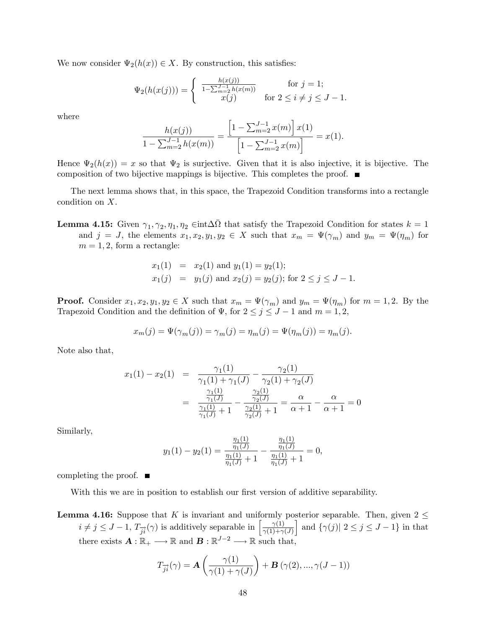We now consider  $\Psi_2(h(x)) \in X$ . By construction, this satisfies:

$$
\Psi_2(h(x(j))) = \begin{cases} \frac{h(x(j))}{1 - \sum_{m=2}^{J-1} h(x(m))} & \text{for } j = 1; \\ x(j) & \text{for } 2 \le i \neq j \le J - 1. \end{cases}
$$

where

$$
\frac{h(x(j))}{1 - \sum_{m=2}^{J-1} h(x(m))} = \frac{\left[1 - \sum_{m=2}^{J-1} x(m)\right] x(1)}{\left[1 - \sum_{m=2}^{J-1} x(m)\right]} = x(1).
$$

Hence  $\Psi_2(h(x)) = x$  so that  $\Psi_2$  is surjective. Given that it is also injective, it is bijective. The composition of two bijective mappings is bijective. This completes the proof.  $\blacksquare$ 

The next lemma shows that, in this space, the Trapezoid Condition transforms into a rectangle condition on X.

**Lemma 4.15:** Given  $\gamma_1, \gamma_2, \eta_1, \eta_2 \in \text{int}\Delta\bar{\Omega}$  that satisfy the Trapezoid Condition for states  $k = 1$ and  $j = J$ , the elements  $x_1, x_2, y_1, y_2 \in X$  such that  $x_m = \Psi(\gamma_m)$  and  $y_m = \Psi(\eta_m)$  for  $m = 1, 2$ , form a rectangle:

$$
x_1(1) = x_2(1)
$$
 and  $y_1(1) = y_2(1);$   
\n $x_1(j) = y_1(j)$  and  $x_2(j) = y_2(j);$  for  $2 \le j \le J - 1.$ 

**Proof.** Consider  $x_1, x_2, y_1, y_2 \in X$  such that  $x_m = \Psi(\gamma_m)$  and  $y_m = \Psi(\eta_m)$  for  $m = 1, 2$ . By the Trapezoid Condition and the definition of  $\Psi$ , for  $2 \le j \le J - 1$  and  $m = 1, 2$ ,

$$
x_m(j) = \Psi(\gamma_m(j)) = \gamma_m(j) = \eta_m(j) = \Psi(\eta_m(j)) = \eta_m(j).
$$

Note also that,

$$
x_1(1) - x_2(1) = \frac{\gamma_1(1)}{\gamma_1(1) + \gamma_1(J)} - \frac{\gamma_2(1)}{\gamma_2(1) + \gamma_2(J)}
$$
  
= 
$$
\frac{\frac{\gamma_1(1)}{\gamma_1(J)}}{\frac{\gamma_1(1)}{\gamma_1(J)} + 1} - \frac{\frac{\gamma_2(1)}{\gamma_2(J)}}{\frac{\gamma_2(1)}{\gamma_2(J)} + 1} = \frac{\alpha}{\alpha + 1} - \frac{\alpha}{\alpha + 1} = 0
$$

Similarly,

$$
y_1(1) - y_2(1) = \frac{\frac{\eta_1(1)}{\eta_1(J)}}{\frac{\eta_1(1)}{\eta_1(J)} + 1} - \frac{\frac{\eta_1(1)}{\eta_1(J)}}{\frac{\eta_1(1)}{\eta_1(J)} + 1} = 0,
$$

completing the proof.  $\blacksquare$ 

With this we are in position to establish our first version of additive separability.

**Lemma 4.16:** Suppose that K is invariant and uniformly posterior separable. Then, given  $2 \le$  $i \neq j \leq J-1$ ,  $T_{\overrightarrow{ji}}(\gamma)$  is additively separable in  $\left[\frac{\gamma(1)}{\gamma(1)+\gamma}\right]$  $\gamma(1)+\gamma(J)$ and  $\{\gamma(j) | 2 \leq j \leq J-1\}$  in that there exists  $\mathbf{A} : \mathbb{R}_+ \longrightarrow \mathbb{R}$  and  $\mathbf{B} : \mathbb{R}^{J-2} \longrightarrow \mathbb{R}$  such that,

$$
T_{\overrightarrow{ji}}(\gamma) = \mathbf{A}\left(\frac{\gamma(1)}{\gamma(1) + \gamma(J)}\right) + \mathbf{B}\left(\gamma(2), ..., \gamma(J-1)\right)
$$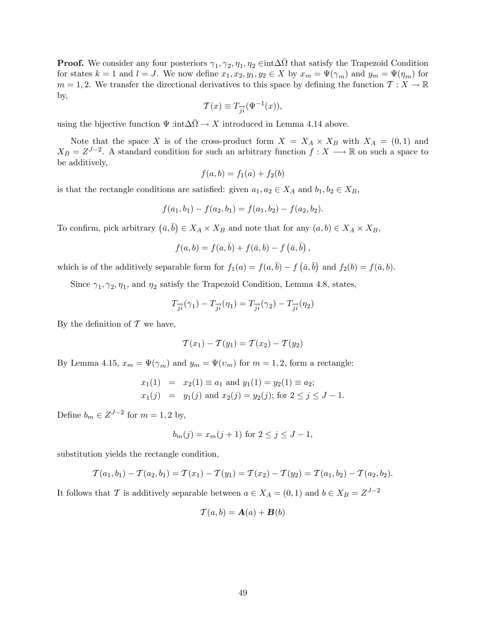**Proof.** We consider any four posteriors  $\gamma_1, \gamma_2, \eta_1, \eta_2 \in \text{int}\Delta\overline{\Omega}$  that satisfy the Trapezoid Condition for states  $k = 1$  and  $l = J$ . We now define  $x_1, x_2, y_1, y_2 \in X$  by  $x_m = \Psi(\gamma_m)$  and  $y_m = \Psi(\eta_m)$  for  $m = 1, 2$ . We transfer the directional derivatives to this space by defining the function  $\mathcal{T}: X \to \mathbb{R}$ by,

$$
\mathcal{T}(x) \equiv T_{\overrightarrow{ji}}(\Psi^{-1}(x)),
$$

using the bijective function  $\Psi$  :int $\Delta \bar{\Omega} \to X$  introduced in Lemma 4.14 above.

Note that the space X is of the cross-product form  $X = X_A \times X_B$  with  $X_A = (0,1)$  and  $X_B = Z^{J-2}$ . A standard condition for such an arbitrary function  $f: X \longrightarrow \mathbb{R}$  on such a space to be additively,

$$
f(a, b) = f_1(a) + f_2(b)
$$

is that the rectangle conditions are satisfied: given  $a_1, a_2 \in X_A$  and  $b_1, b_2 \in X_B$ ,

$$
f(a_1, b_1) - f(a_2, b_1) = f(a_1, b_2) - f(a_2, b_2).
$$

To confirm, pick arbitrary  $(\bar{a}, \bar{b}) \in X_A \times X_B$  and note that for any  $(a, b) \in X_A \times X_B$ ,

$$
f(a,b) = f(a,\overline{b}) + f(\overline{a},b) - f(\overline{a},\overline{b}),
$$

which is of the additively separable form for  $f_1(a) = f(a, \bar{b}) - f(\bar{a}, \bar{b})$  and  $f_2(b) = f(\bar{a}, b)$ .

Since  $\gamma_1, \gamma_2, \eta_1$ , and  $\eta_2$  satisfy the Trapezoid Condition, Lemma 4.8, states,

$$
T_{\overrightarrow{ji}}(\gamma_1) - T_{\overrightarrow{ji}}(\eta_1) = T_{\overrightarrow{ji}}(\gamma_2) - T_{\overrightarrow{ji}}(\eta_2)
$$

By the definition of  $\mathcal T$  we have,

$$
\mathcal{T}(x_1) - \mathcal{T}(y_1) = \mathcal{T}(x_2) - \mathcal{T}(y_2)
$$

By Lemma 4.15,  $x_m = \Psi(\gamma_m)$  and  $y_m = \Psi(v_m)$  for  $m = 1, 2$ , form a rectangle:

$$
x_1(1) = x_2(1) \equiv a_1
$$
 and  $y_1(1) = y_2(1) \equiv a_2$ ;  
\n $x_1(j) = y_1(j)$  and  $x_2(j) = y_2(j)$ ; for  $2 \le j \le J - 1$ .

Define  $b_m \in Z^{J-2}$  for  $m = 1, 2$  by,

$$
b_m(j) = x_m(j+1) \text{ for } 2 \le j \le J-1,
$$

substitution yields the rectangle condition,

$$
\mathcal{T}(a_1,b_1) - \mathcal{T}(a_2,b_1) = \mathcal{T}(x_1) - \mathcal{T}(y_1) = \mathcal{T}(x_2) - \mathcal{T}(y_2) = \mathcal{T}(a_1,b_2) - \mathcal{T}(a_2,b_2).
$$

It follows that T is additively separable between  $a \in X_A = (0, 1)$  and  $b \in X_B = Z^{J-2}$ 

$$
\mathcal{T}(a,b) = \mathbf{A}(a) + \mathbf{B}(b)
$$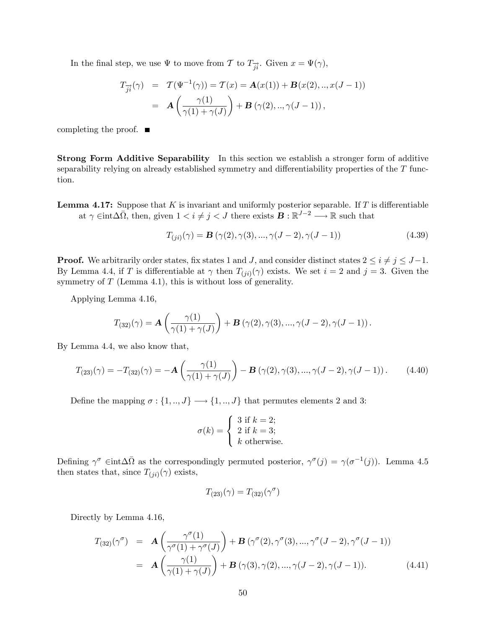In the final step, we use  $\Psi$  to move from  $\mathcal T$  to  $T_{\vec n}$ . Given  $x = \Psi(\gamma)$ ,

$$
T_{\overrightarrow{ji}}(\gamma) = \mathcal{T}(\Psi^{-1}(\gamma)) = \mathcal{T}(x) = \mathbf{A}(x(1)) + \mathbf{B}(x(2),..,x(J-1))
$$
  
=  $\mathbf{A}\left(\frac{\gamma(1)}{\gamma(1) + \gamma(J)}\right) + \mathbf{B}(\gamma(2),..,\gamma(J-1)),$ 

completing the proof.  $\blacksquare$ 

Strong Form Additive Separability In this section we establish a stronger form of additive separability relying on already established symmetry and differentiability properties of the  $T$  function.

**Lemma 4.17:** Suppose that K is invariant and uniformly posterior separable. If T is differentiable at  $\gamma \in \text{int}\Delta\bar{\Omega}$ , then, given  $1 \leq i \neq j \leq J$  there exists  $\mathbf{B} : \mathbb{R}^{J-2} \longrightarrow \mathbb{R}$  such that

$$
T_{(ji)}(\gamma) = \mathbf{B}(\gamma(2), \gamma(3), ..., \gamma(J-2), \gamma(J-1))
$$
\n(4.39)

**Proof.** We arbitrarily order states, fix states 1 and J, and consider distinct states  $2 \leq i \neq j \leq J-1$ . By Lemma 4.4, if T is differentiable at  $\gamma$  then  $T_{(ji)}(\gamma)$  exists. We set  $i = 2$  and  $j = 3$ . Given the symmetry of  $T$  (Lemma 4.1), this is without loss of generality.

Applying Lemma 4.16,

$$
T_{(32)}(\gamma) = \mathbf{A}\left(\frac{\gamma(1)}{\gamma(1)+\gamma(J)}\right) + \mathbf{B}\left(\gamma(2),\gamma(3),...,\gamma(J-2),\gamma(J-1)\right).
$$

By Lemma 4.4, we also know that,

$$
T_{(23)}(\gamma) = -T_{(32)}(\gamma) = -\mathbf{A}\left(\frac{\gamma(1)}{\gamma(1) + \gamma(J)}\right) - \mathbf{B}\left(\gamma(2), \gamma(3), ..., \gamma(J-2), \gamma(J-1)\right). \tag{4.40}
$$

Define the mapping  $\sigma : \{1, ..., J\} \longrightarrow \{1, ..., J\}$  that permutes elements 2 and 3:

$$
\sigma(k) = \begin{cases} 3 \text{ if } k = 2; \\ 2 \text{ if } k = 3; \\ k \text{ otherwise.} \end{cases}
$$

Defining  $\gamma^{\sigma} \in \text{int} \Delta \bar{\Omega}$  as the correspondingly permuted posterior,  $\gamma^{\sigma}(j) = \gamma(\sigma^{-1}(j))$ . Lemma 4.5 then states that, since  $T_{(ji)}(\gamma)$  exists,

$$
T_{(23)}(\gamma)=T_{(32)}(\gamma^\sigma)
$$

Directly by Lemma 4.16,

$$
T_{(32)}(\gamma^{\sigma}) = \mathbf{A}\left(\frac{\gamma^{\sigma}(1)}{\gamma^{\sigma}(1) + \gamma^{\sigma}(J)}\right) + \mathbf{B}\left(\gamma^{\sigma}(2), \gamma^{\sigma}(3), ..., \gamma^{\sigma}(J-2), \gamma^{\sigma}(J-1)\right)
$$

$$
= \mathbf{A}\left(\frac{\gamma(1)}{\gamma(1) + \gamma(J)}\right) + \mathbf{B}\left(\gamma(3), \gamma(2), ..., \gamma(J-2), \gamma(J-1)\right). \tag{4.41}
$$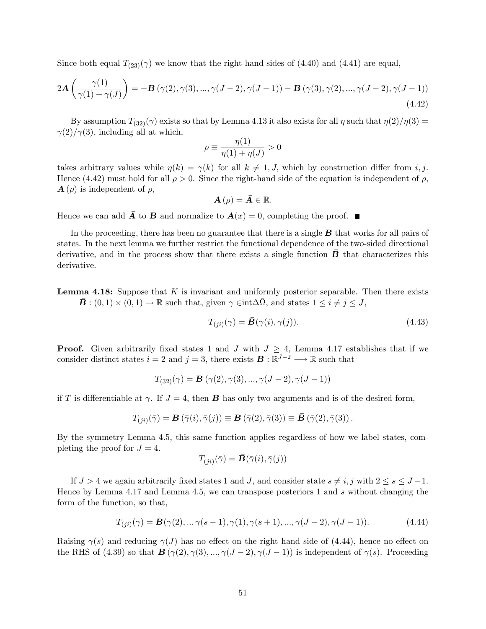Since both equal  $T_{(23)}(\gamma)$  we know that the right-hand sides of (4.40) and (4.41) are equal,

$$
2\mathbf{A}\left(\frac{\gamma(1)}{\gamma(1)+\gamma(J)}\right) = -\mathbf{B}\left(\gamma(2),\gamma(3),...,\gamma(J-2),\gamma(J-1)\right) - \mathbf{B}\left(\gamma(3),\gamma(2),...,\gamma(J-2),\gamma(J-1)\right)
$$
\n(4.42)

By assumption  $T_{(32)}(\gamma)$  exists so that by Lemma 4.13 it also exists for all  $\eta$  such that  $\eta(2)/\eta(3) =$  $\gamma(2)/\gamma(3)$ , including all at which,

$$
\rho \equiv \frac{\eta(1)}{\eta(1) + \eta(J)} > 0
$$

takes arbitrary values while  $\eta(k) = \gamma(k)$  for all  $k \neq 1, J$ , which by construction differ from i, j. Hence (4.42) must hold for all  $\rho > 0$ . Since the right-hand side of the equation is independent of  $\rho$ ,  $\mathbf{A}(\rho)$  is independent of  $\rho$ ,

$$
\mathbf{A}\left( \rho\right) =\bar{\mathbf{A}}\in\mathbb{R}.
$$

Hence we can add  $\overline{A}$  to  $B$  and normalize to  $A(x) = 0$ , completing the proof.  $\blacksquare$ 

In the proceeding, there has been no guarantee that there is a single  $\bf{B}$  that works for all pairs of states. In the next lemma we further restrict the functional dependence of the two-sided directional derivative, and in the process show that there exists a single function  $\vec{B}$  that characterizes this derivative.

**Lemma 4.18:** Suppose that  $K$  is invariant and uniformly posterior separable. Then there exists  $\bar{\mathbf{B}}:(0,1)\times(0,1)\to\mathbb{R}$  such that, given  $\gamma\in\text{int}\Delta\bar{\Omega}$ , and states  $1\leq i\neq j\leq J$ ,

$$
T_{(ji)}(\gamma) = \bar{\mathbf{B}}(\gamma(i), \gamma(j)).\tag{4.43}
$$

**Proof.** Given arbitrarily fixed states 1 and J with  $J \geq 4$ , Lemma 4.17 establishes that if we consider distinct states  $i = 2$  and  $j = 3$ , there exists  $\mathbf{B} : \mathbb{R}^{J-2} \longrightarrow \mathbb{R}$  such that

$$
T_{(32)}(\gamma) = \mathbf{B}(\gamma(2), \gamma(3), ..., \gamma(J-2), \gamma(J-1))
$$

if T is differentiable at  $\gamma$ . If  $J = 4$ , then **B** has only two arguments and is of the desired form,

$$
T_{(ji)}(\bar{\gamma}) = \mathbf{B}\left(\bar{\gamma}(i), \bar{\gamma}(j)\right) \equiv \mathbf{B}\left(\bar{\gamma}(2), \bar{\gamma}(3)\right) \equiv \mathbf{\bar{B}}\left(\bar{\gamma}(2), \bar{\gamma}(3)\right).
$$

By the symmetry Lemma 4.5, this same function applies regardless of how we label states, completing the proof for  $J = 4$ .

$$
T_{(ji)}(\bar{\gamma}) = \bar{\mathbf{B}}(\bar{\gamma}(i), \bar{\gamma}(j))
$$

If  $J > 4$  we again arbitrarily fixed states 1 and J, and consider state  $s \neq i, j$  with  $2 \leq s \leq J-1$ . Hence by Lemma 4.17 and Lemma 4.5, we can transpose posteriors 1 and s without changing the form of the function, so that,

$$
T_{(ji)}(\gamma) = \mathbf{B}(\gamma(2), \dots, \gamma(s-1), \gamma(1), \gamma(s+1), \dots, \gamma(J-2), \gamma(J-1)).
$$
\n(4.44)

Raising  $\gamma(s)$  and reducing  $\gamma(J)$  has no effect on the right hand side of (4.44), hence no effect on the RHS of (4.39) so that  $\mathbf{B}(\gamma(2), \gamma(3), ..., \gamma(J-2), \gamma(J-1))$  is independent of  $\gamma(s)$ . Proceeding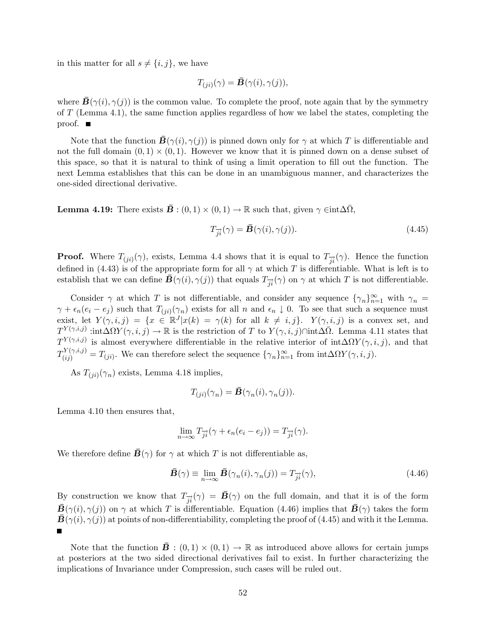in this matter for all  $s \neq \{i, j\}$ , we have

$$
T_{(ji)}(\gamma) = \bar{\mathbf{B}}(\gamma(i), \gamma(j)),
$$

where  $\vec{B}(\gamma(i), \gamma(i))$  is the common value. To complete the proof, note again that by the symmetry of T (Lemma 4.1), the same function applies regardless of how we label the states, completing the proof.  $\blacksquare$ 

Note that the function  $\bar{\mathbf{B}}(\gamma(i), \gamma(j))$  is pinned down only for  $\gamma$  at which T is differentiable and not the full domain  $(0,1) \times (0,1)$ . However we know that it is pinned down on a dense subset of this space, so that it is natural to think of using a limit operation to Öll out the function. The next Lemma establishes that this can be done in an unambiguous manner, and characterizes the one-sided directional derivative.

**Lemma 4.19:** There exists  $\vec{\mathbf{B}}$  :  $(0,1) \times (0,1) \rightarrow \mathbb{R}$  such that, given  $\gamma \in \text{int} \Delta \bar{\Omega}$ ,

$$
T_{\vec{j}\vec{i}}(\gamma) = \vec{B}(\gamma(i), \gamma(j)). \tag{4.45}
$$

**Proof.** Where  $T_{(ji)}(\gamma)$ , exists, Lemma 4.4 shows that it is equal to  $T_{\overrightarrow{ji}}(\gamma)$ . Hence the function defined in (4.43) is of the appropriate form for all  $\gamma$  at which T is differentiable. What is left is to establish that we can define  $\bar{\mathbf{B}}(\gamma(i), \gamma(j))$  that equals  $T_{\vec{i}}(\gamma)$  on  $\gamma$  at which T is not differentiable.

Consider  $\gamma$  at which T is not differentiable, and consider any sequence  $\{\gamma_n\}_{n=1}^{\infty}$  with  $\gamma_n$  $\gamma + \epsilon_n(e_i - e_j)$  such that  $T_{(ji)}(\gamma_n)$  exists for all n and  $\epsilon_n \downarrow 0$ . To see that such a sequence must exist, let  $Y(\gamma, i, j) = \{x \in \mathbb{R}^J | x(k) = \gamma(k) \text{ for all } k \neq i, j\}$ .  $Y(\gamma, i, j)$  is a convex set, and  $T^{Y(\gamma,i,j)}$  :int $\Delta \Omega Y(\gamma,i,j) \to \mathbb{R}$  is the restriction of T to  $Y(\gamma,i,j)\cap \text{int}\Delta \overline{\Omega}$ . Lemma 4.11 states that  $T^{Y(\gamma,i,j)}$  is almost everywhere differentiable in the relative interior of  $\text{int}\Delta \Omega Y(\gamma,i,j)$ , and that  $T^{Y(\gamma,i,j)}_{(ij)} = T_{(ji)}$ . We can therefore select the sequence  $\{\gamma_n\}_{n=1}^{\infty}$  from  $\text{int}\Delta\Omega Y(\gamma,i,j)$ .

As  $T_{(ji)}(\gamma_n)$  exists, Lemma 4.18 implies,

$$
T_{(ji)}(\gamma_n) = \bar{\mathbf{B}}(\gamma_n(i), \gamma_n(j)).
$$

Lemma 4.10 then ensures that,

$$
\lim_{n \to \infty} T_{\overrightarrow{ji}}(\gamma + \epsilon_n(e_i - e_j)) = T_{\overrightarrow{ji}}(\gamma).
$$

We therefore define  $\bar{\mathbf{B}}(\gamma)$  for  $\gamma$  at which T is not differentiable as,

$$
\bar{\mathbf{B}}(\gamma) \equiv \lim_{n \to \infty} \bar{\mathbf{B}}(\gamma_n(i), \gamma_n(j)) = T_{\overrightarrow{j_i}}(\gamma), \tag{4.46}
$$

By construction we know that  $T_{\vec{i}}(\gamma) = \vec{B}(\gamma)$  on the full domain, and that it is of the form  $\bar{\mathbf{B}}(\gamma(i),\gamma(j))$  on  $\gamma$  at which T is differentiable. Equation (4.46) implies that  $\bar{\mathbf{B}}(\gamma)$  takes the form  $\bar{\mathbf{B}}(\gamma(i),\gamma(j))$  at points of non-differentiability, completing the proof of (4.45) and with it the Lemma.  $\blacksquare$ 

Note that the function  $\bar{\mathbf{B}}$  :  $(0,1) \times (0,1) \to \mathbb{R}$  as introduced above allows for certain jumps at posteriors at the two sided directional derivatives fail to exist. In further characterizing the implications of Invariance under Compression, such cases will be ruled out.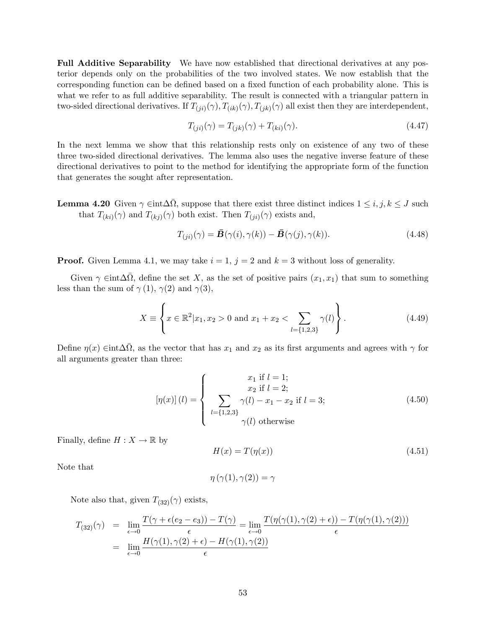Full Additive Separability We have now established that directional derivatives at any posterior depends only on the probabilities of the two involved states. We now establish that the corresponding function can be defined based on a fixed function of each probability alone. This is what we refer to as full additive separability. The result is connected with a triangular pattern in two-sided directional derivatives. If  $T_{(ji)}(\gamma)$ ,  $T_{(ik)}(\gamma)$ ,  $T_{(jk)}(\gamma)$  all exist then they are interdependent,

$$
T_{(ji)}(\gamma) = T_{(jk)}(\gamma) + T_{(ki)}(\gamma).
$$
\n(4.47)

In the next lemma we show that this relationship rests only on existence of any two of these three two-sided directional derivatives. The lemma also uses the negative inverse feature of these directional derivatives to point to the method for identifying the appropriate form of the function that generates the sought after representation.

**Lemma 4.20** Given  $\gamma \in \text{int } \Delta \overline{\Omega}$ , suppose that there exist three distinct indices  $1 \leq i, j, k \leq J$  such that  $T_{(ki)}(\gamma)$  and  $T_{(kj)}(\gamma)$  both exist. Then  $T_{(ji)}(\gamma)$  exists and,

$$
T_{(ji)}(\gamma) = \bar{\mathbf{B}}(\gamma(i), \gamma(k)) - \bar{\mathbf{B}}(\gamma(j), \gamma(k)). \tag{4.48}
$$

**Proof.** Given Lemma 4.1, we may take  $i = 1$ ,  $j = 2$  and  $k = 3$  without loss of generality.

Given  $\gamma \in \text{int} \Delta \overline{\Omega}$ , define the set X, as the set of positive pairs  $(x_1, x_1)$  that sum to something less than the sum of  $\gamma(1)$ ,  $\gamma(2)$  and  $\gamma(3)$ ,

$$
X \equiv \left\{ x \in \mathbb{R}^2 | x_1, x_2 > 0 \text{ and } x_1 + x_2 < \sum_{l=\{1,2,3\}} \gamma(l) \right\}.
$$
 (4.49)

Define  $\eta(x) \in \text{int} \Delta \overline{\Omega}$ , as the vector that has  $x_1$  and  $x_2$  as its first arguments and agrees with  $\gamma$  for all arguments greater than three:

$$
[\eta(x)](l) = \begin{cases} x_1 \text{ if } l = 1; \\ x_2 \text{ if } l = 2; \\ \sum_{l = \{1,2,3\}} \gamma(l) - x_1 - x_2 \text{ if } l = 3; \\ \gamma(l) \text{ otherwise} \end{cases}
$$
(4.50)

Finally, define  $H: X \to \mathbb{R}$  by

$$
H(x) = T(\eta(x))\tag{4.51}
$$

Note that

$$
\eta\left(\gamma(1),\gamma(2)\right)=\gamma
$$

Note also that, given  $T_{(32)}(\gamma)$  exists,

$$
T_{(32)}(\gamma) = \lim_{\epsilon \to 0} \frac{T(\gamma + \epsilon(e_2 - e_3)) - T(\gamma)}{\epsilon} = \lim_{\epsilon \to 0} \frac{T(\eta(\gamma(1), \gamma(2) + \epsilon)) - T(\eta(\gamma(1), \gamma(2)))}{\epsilon}
$$
  
= 
$$
\lim_{\epsilon \to 0} \frac{H(\gamma(1), \gamma(2) + \epsilon) - H(\gamma(1), \gamma(2))}{\epsilon}
$$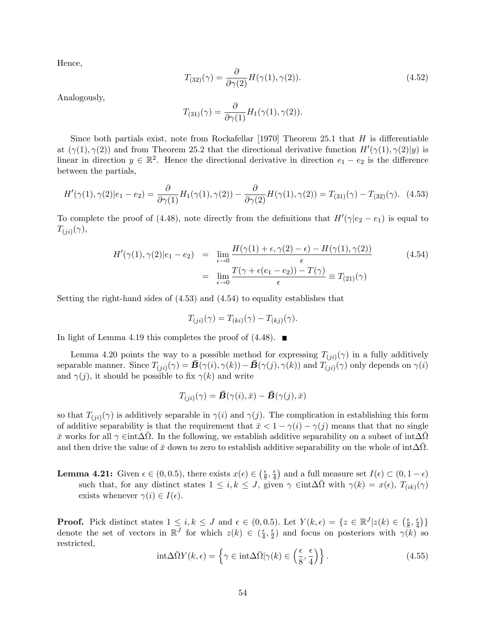Hence,

$$
T_{(32)}(\gamma) = \frac{\partial}{\partial \gamma(2)} H(\gamma(1), \gamma(2)). \tag{4.52}
$$

Analogously,

$$
T_{(31)}(\gamma) = \frac{\partial}{\partial \gamma(1)} H_1(\gamma(1), \gamma(2)).
$$

Since both partials exist, note from Rockafellar [1970] Theorem 25.1 that  $H$  is differentiable at  $(\gamma(1), \gamma(2))$  and from Theorem 25.2 that the directional derivative function  $H'(\gamma(1), \gamma(2)|y)$  is linear in direction  $y \in \mathbb{R}^2$ . Hence the directional derivative in direction  $e_1 - e_2$  is the difference between the partials,

$$
H'(\gamma(1), \gamma(2)|e_1 - e_2) = \frac{\partial}{\partial \gamma(1)} H_1(\gamma(1), \gamma(2)) - \frac{\partial}{\partial \gamma(2)} H(\gamma(1), \gamma(2)) = T_{(31)}(\gamma) - T_{(32)}(\gamma). \tag{4.53}
$$

To complete the proof of (4.48), note directly from the definitions that  $H'(\gamma|e_2 - e_1)$  is equal to  $T_{(ji)}(\gamma),$ 

$$
H'(\gamma(1), \gamma(2)|e_1 - e_2) = \lim_{\epsilon \to 0} \frac{H(\gamma(1) + \epsilon, \gamma(2) - \epsilon) - H(\gamma(1), \gamma(2))}{\epsilon}
$$
  
= 
$$
\lim_{\epsilon \to 0} \frac{T(\gamma + \epsilon(e_1 - e_2)) - T(\gamma)}{\epsilon} \equiv T_{(21)}(\gamma)
$$
 (4.54)

Setting the right-hand sides of (4.53) and (4.54) to equality establishes that

$$
T_{(ji)}(\gamma) = T_{(ki)}(\gamma) - T_{(kj)}(\gamma).
$$

In light of Lemma 4.19 this completes the proof of  $(4.48)$ .

Lemma 4.20 points the way to a possible method for expressing  $T_{(ji)}(\gamma)$  in a fully additively separable manner. Since  $T_{(ji)}(\gamma) = \bar{\mathbf{B}}(\gamma(i), \gamma(k)) - \bar{\mathbf{B}}(\gamma(j), \gamma(k))$  and  $T_{(ji)}(\gamma)$  only depends on  $\gamma(i)$ and  $\gamma(j)$ , it should be possible to fix  $\gamma(k)$  and write

$$
T_{(ji)}(\gamma) = \bar{\boldsymbol{B}}(\gamma(i),\bar{x}) - \bar{\boldsymbol{B}}(\gamma(j),\bar{x})
$$

so that  $T_{(ji)}(\gamma)$  is additively separable in  $\gamma(i)$  and  $\gamma(j)$ . The complication in establishing this form of additive separability is that the requirement that  $\bar{x} < 1 - \gamma(i) - \gamma(j)$  means that that no single  $\bar{x}$  works for all  $\gamma \in \text{int} \Delta \bar{\Omega}$ . In the following, we establish additive separability on a subset of  $\text{int} \Delta \bar{\Omega}$ and then drive the value of  $\bar{x}$  down to zero to establish additive separability on the whole of int $\Delta\bar{\Omega}$ .

**Lemma 4.21:** Given  $\epsilon \in (0, 0.5)$ , there exists  $x(\epsilon) \in \left(\frac{\epsilon}{8}\right)$  $\frac{\epsilon}{8}, \frac{\epsilon}{4}$  $\frac{\epsilon}{4}$  and a full measure set  $I(\epsilon) \subset (0, 1 - \epsilon)$ such that, for any distinct states  $1 \leq i, k \leq J$ , given  $\gamma \in \text{int} \Delta \overline{\Omega}$  with  $\gamma(k) = x(\epsilon), T_{(ik)}(\gamma)$ exists whenever  $\gamma(i) \in I(\epsilon)$ .

**Proof.** Pick distinct states  $1 \leq i, k \leq J$  and  $\epsilon \in (0, 0.5)$ . Let  $Y(k, \epsilon) = \{z \in \mathbb{R}^J | z(k) \in (\frac{\epsilon}{8}) \}$  $\frac{\epsilon}{8}, \frac{\epsilon}{4}$  $\frac{\epsilon}{4}$ } denote the set of vectors in  $\mathbb{R}^J$  for which  $z(k) \in \left(\frac{\epsilon}{4}\right)$  $\frac{\epsilon}{4}, \frac{\epsilon}{2}$  $\frac{\epsilon}{2}$ ) and focus on posteriors with  $\gamma(k)$  so restricted,

$$
\text{int}\Delta\bar{\Omega}Y(k,\epsilon) = \left\{\gamma \in \text{int}\Delta\bar{\Omega}|\gamma(k) \in \left(\frac{\epsilon}{8}, \frac{\epsilon}{4}\right)\right\}.\tag{4.55}
$$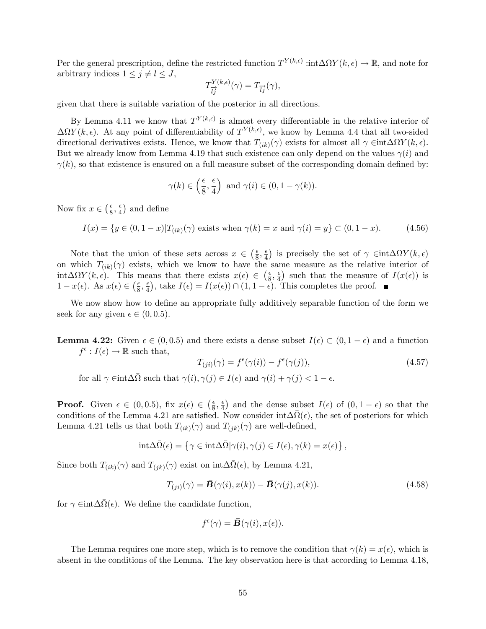Per the general prescription, define the restricted function  $T^{Y(k,\epsilon)}$  :int $\Delta \Omega Y(k,\epsilon) \to \mathbb{R}$ , and note for arbitrary indices  $1 \leq j \neq l \leq J$ ,

$$
T^{Y(k,\epsilon)}_{\overrightarrow{l}\overrightarrow{j}}(\gamma)=T_{\overrightarrow{l}\overrightarrow{j}}(\gamma),
$$

given that there is suitable variation of the posterior in all directions.

By Lemma 4.11 we know that  $T^{Y(k,\epsilon)}$  is almost every differentiable in the relative interior of  $\Delta \Omega Y(k,\epsilon)$ . At any point of differentiability of  $T^{Y(k,\epsilon)}$ , we know by Lemma 4.4 that all two-sided directional derivatives exists. Hence, we know that  $T_{(ik)}(\gamma)$  exists for almost all  $\gamma \in \text{int} \Delta \Omega Y(k, \epsilon)$ . But we already know from Lemma 4.19 that such existence can only depend on the values  $\gamma(i)$  and  $\gamma(k)$ , so that existence is ensured on a full measure subset of the corresponding domain defined by:

$$
\gamma(k) \in \left(\frac{\epsilon}{8}, \frac{\epsilon}{4}\right)
$$
 and  $\gamma(i) \in (0, 1 - \gamma(k)).$ 

Now fix  $x \in \left(\frac{\epsilon}{8}\right)$  $\frac{\epsilon}{8}, \frac{\epsilon}{4}$  $\frac{\epsilon}{4}$ ) and define

$$
I(x) = \{ y \in (0, 1-x) | T_{(ik)}(\gamma) \text{ exists when } \gamma(k) = x \text{ and } \gamma(i) = y \} \subset (0, 1-x). \tag{4.56}
$$

Note that the union of these sets across  $x \in \left(\frac{\epsilon}{8}\right)$  $\frac{\epsilon}{8}, \frac{\epsilon}{4}$  $\frac{\epsilon}{4}$ ) is precisely the set of  $\gamma \in \text{int}\Delta \Omega Y(k,\epsilon)$ on which  $T_{(ik)}(\gamma)$  exists, which we know to have the same measure as the relative interior of  $\int \mathrm{int} \Delta \Omega Y(k, \epsilon)$ . This means that there exists  $x(\epsilon) \in (\frac{\epsilon}{8})$  $\frac{\epsilon}{8}, \frac{\epsilon}{4}$  $\frac{\epsilon}{4}$ ) such that the measure of  $I(x(\epsilon))$  is  $1 - x(\epsilon)$ . As  $x(\epsilon) \in \left(\frac{\epsilon}{8}\right)$  $\frac{\epsilon}{8}, \frac{\epsilon}{4}$  $\frac{\epsilon}{4}$ , take  $I(\epsilon) = I(x(\epsilon)) \cap (1, 1 - \epsilon)$ . This completes the proof.

We now show how to define an appropriate fully additively separable function of the form we seek for any given  $\epsilon \in (0, 0.5)$ .

**Lemma 4.22:** Given  $\epsilon \in (0, 0.5)$  and there exists a dense subset  $I(\epsilon) \subset (0, 1 - \epsilon)$  and a function  $f^{\epsilon}: I(\epsilon) \to \mathbb{R}$  such that,

$$
T_{(ji)}(\gamma) = f^{\epsilon}(\gamma(i)) - f^{\epsilon}(\gamma(j)), \qquad (4.57)
$$

for all  $\gamma \in \text{int} \Delta \bar{\Omega}$  such that  $\gamma(i), \gamma(j) \in I(\epsilon)$  and  $\gamma(i) + \gamma(j) < 1 - \epsilon$ .

**Proof.** Given  $\epsilon \in (0, 0.5)$ , fix  $x(\epsilon) \in \left(\frac{\epsilon}{8}\right)$  $\frac{\epsilon}{8}, \frac{\epsilon}{4}$  $\frac{\epsilon}{4}$  and the dense subset  $I(\epsilon)$  of  $(0, 1 - \epsilon)$  so that the conditions of the Lemma 4.21 are satisfied. Now consider  $int \Delta \bar{\Omega}(\epsilon)$ , the set of posteriors for which Lemma 4.21 tells us that both  $T_{(ik)}(\gamma)$  and  $T_{(jk)}(\gamma)$  are well-defined,

$$
\mathrm{int} \Delta \bar{\Omega}(\epsilon) = \left\{ \gamma \in \mathrm{int} \Delta \bar{\Omega} | \gamma(i), \gamma(j) \in I(\epsilon), \gamma(k) = x(\epsilon) \right\},\,
$$

Since both  $T_{(ik)}(\gamma)$  and  $T_{(jk)}(\gamma)$  exist on  $int\Delta\bar{\Omega}(\epsilon)$ , by Lemma 4.21,

$$
T_{(ji)}(\gamma) = \bar{\mathbf{B}}(\gamma(i), x(k)) - \bar{\mathbf{B}}(\gamma(j), x(k)).
$$
\n(4.58)

for  $\gamma \in \text{int} \Delta \bar{\Omega}(\epsilon)$ . We define the candidate function,

$$
f^{\epsilon}(\gamma) = \bar{\mathbf{B}}(\gamma(i), x(\epsilon)).
$$

The Lemma requires one more step, which is to remove the condition that  $\gamma(k) = x(\epsilon)$ , which is absent in the conditions of the Lemma. The key observation here is that according to Lemma 4.18,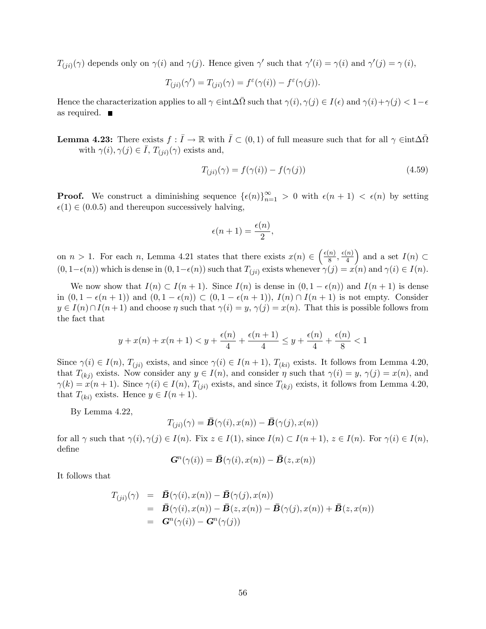$T_{(ji)}(\gamma)$  depends only on  $\gamma(i)$  and  $\gamma(j)$ . Hence given  $\gamma'$  such that  $\gamma'(i) = \gamma(i)$  and  $\gamma'(j) = \gamma(i)$ ,

$$
T_{(ji)}(\gamma') = T_{(ji)}(\gamma) = f^{\varepsilon}(\gamma(i)) - f^{\varepsilon}(\gamma(j)).
$$

Hence the characterization applies to all  $\gamma \in \text{int}\Delta\overline{\Omega}$  such that  $\gamma(i), \gamma(j) \in I(\epsilon)$  and  $\gamma(i) + \gamma(j) < 1 - \epsilon$ as required.

**Lemma 4.23:** There exists  $f: \overline{I} \to \mathbb{R}$  with  $\overline{I} \subset (0,1)$  of full measure such that for all  $\gamma \in \text{int}\Delta\overline{\Omega}$ with  $\gamma(i), \gamma(j) \in \overline{I}, T_{(ji)}(\gamma)$  exists and,

$$
T_{(ji)}(\gamma) = f(\gamma(i)) - f(\gamma(j))\tag{4.59}
$$

**Proof.** We construct a diminishing sequence  $\{\epsilon(n)\}_{n=1}^{\infty} > 0$  with  $\epsilon(n+1) < \epsilon(n)$  by setting  $\epsilon(1) \in (0.0.5)$  and thereupon successively halving,

$$
\epsilon(n+1) = \frac{\epsilon(n)}{2},
$$

on  $n > 1$ . For each n, Lemma 4.21 states that there exists  $x(n) \in \left(\frac{\epsilon(n)}{8}\right)$  $\frac{\epsilon(n)}{8}, \frac{\epsilon(n)}{4}$ 4 ) and a set  $I(n) \subset$  $(0, 1-\epsilon(n))$  which is dense in  $(0, 1-\epsilon(n))$  such that  $T_{(ji)}$  exists whenever  $\gamma(j) = x(n)$  and  $\gamma(i) \in I(n)$ .

We now show that  $I(n) \subset I(n + 1)$ . Since  $I(n)$  is dense in  $(0, 1 - \epsilon(n))$  and  $I(n + 1)$  is dense in  $(0, 1 - \epsilon(n + 1))$  and  $(0, 1 - \epsilon(n)) \subset (0, 1 - \epsilon(n + 1)), I(n) \cap I(n + 1)$  is not empty. Consider  $y \in I(n) \cap I(n+1)$  and choose  $\eta$  such that  $\gamma(i) = y, \gamma(j) = x(n)$ . That this is possible follows from the fact that

$$
y + x(n) + x(n+1) < y + \frac{\epsilon(n)}{4} + \frac{\epsilon(n+1)}{4} \le y + \frac{\epsilon(n)}{4} + \frac{\epsilon(n)}{8} < 1
$$

Since  $\gamma(i) \in I(n)$ ,  $T_{(ii)}$  exists, and since  $\gamma(i) \in I(n+1)$ ,  $T_{(ki)}$  exists. It follows from Lemma 4.20, that  $T_{(kj)}$  exists. Now consider any  $y \in I(n)$ , and consider  $\eta$  such that  $\gamma(i) = y$ ,  $\gamma(j) = x(n)$ , and  $\gamma(k) = x(n+1)$ . Since  $\gamma(i) \in I(n)$ ,  $T_{(ii)}$  exists, and since  $T_{(ki)}$  exists, it follows from Lemma 4.20, that  $T_{(ki)}$  exists. Hence  $y \in I(n + 1)$ .

By Lemma 4.22,

$$
T_{(ji)}(\gamma) = \bar{\mathbf{B}}(\gamma(i), x(n)) - \bar{\mathbf{B}}(\gamma(j), x(n))
$$

for all  $\gamma$  such that  $\gamma(i), \gamma(j) \in I(n)$ . Fix  $z \in I(1)$ , since  $I(n) \subset I(n+1)$ ,  $z \in I(n)$ . For  $\gamma(i) \in I(n)$ , define

$$
\mathbf{G}^n(\gamma(i)) = \mathbf{\bar{B}}(\gamma(i), x(n)) - \mathbf{\bar{B}}(z, x(n))
$$

It follows that

$$
T_{(ji)}(\gamma) = \overline{\mathbf{B}}(\gamma(i), x(n)) - \overline{\mathbf{B}}(\gamma(j), x(n))
$$
  
=  $\overline{\mathbf{B}}(\gamma(i), x(n)) - \overline{\mathbf{B}}(z, x(n)) - \overline{\mathbf{B}}(\gamma(j), x(n)) + \overline{\mathbf{B}}(z, x(n))$   
=  $\mathbf{G}^{(n)}(\gamma(i)) - \mathbf{G}^{(n)}(\gamma(j))$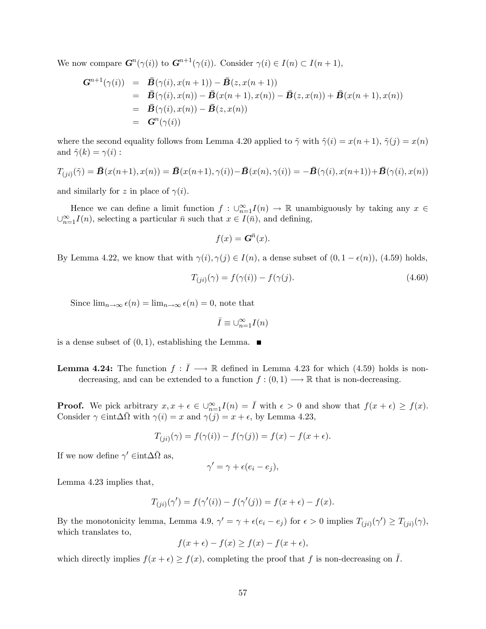We now compare  $\mathbf{G}^n(\gamma(i))$  to  $\mathbf{G}^{n+1}(\gamma(i))$ . Consider  $\gamma(i) \in I(n) \subset I(n+1)$ ,

$$
G^{n+1}(\gamma(i)) = \bar{B}(\gamma(i), x(n+1)) - \bar{B}(z, x(n+1))
$$
  
=  $\bar{B}(\gamma(i), x(n)) - \bar{B}(x(n+1), x(n)) - \bar{B}(z, x(n)) + \bar{B}(x(n+1), x(n))$   
=  $\bar{B}(\gamma(i), x(n)) - \bar{B}(z, x(n))$   
=  $G^n(\gamma(i))$ 

where the second equality follows from Lemma 4.20 applied to  $\tilde{\gamma}$  with  $\tilde{\gamma}(i) = x(n+1), \tilde{\gamma}(j) = x(n)$ and  $\tilde{\gamma}(k) = \gamma(i)$ :

$$
T_{(ji)}(\tilde{\gamma}) = \bar{\mathbf{B}}(x(n+1), x(n)) = \bar{\mathbf{B}}(x(n+1), \gamma(i)) - \bar{\mathbf{B}}(x(n), \gamma(i)) = -\bar{\mathbf{B}}(\gamma(i), x(n+1)) + \bar{\mathbf{B}}(\gamma(i), x(n))
$$

and similarly for z in place of  $\gamma(i)$ .

Hence we can define a limit function  $f: \bigcup_{n=1}^{\infty} I(n) \to \mathbb{R}$  unambiguously by taking any  $x \in$  $\bigcup_{n=1}^{\infty} I(n)$ , selecting a particular  $\bar{n}$  such that  $x \in I(\bar{n})$ , and defining,

$$
f(x) = \mathbf{G}^{\bar{n}}(x).
$$

By Lemma 4.22, we know that with  $\gamma(i), \gamma(j) \in I(n)$ , a dense subset of  $(0, 1 - \epsilon(n))$ , (4.59) holds,

$$
T_{(ji)}(\gamma) = f(\gamma(i)) - f(\gamma(j)).\tag{4.60}
$$

Since  $\lim_{n\to\infty} \epsilon(n) = \lim_{n\to\infty} \epsilon(n) = 0$ , note that

$$
\bar{I}\equiv \cup_{n=1}^{\infty} I(n)
$$

is a dense subset of  $(0, 1)$ , establishing the Lemma.

**Lemma 4.24:** The function  $f: \overline{I} \longrightarrow \mathbb{R}$  defined in Lemma 4.23 for which (4.59) holds is nondecreasing, and can be extended to a function  $f : (0,1) \longrightarrow \mathbb{R}$  that is non-decreasing.

**Proof.** We pick arbitrary  $x, x + \epsilon \in \bigcup_{n=1}^{\infty} I(n) = \overline{I}$  with  $\epsilon > 0$  and show that  $f(x + \epsilon) \ge f(x)$ . Consider  $\gamma \in \text{int} \Delta \overline{\Omega}$  with  $\gamma(i) = x$  and  $\gamma(j) = x + \epsilon$ , by Lemma 4.23,

$$
T_{(ji)}(\gamma) = f(\gamma(i)) - f(\gamma(j)) = f(x) - f(x + \epsilon).
$$

If we now define  $\gamma' \in \text{int} \Delta \bar{\Omega}$  as,

$$
\gamma' = \gamma + \epsilon(e_i - e_j),
$$

Lemma 4.23 implies that,

$$
T_{(ji)}(\gamma') = f(\gamma'(i)) - f(\gamma'(j)) = f(x + \epsilon) - f(x).
$$

By the monotonicity lemma, Lemma 4.9,  $\gamma' = \gamma + \epsilon(e_i - e_j)$  for  $\epsilon > 0$  implies  $T_{(ji)}(\gamma') \ge T_{(ji)}(\gamma)$ , which translates to,

$$
f(x+\epsilon) - f(x) \ge f(x) - f(x+\epsilon),
$$

which directly implies  $f(x + \epsilon) \ge f(x)$ , completing the proof that f is non-decreasing on  $\overline{I}$ .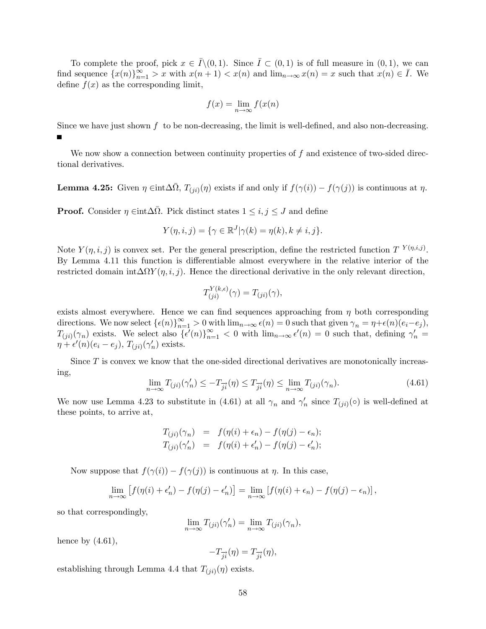To complete the proof, pick  $x \in I \setminus (0, 1)$ . Since  $I \subset (0, 1)$  is of full measure in  $(0, 1)$ , we can find sequence  $\{x(n)\}_{n=1}^{\infty} > x$  with  $x(n+1) < x(n)$  and  $\lim_{n\to\infty} x(n) = x$  such that  $x(n) \in \overline{I}$ . We define  $f(x)$  as the corresponding limit,

$$
f(x) = \lim_{n \to \infty} f(x(n))
$$

Since we have just shown  $f$  to be non-decreasing, the limit is well-defined, and also non-decreasing.  $\blacksquare$ 

We now show a connection between continuity properties of  $f$  and existence of two-sided directional derivatives.

**Lemma 4.25:** Given  $\eta \in \text{int}\Delta\bar{\Omega}$ ,  $T_{(ji)}(\eta)$  exists if and only if  $f(\gamma(i)) - f(\gamma(j))$  is continuous at  $\eta$ .

**Proof.** Consider  $\eta \in \text{int}\Delta\bar{\Omega}$ . Pick distinct states  $1 \leq i, j \leq J$  and define

$$
Y(\eta, i, j) = \{ \gamma \in \mathbb{R}^J | \gamma(k) = \eta(k), k \neq i, j \}.
$$

Note  $Y(\eta, i, j)$  is convex set. Per the general prescription, define the restricted function  $T^{Y(\eta, i, j)}$ . By Lemma 4.11 this function is differentiable almost everywhere in the relative interior of the restricted domain  $int \Delta \Omega Y(\eta, i, j)$ . Hence the directional derivative in the only relevant direction,

$$
T_{(ji)}^{Y(k,\epsilon)}(\gamma) = T_{(ji)}(\gamma),
$$

exists almost everywhere. Hence we can find sequences approaching from  $\eta$  both corresponding directions. We now select  $\{\epsilon(n)\}_{n=1}^{\infty} > 0$  with  $\lim_{n \to \infty} \epsilon(n) = 0$  such that given  $\gamma_n = \eta + \epsilon(n)(e_i - e_j)$ ,  $T_{(ji)}(\gamma_n)$  exists. We select also  $\{\epsilon'(n)\}_{n=1}^{\infty} < 0$  with  $\lim_{n\to\infty} \epsilon'(n) = 0$  such that, defining  $\gamma'_n =$  $\eta + \epsilon'(n)(e_i - e_j), T_{(ji)}(\gamma'_n)$  exists.

Since  $T$  is convex we know that the one-sided directional derivatives are monotonically increasing,

$$
\lim_{n \to \infty} T_{(ji)}(\gamma'_n) \le -T_{\overrightarrow{j}}(\eta) \le T_{\overrightarrow{j}}(\eta) \le \lim_{n \to \infty} T_{(ji)}(\gamma_n). \tag{4.61}
$$

We now use Lemma 4.23 to substitute in (4.61) at all  $\gamma_n$  and  $\gamma'_n$  since  $T_{(ji)}(\circ)$  is well-defined at these points, to arrive at,

$$
T_{(ji)}(\gamma_n) = f(\eta(i) + \epsilon_n) - f(\eta(j) - \epsilon_n);
$$
  
\n
$$
T_{(ji)}(\gamma'_n) = f(\eta(i) + \epsilon'_n) - f(\eta(j) - \epsilon'_n);
$$

Now suppose that  $f(\gamma(i)) - f(\gamma(j))$  is continuous at  $\eta$ . In this case,

$$
\lim_{n \to \infty} [f(\eta(i) + \epsilon'_n) - f(\eta(j) - \epsilon'_n)] = \lim_{n \to \infty} [f(\eta(i) + \epsilon_n) - f(\eta(j) - \epsilon_n)],
$$

so that correspondingly,

$$
\lim_{n \to \infty} T_{(ji)}(\gamma'_n) = \lim_{n \to \infty} T_{(ji)}(\gamma_n),
$$

hence by  $(4.61)$ ,

$$
-T_{\overrightarrow{ji}}(\eta)=T_{\overrightarrow{ji}}(\eta),
$$

establishing through Lemma 4.4 that  $T_{(ji)}(\eta)$  exists.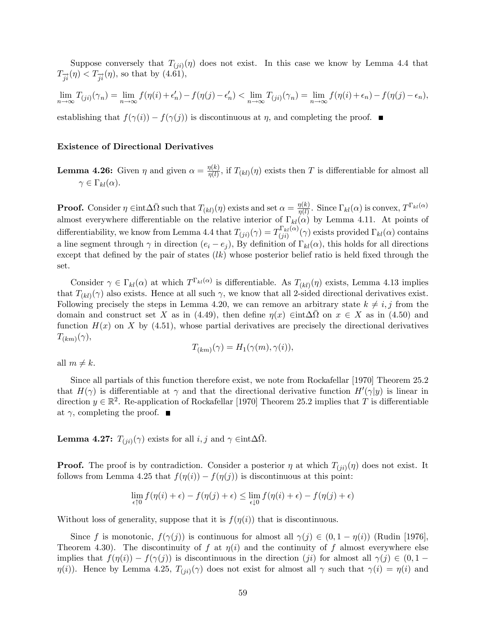Suppose conversely that  $T_{(ji)}(\eta)$  does not exist. In this case we know by Lemma 4.4 that  $T_{\overrightarrow{ii}}(\eta) < T_{\overrightarrow{ii}}(\eta)$ , so that by (4.61),

$$
\lim_{n \to \infty} T_{(ji)}(\gamma_n) = \lim_{n \to \infty} f(\eta(i) + \epsilon'_n) - f(\eta(j) - \epsilon'_n) < \lim_{n \to \infty} T_{(ji)}(\gamma_n) = \lim_{n \to \infty} f(\eta(i) + \epsilon_n) - f(\eta(j) - \epsilon_n),
$$

establishing that  $f(\gamma(i)) - f(\gamma(j))$  is discontinuous at  $\eta$ , and completing the proof.

#### Existence of Directional Derivatives

**Lemma 4.26:** Given  $\eta$  and given  $\alpha = \frac{\eta(k)}{\eta(l)}$  $\frac{\eta(k)}{\eta(l)}$ , if  $T_{(kl)}(\eta)$  exists then T is differentiable for almost all  $\gamma \in \Gamma_{kl}(\alpha)$ .

**Proof.** Consider  $\eta \in \text{int} \Delta \bar{\Omega}$  such that  $T_{(kl)}(\eta)$  exists and set  $\alpha = \frac{\eta(k)}{\eta(l)}$  $\frac{\eta(k)}{\eta(l)}$ . Since  $\Gamma_{kl}(\alpha)$  is convex,  $T^{\Gamma_{kl}(\alpha)}$ almost everywhere differentiable on the relative interior of  $\Gamma_{kl}(\alpha)$  by Lemma 4.11. At points of differentiability, we know from Lemma 4.4 that  $T_{(ji)}(\gamma) = T_{(ii)}^{\Gamma_{kl}(\alpha)}$  $\int_{(ji)}^{\text{L}} k l(\alpha)}(\gamma)$  exists provided  $\Gamma_{kl}(\alpha)$  contains a line segment through  $\gamma$  in direction  $(e_i - e_j)$ , By definition of  $\Gamma_{kl}(\alpha)$ , this holds for all directions except that defined by the pair of states  $(lk)$  whose posterior belief ratio is held fixed through the set.

Consider  $\gamma \in \Gamma_{kl}(\alpha)$  at which  $T^{\Gamma_{kl}(\alpha)}$  is differentiable. As  $T_{(kl)}(\eta)$  exists, Lemma 4.13 implies that  $T_{(kl)}(\gamma)$  also exists. Hence at all such  $\gamma$ , we know that all 2-sided directional derivatives exist. Following precisely the steps in Lemma 4.20, we can remove an arbitrary state  $k \neq i, j$  from the domain and construct set X as in (4.49), then define  $\eta(x) \in \text{int} \Delta \overline{\Omega}$  on  $x \in X$  as in (4.50) and function  $H(x)$  on X by (4.51), whose partial derivatives are precisely the directional derivatives  $T_{(km)}(\gamma),$ 

$$
T_{(km)}(\gamma) = H_1(\gamma(m), \gamma(i)),
$$

all  $m \neq k$ .

Since all partials of this function therefore exist, we note from Rockafellar [1970] Theorem 25.2 that  $H(\gamma)$  is differentiable at  $\gamma$  and that the directional derivative function  $H'(\gamma|y)$  is linear in direction  $y \in \mathbb{R}^2$ . Re-application of Rockafellar [1970] Theorem 25.2 implies that T is differentiable at  $\gamma$ , completing the proof.  $\blacksquare$ 

**Lemma 4.27:**  $T_{(ji)}(\gamma)$  exists for all  $i, j$  and  $\gamma \in \text{int}\Delta\bar{\Omega}$ .

**Proof.** The proof is by contradiction. Consider a posterior  $\eta$  at which  $T_{(ji)}(\eta)$  does not exist. It follows from Lemma 4.25 that  $f(\eta(i)) - f(\eta(j))$  is discontinuous at this point:

$$
\lim_{\epsilon \uparrow 0} f(\eta(i) + \epsilon) - f(\eta(j) + \epsilon) \le \lim_{\epsilon \downarrow 0} f(\eta(i) + \epsilon) - f(\eta(j) + \epsilon)
$$

Without loss of generality, suppose that it is  $f(\eta(i))$  that is discontinuous.

Since f is monotonic,  $f(\gamma(j))$  is continuous for almost all  $\gamma(j) \in (0, 1 - \eta(i))$  (Rudin [1976], Theorem 4.30). The discontinuity of f at  $\eta(i)$  and the continuity of f almost everywhere else implies that  $f(\eta(i)) - f(\gamma(j))$  is discontinuous in the direction (*ji*) for almost all  $\gamma(j) \in (0, 1 \eta(i)$ ). Hence by Lemma 4.25,  $T_{(ji)}(\gamma)$  does not exist for almost all  $\gamma$  such that  $\gamma(i) = \eta(i)$  and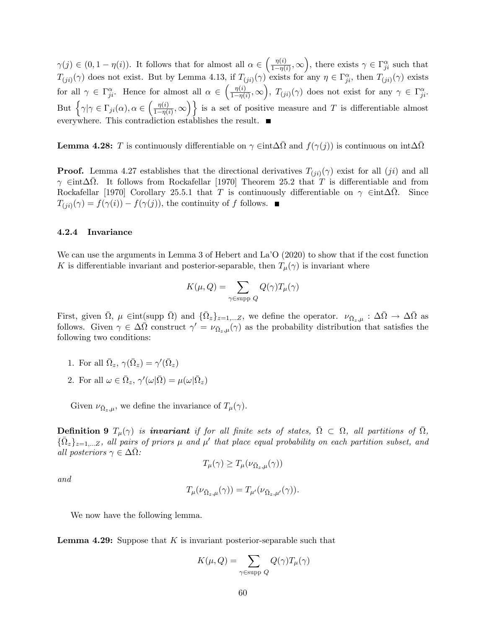$\gamma(j) \in (0, 1 - \eta(i))$ . It follows that for almost all  $\alpha \in \left(\frac{\eta(i)}{1 - \eta(i)}\right)$  $\frac{\eta(i)}{1-\eta(i)}, \infty$ , there exists  $\gamma \in \Gamma_{ji}^{\alpha}$  such that  $T_{(ji)}(\gamma)$  does not exist. But by Lemma 4.13, if  $T_{(ji)}(\gamma)$  exists for any  $\eta \in \Gamma_{ji}^{\alpha}$ , then  $T_{(ji)}(\gamma)$  exists for all  $\gamma \in \Gamma^{\alpha}_{ji}$ . Hence for almost all  $\alpha \in \left(\frac{\eta^{(i)}}{1-\eta^{(i)}}\right)$  $\frac{\eta(i)}{1-\eta(i)},\infty$ ,  $T_{(ji)}(\gamma)$  does not exist for any  $\gamma \in \Gamma_{ji}^{\alpha}$ . But  $\left\{\gamma|\gamma \in \Gamma_{ji}(\alpha), \alpha \in \left(\frac{\eta(i)}{1-\eta(i)}\right)\right\}$  $\left\{\frac{\eta(i)}{1-\eta(i)},\infty\right\}\}$  is a set of positive measure and T is differentiable almost everywhere. This contradiction establishes the result.

**Lemma 4.28:** T is continuously differentiable on  $\gamma \in \text{int} \Delta \bar{\Omega}$  and  $f(\gamma(j))$  is continuous on  $\text{int} \Delta \bar{\Omega}$ 

**Proof.** Lemma 4.27 establishes that the directional derivatives  $T_{(ji)}(\gamma)$  exist for all  $(ji)$  and all  $\gamma$   $\in$ int $\Delta\overline{\Omega}$ . It follows from Rockafellar [1970] Theorem 25.2 that T is differentiable and from Rockafellar [1970] Corollary 25.5.1 that T is continuously differentiable on  $\gamma$   $\in$  int $\Delta\overline{\Omega}$ . Since  $T_{(ji)}(\gamma) = f(\gamma(i)) - f(\gamma(j))$ , the continuity of f follows.

#### 4.2.4 Invariance

We can use the arguments in Lemma 3 of Hebert and La<sup>7</sup>O (2020) to show that if the cost function K is differentiable invariant and posterior-separable, then  $T_{\mu}(\gamma)$  is invariant where

$$
K(\mu, Q) = \sum_{\gamma \in \text{supp } Q} Q(\gamma) T_{\mu}(\gamma)
$$

First, given  $\overline{\Omega}$ ,  $\mu \in {\rm int}(\text{supp }\overline{\Omega})$  and  $\{\overline{\Omega}_z\}_{z=1,...Z}$ , we define the operator.  $\nu_{\overline{\Omega}_z,\mu} : \Delta\overline{\Omega} \to \Delta\overline{\Omega}$  as follows. Given  $\gamma \in \Delta\overline{\Omega}$  construct  $\gamma' = \nu_{\overline{\Omega}_z,\mu}(\gamma)$  as the probability distribution that satisfies the following two conditions:

- 1. For all  $\bar{\Omega}_z, \gamma(\bar{\Omega}_z) = \gamma'(\bar{\Omega}_z)$
- 2. For all  $\omega \in \bar{\Omega}_z$ ,  $\gamma'(\omega|\bar{\Omega}) = \mu(\omega|\bar{\Omega}_z)$

Given  $\nu_{\bar{\Omega}_z,\mu}$ , we define the invariance of  $T_{\mu}(\gamma)$ .

**Definition 9**  $T_{\mu}(\gamma)$  is **invariant** if for all finite sets of states,  $\overline{\Omega} \subset \Omega$ , all partitions of  $\overline{\Omega}$ ,  $\{\bar{\Omega}_z\}_{z=1,...Z}$ , all pairs of priors  $\mu$  and  $\mu'$  that place equal probability on each partition subset, and all posteriors  $\gamma \in \Delta \bar{\Omega}$ :

$$
T_{\mu}(\gamma) \geq T_{\mu}(\nu_{\bar{\Omega}_z,\mu}(\gamma))
$$

and

$$
T_{\mu}(\nu_{\bar{\Omega}_z,\mu}(\gamma)) = T_{\mu'}(\nu_{\bar{\Omega}_z,\mu'}(\gamma)).
$$

We now have the following lemma.

**Lemma 4.29:** Suppose that  $K$  is invariant posterior-separable such that

$$
K(\mu, Q) = \sum_{\gamma \in \text{supp } Q} Q(\gamma) T_{\mu}(\gamma)
$$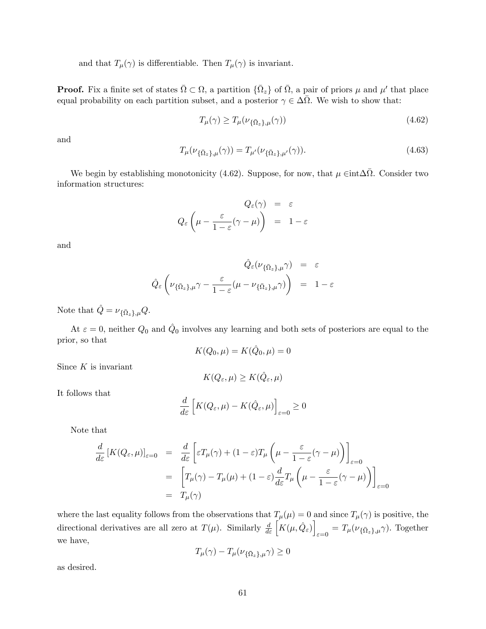and that  $T_{\mu}(\gamma)$  is differentiable. Then  $T_{\mu}(\gamma)$  is invariant.

**Proof.** Fix a finite set of states  $\overline{\Omega} \subset \Omega$ , a partition  $\{\overline{\Omega}_z\}$  of  $\overline{\Omega}$ , a pair of priors  $\mu$  and  $\mu'$  that place equal probability on each partition subset, and a posterior  $\gamma \in \Delta\overline{\Omega}$ . We wish to show that:

$$
T_{\mu}(\gamma) \ge T_{\mu}(\nu_{\{\bar{\Omega}_z\},\mu}(\gamma))\tag{4.62}
$$

and

$$
T_{\mu}(\nu_{\{\bar{\Omega}_z\},\mu}(\gamma)) = T_{\mu'}(\nu_{\{\bar{\Omega}_z\},\mu'}(\gamma)).
$$
\n(4.63)

We begin by establishing monotonicity (4.62). Suppose, for now, that  $\mu \in \text{int} \Delta \overline{\Omega}$ . Consider two information structures:

$$
Q_{\varepsilon}(\gamma) = \varepsilon
$$
  

$$
Q_{\varepsilon} \left( \mu - \frac{\varepsilon}{1 - \varepsilon} (\gamma - \mu) \right) = 1 - \varepsilon
$$

and

$$
\hat{Q}_{\varepsilon}(\nu_{\{\bar{\Omega}_{z}\},\mu}\gamma) = \varepsilon
$$

$$
\hat{Q}_{\varepsilon}(\nu_{\{\bar{\Omega}_{z}\},\mu}\gamma) - \frac{\varepsilon}{1-\varepsilon}(\mu - \nu_{\{\bar{\Omega}_{z}\},\mu}\gamma)\bigg) = 1-\varepsilon
$$

Note that  $\hat{Q} = \nu_{\{\bar{\Omega}_z\},\mu} Q$ .

At  $\varepsilon = 0$ , neither  $Q_0$  and  $\hat{Q}_0$  involves any learning and both sets of posteriors are equal to the prior, so that

$$
K(Q_0, \mu) = K(\hat{Q}_0, \mu) = 0
$$

Since  $K$  is invariant

$$
K(Q_{\varepsilon}, \mu) \geq K(\hat{Q}_{\varepsilon}, \mu)
$$

It follows that

$$
\frac{d}{d\varepsilon} \left[ K(Q_{\varepsilon}, \mu) - K(\hat{Q}_{\varepsilon}, \mu) \right]_{\varepsilon = 0} \ge 0
$$

Note that

$$
\frac{d}{d\varepsilon} \left[ K(Q_{\varepsilon}, \mu) \right]_{\varepsilon=0} = \frac{d}{d\varepsilon} \left[ \varepsilon T_{\mu}(\gamma) + (1 - \varepsilon) T_{\mu} \left( \mu - \frac{\varepsilon}{1 - \varepsilon} (\gamma - \mu) \right) \right]_{\varepsilon=0}
$$
\n
$$
= \left[ T_{\mu}(\gamma) - T_{\mu}(\mu) + (1 - \varepsilon) \frac{d}{d\varepsilon} T_{\mu} \left( \mu - \frac{\varepsilon}{1 - \varepsilon} (\gamma - \mu) \right) \right]_{\varepsilon=0}
$$
\n
$$
= T_{\mu}(\gamma)
$$

where the last equality follows from the observations that  $T_{\mu}(\mu) = 0$  and since  $T_{\mu}(\gamma)$  is positive, the directional derivatives are all zero at  $T(\mu)$ . Similarly  $\frac{d}{d\varepsilon} \left[ K(\mu, \hat{Q}_{\varepsilon}) \right]$  $_{\varepsilon=0} = T_{\mu}(\nu_{\{\bar{\Omega}_z\},\mu}\gamma)$ . Together we have,

$$
T_{\mu}(\gamma) - T_{\mu}(\nu_{\{\bar{\Omega}_z\},\mu}\gamma) \ge 0
$$

as desired.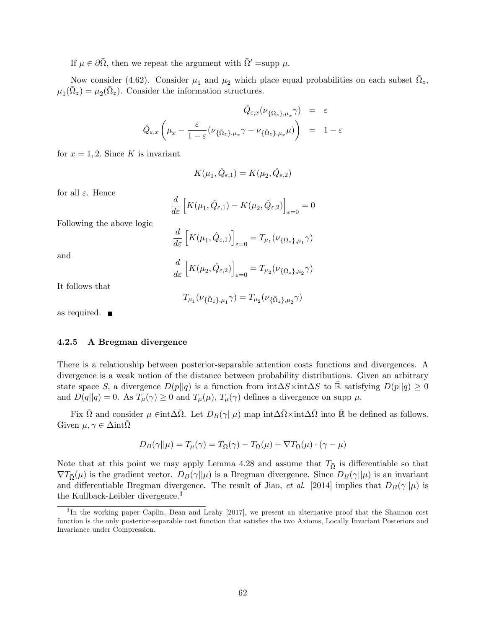If  $\mu \in \partial \bar{\Omega}$ , then we repeat the argument with  $\bar{\Omega}' = \text{supp } \mu$ .

d  $d\varepsilon$ 

 $\left[K(\mu_2, \hat{Q}_{\varepsilon,2})\right]$ 

Now consider (4.62). Consider  $\mu_1$  and  $\mu_2$  which place equal probabilities on each subset  $\bar{\Omega}_z$ ,  $\mu_1(\bar{\Omega}_z) = \mu_2(\bar{\Omega}_z)$ . Consider the information structures.

$$
\hat{Q}_{\varepsilon,x}(\nu_{\{\bar{\Omega}_z\},\mu_x}\gamma) = \varepsilon
$$
  

$$
\hat{Q}_{\varepsilon,x}\left(\mu_x - \frac{\varepsilon}{1-\varepsilon}(\nu_{\{\bar{\Omega}_z\},\mu_x}\gamma - \nu_{\{\bar{\Omega}_z\},\mu_x}\mu)\right) = 1-\varepsilon
$$

for  $x = 1, 2$ . Since K is invariant

$$
K(\mu_1,\hat{Q}_{\varepsilon,1})=K(\mu_2,\hat{Q}_{\varepsilon,2})
$$

for all  $\varepsilon$ . Hence

$$
\frac{d}{d\varepsilon} \left[ K(\mu_1, \hat{Q}_{\varepsilon,1}) - K(\mu_2, \hat{Q}_{\varepsilon,2}) \right]_{\varepsilon=0} = 0
$$

Following the above logic

$$
\frac{d}{d\varepsilon} \left[ K(\mu_1, \hat{Q}_{\varepsilon,1}) \right]_{\varepsilon=0} = T_{\mu_1}(\nu_{\{\bar{\Omega}_z\}, \mu_1} \gamma)
$$

and

It follows that

$$
T_{\mu_1}(\nu_{\{\bar{\Omega}_z\},\mu_1}\gamma)=T_{\mu_2}(\nu_{\{\bar{\Omega}_z\},\mu_2}\gamma)
$$

 $\sigma_{\varepsilon=0} = T_{\mu_2}(\nu_{\{\bar{\Omega}_z\},\mu_2}\gamma)$ 

as required.

#### 4.2.5 A Bregman divergence

There is a relationship between posterior-separable attention costs functions and divergences. A divergence is a weak notion of the distance between probability distributions. Given an arbitrary state space S, a divergence  $D(p||q)$  is a function from  $\int \Delta S \times \int \Delta S$  to  $\bar{\mathbb{R}}$  satisfying  $D(p||q) \geq 0$ and  $D(q||q) = 0$ . As  $T_{\mu}(\gamma) \ge 0$  and  $T_{\mu}(\mu)$ ,  $T_{\mu}(\gamma)$  defines a divergence on supp  $\mu$ .

Fix  $\bar{\Omega}$  and consider  $\mu \in \text{int}\Delta\bar{\Omega}$ . Let  $D_B(\gamma||\mu)$  map  $\text{int}\Delta\bar{\Omega}\times\text{int}\Delta\bar{\Omega}$  into  $\bar{\mathbb{R}}$  be defined as follows. Given  $\mu, \gamma \in \Delta \text{int} \overline{\Omega}$ 

$$
D_B(\gamma||\mu) = T_{\mu}(\gamma) = T_{\overline{\Omega}}(\gamma) - T_{\overline{\Omega}}(\mu) + \nabla T_{\overline{\Omega}}(\mu) \cdot (\gamma - \mu)
$$

Note that at this point we may apply Lemma 4.28 and assume that  $T_{\overline{\Omega}}$  is differentiable so that  $\nabla T_{\overline{\Omega}}(\mu)$  is the gradient vector.  $D_B(\gamma||\mu)$  is a Bregman divergence. Since  $D_B(\gamma||\mu)$  is an invariant and differentiable Bregman divergence. The result of Jiao, et al. [2014] implies that  $D_B(\gamma||\mu)$  is the Kullback-Leibler divergence.<sup>3</sup>

<sup>&</sup>lt;sup>3</sup>In the working paper Caplin, Dean and Leahy [2017], we present an alternative proof that the Shannon cost function is the only posterior-separable cost function that satisfies the two Axioms, Locally Invariant Posteriors and Invariance under Compression.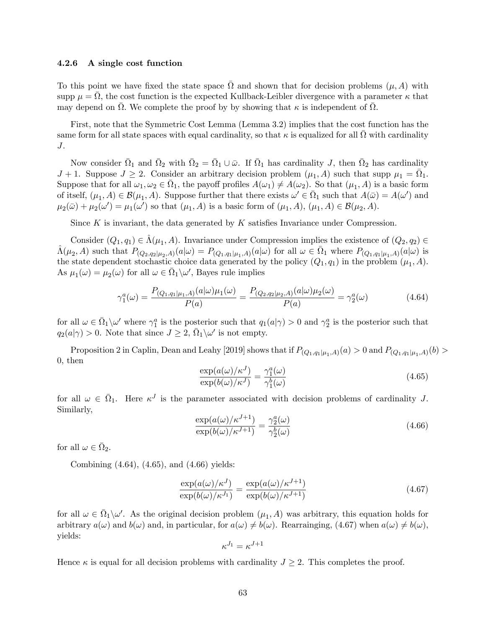#### 4.2.6 A single cost function

To this point we have fixed the state space  $\overline{\Omega}$  and shown that for decision problems  $(\mu, A)$  with supp  $\mu = \bar{\Omega}$ , the cost function is the expected Kullback-Leibler divergence with a parameter  $\kappa$  that may depend on  $\overline{\Omega}$ . We complete the proof by by showing that  $\kappa$  is independent of  $\overline{\Omega}$ .

First, note that the Symmetric Cost Lemma (Lemma 3.2) implies that the cost function has the same form for all state spaces with equal cardinality, so that  $\kappa$  is equalized for all  $\bar{\Omega}$  with cardinality J.

Now consider  $\bar{\Omega}_1$  and  $\bar{\Omega}_2$  with  $\bar{\Omega}_2 = \bar{\Omega}_1 \cup \bar{\omega}$ . If  $\bar{\Omega}_1$  has cardinality J, then  $\bar{\Omega}_2$  has cardinality  $J + 1$ . Suppose  $J \geq 2$ . Consider an arbitrary decision problem  $(\mu_1, A)$  such that supp  $\mu_1 = \overline{\Omega}_1$ . Suppose that for all  $\omega_1, \omega_2 \in \overline{\Omega}_1$ , the payoff profiles  $A(\omega_1) \neq A(\omega_2)$ . So that  $(\mu_1, A)$  is a basic form of itself,  $(\mu_1, A) \in \mathcal{B}(\mu_1, A)$ . Suppose further that there exists  $\omega' \in \overline{\Omega}_1$  such that  $A(\overline{\omega}) = A(\omega')$  and  $\mu_2(\bar{\omega}) + \mu_2(\omega') = \mu_1(\omega')$  so that  $(\mu_1, A)$  is a basic form of  $(\mu_1, A)$ ,  $(\mu_1, A) \in \mathcal{B}(\mu_2, A)$ .

Since  $K$  is invariant, the data generated by  $K$  satisfies Invariance under Compression.

Consider  $(Q_1, q_1) \in \hat{\Lambda}(\mu_1, A)$ . Invariance under Compression implies the existence of  $(Q_2, q_2) \in$  $\hat{\Lambda}(\mu_2, A)$  such that  $P_{(Q_2,q_2|\mu_2,A)}(a|\omega) = P_{(Q_1,q_1|\mu_1,A)}(a|\omega)$  for all  $\omega \in \bar{\Omega}_1$  where  $P_{(Q_1,q_1|\mu_1,A)}(a|\omega)$  is the state dependent stochastic choice data generated by the policy  $(Q_1, q_1)$  in the problem  $(\mu_1, A)$ . As  $\mu_1(\omega) = \mu_2(\omega)$  for all  $\omega \in \overline{\Omega}_1 \backslash \omega'$ , Bayes rule implies

$$
\gamma_1^a(\omega) = \frac{P_{(Q_1, q_1 | \mu_1, A)}(a | \omega) \mu_1(\omega)}{P(a)} = \frac{P_{(Q_2, q_2 | \mu_2, A)}(a | \omega) \mu_2(\omega)}{P(a)} = \gamma_2^a(\omega)
$$
(4.64)

for all  $\omega \in \bar{\Omega}_1 \setminus \omega'$  where  $\gamma_1^a$  is the posterior such that  $q_1(a|\gamma) > 0$  and  $\gamma_2^a$  is the posterior such that  $q_2(a|\gamma) > 0$ . Note that since  $J \geq 2$ ,  $\overline{\Omega}_1 \backslash \omega'$  is not empty.

Proposition 2 in Caplin, Dean and Leahy [2019] shows that if  $P_{(Q_1,q_1|\mu_1,A)}(a) > 0$  and  $P_{(Q_1,q_1|\mu_1,A)}(b) >$ 0, then

$$
\frac{\exp(a(\omega)/\kappa^J)}{\exp(b(\omega)/\kappa^J)} = \frac{\gamma_1^a(\omega)}{\gamma_1^b(\omega)}
$$
\n(4.65)

for all  $\omega \in \overline{\Omega}_1$ . Here  $\kappa^J$  is the parameter associated with decision problems of cardinality J. Similarly,

$$
\frac{\exp(a(\omega)/\kappa^{J+1})}{\exp(b(\omega)/\kappa^{J+1})} = \frac{\gamma_2^a(\omega)}{\gamma_2^b(\omega)}
$$
\n(4.66)

for all  $\omega \in \bar{\Omega}_2$ .

Combining (4.64), (4.65), and (4.66) yields:

$$
\frac{\exp(a(\omega)/\kappa^J)}{\exp(b(\omega)/\kappa^{J_1})} = \frac{\exp(a(\omega)/\kappa^{J+1})}{\exp(b(\omega)/\kappa^{J+1})}
$$
\n(4.67)

for all  $\omega \in \overline{\Omega}_1 \setminus \omega'$ . As the original decision problem  $(\mu_1, A)$  was arbitrary, this equation holds for arbitrary  $a(\omega)$  and  $b(\omega)$  and, in particular, for  $a(\omega) \neq b(\omega)$ . Rearrainging, (4.67) when  $a(\omega) \neq b(\omega)$ , yields:

$$
\kappa^{J_1} = \kappa^{J+1}
$$

Hence  $\kappa$  is equal for all decision problems with cardinality  $J \geq 2$ . This completes the proof.